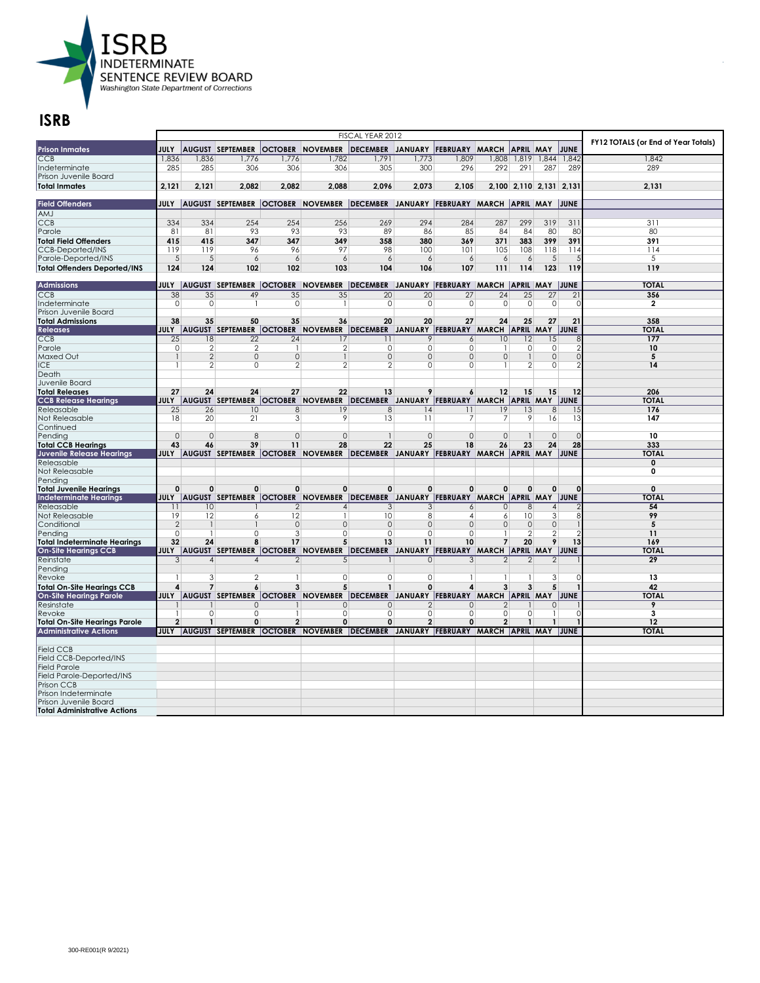

|                                                        |                |                          |                                        |                | FY12 TOTALS (or End of Year Totals)                                                                    |                                                                |                |                      |                 |                         |                 |                 |                         |
|--------------------------------------------------------|----------------|--------------------------|----------------------------------------|----------------|--------------------------------------------------------------------------------------------------------|----------------------------------------------------------------|----------------|----------------------|-----------------|-------------------------|-----------------|-----------------|-------------------------|
| <b>Prison Inmates</b>                                  | JULY           |                          | AUGUST SEPTEMBER                       |                | <b>OCTOBER NOVEMBER</b>                                                                                | DECEMBER JANUARY FEBRUARY MARCH                                |                |                      |                 | <b>APRIL MAY</b>        |                 | JUNE            |                         |
| <b>CCB</b>                                             | 1,836          | 1,836                    | 1,776                                  | 1,776          | 1,782                                                                                                  | 1,791                                                          | 1,773          | 1,809                |                 | 808,1  819,1844.        |                 | 1,842           | 1,842                   |
| Indeterminate                                          | 285            | 285                      | 306                                    | 306            | 306                                                                                                    | 305                                                            | 300            | 296                  | 292             | 291                     | 287             | 289             | 289                     |
| Prison Juvenile Board                                  |                |                          |                                        |                |                                                                                                        |                                                                |                |                      |                 |                         |                 |                 |                         |
| <b>Total Inmates</b>                                   | 2.121          | 2,121                    | 2.082                                  | 2.082          | 2.088                                                                                                  | 2.096                                                          | 2.073          | 2.105                |                 | 2,100 2,110 2,131 2,131 |                 |                 | 2,131                   |
|                                                        |                |                          |                                        |                |                                                                                                        |                                                                |                |                      |                 |                         |                 |                 |                         |
| <b>Field Offenders</b>                                 |                |                          |                                        |                | JULY  AUGUST SEPTEMBER  OCTOBER  NOVEMBER  DECEMBER JANUARY  FEBRUARY  MARCH  APRIL  MAY  JUNE         |                                                                |                |                      |                 |                         |                 |                 |                         |
| AMJ                                                    |                |                          |                                        |                |                                                                                                        |                                                                |                |                      |                 |                         |                 |                 |                         |
| <b>CCB</b>                                             | 334            | 334                      | 254                                    | 254            | 256                                                                                                    | 269                                                            | 294            | 284                  | 287             | 299                     | 319             | 311             | 311                     |
| Parole                                                 | 81             | 81                       | 93                                     | 93             | 93                                                                                                     | 89                                                             | 86             | 85                   | 84              | 84                      | 80              | 80              | 80                      |
| <b>Total Field Offenders</b>                           | 415            | 415                      | 347                                    | 347            | 349                                                                                                    | 358                                                            | 380            | 369                  | 371             | 383                     | 399             | 391             | 391                     |
| <b>CCB-Deported/INS</b>                                | 119            | 119                      | 96                                     | 96             | 97                                                                                                     | 98                                                             | 100            | 101                  | 105             | 108                     | 118             | 114             | 114                     |
| Parole-Deported/INS                                    | 5 <sup>5</sup> | $\sqrt{5}$               | 6                                      | 6              | 6                                                                                                      | 6                                                              | 6              | 6                    | 6               | 6                       | 5               |                 | 5                       |
| <b>Total Offenders Deported/INS</b>                    | 124            | 124                      | 102                                    | 102            | 103                                                                                                    | 104                                                            | 106            | 107                  | 111             | 114                     | 123             | 119             | 119                     |
|                                                        |                |                          |                                        |                |                                                                                                        |                                                                |                |                      |                 |                         |                 |                 | <b>TOTAL</b>            |
| <b>Admissions</b>                                      |                |                          | 49                                     |                | JULY  AUGUST  SEPTEMBER  OCTOBER  NOVEMBER  DECEMBER JANUARY  FEBRUARY  MARCH  APRIL  MAY  JUNE        |                                                                | 20             |                      | $\overline{24}$ |                         | $\overline{27}$ | $\overline{21}$ |                         |
| CCB<br>Indeterminate                                   | 38<br>$\circ$  | 35<br>0                  |                                        | 35<br>0        | 35<br>-1                                                                                               | 20<br>0                                                        | $\circ$        | $\overline{27}$<br>0 | 0               | 25<br>0                 | 0               | C               | 356<br>$\overline{2}$   |
| Prison Juvenile Board                                  |                |                          |                                        |                |                                                                                                        |                                                                |                |                      |                 |                         |                 |                 |                         |
| <b>Total Admissions</b>                                | 38             | 35                       | 50                                     | 35             | 36                                                                                                     | 20                                                             | 20             | 27                   | 24              | 25                      | 27              | 21              | 358                     |
| <b>Releases</b>                                        | JULY           |                          | AUGUST SEPTEMBER OCTOBER NOVEMBER      |                |                                                                                                        | DECEMBER JANUARY FEBRUARY MARCH APRIL MAY JUNE                 |                |                      |                 |                         |                 |                 | <b>TOTAL</b>            |
| CCB                                                    | 25             | 18                       | 22                                     | 24             | 17                                                                                                     | 11                                                             | 9              | 6                    | 10              | 12                      | 15              |                 | 177                     |
| Parole                                                 | $\circ$        | $\overline{2}$           | 2                                      | $\mathbf{1}$   | 2                                                                                                      | 0                                                              | $\circ$        | 0                    | -1              | 0                       | 0               |                 | 10                      |
| <b>Maxed Out</b>                                       | $\mathbf{1}$   | $\overline{2}$           | $\mathbf{0}$                           | $\Omega$       | $\mathbf{1}$                                                                                           | $\Omega$                                                       | $\circ$        | $\Omega$             | $\mathbf{0}$    |                         | $\mathbf{0}$    | $\Omega$        | 5                       |
| ICE.                                                   |                | $\overline{2}$           | $\Omega$                               | $\overline{2}$ | $\overline{2}$                                                                                         | $\overline{2}$                                                 | $\circ$        | 0                    | -1              | $\overline{2}$          | 0               |                 | 14                      |
| Death                                                  |                |                          |                                        |                |                                                                                                        |                                                                |                |                      |                 |                         |                 |                 |                         |
| Juvenile Board                                         |                |                          |                                        |                |                                                                                                        |                                                                |                |                      |                 |                         |                 |                 |                         |
| <b>Total Releases</b>                                  | 27             | 24                       | 24                                     | 27             | 22                                                                                                     | 13                                                             | 9              | 6                    | 12              | 15                      | 15              | 12              | 206                     |
| <b>CCB Release Hearings</b>                            |                |                          |                                        |                | JULY AUGUST SEPTEMBER OCTOBER NOVEMBER DECEMBER JANUARY FEBRUARY MARCH APRIL MAY JUNE                  |                                                                |                |                      |                 |                         |                 |                 | <b>TOTAL</b>            |
| Releasable                                             | 25             | 26                       | 10                                     | 8              | 19                                                                                                     | 8                                                              | 4              | 11                   | 19              | 13                      | 8               | 15              | 176                     |
| Not Releasable                                         | 18             | 20                       | 21                                     | 3              | 9                                                                                                      | 13                                                             | 11             | 7                    | 7               | 9                       | 16              | 13              | 147                     |
| Continued                                              |                |                          |                                        |                |                                                                                                        |                                                                |                |                      |                 |                         |                 |                 |                         |
| Pendina                                                | $\Omega$       | $\Omega$                 | 8                                      | $\Omega$       | $\Omega$                                                                                               |                                                                | $\Omega$       | $\Omega$             | $\Omega$        |                         | $\Omega$        | $\sqrt{ }$      | 10                      |
| <b>Total CCB Hearings</b><br>Juvenile Release Hearings | 43             | 46                       | 39                                     | 11             | 28<br>JULY  AUGUST  SEPTEMBER  OCTOBER  NOVEMBER  DECEMBER  JANUARY  FEBRUARY  MARCH  APRIL  MAY  JUNE | 22                                                             | 25             | 18                   | 26              | 23                      | 24              | 28              | 333<br><b>TOTAL</b>     |
| Releasable                                             |                |                          |                                        |                |                                                                                                        |                                                                |                |                      |                 |                         |                 |                 | $\overline{\mathbf{0}}$ |
| Not Releasable                                         |                |                          |                                        |                |                                                                                                        |                                                                |                |                      |                 |                         |                 |                 | 0                       |
| Pending                                                |                |                          |                                        |                |                                                                                                        |                                                                |                |                      |                 |                         |                 |                 |                         |
| <b>Total Juvenile Hearings</b>                         | 0              | 0                        | 0                                      | 0              | 0                                                                                                      | 0                                                              | 0              | $\mathbf 0$          | $\mathbf 0$     | 0                       | $\mathbf 0$     | $\Omega$        | $\mathbf 0$             |
| <b>Indeterminate Hearings</b>                          | JULY           |                          | AUGUST SEPTEMBER OCTOBER NOVEMBER      |                |                                                                                                        | DECEMBER JANUARY FEBRUARY MARCH APRIL MAY JUNE                 |                |                      |                 |                         |                 |                 | <b>TOTAL</b>            |
| Releasable                                             | 11             | 10                       |                                        | $\overline{2}$ | $\overline{4}$                                                                                         | 3                                                              | 3              | 6                    | $\mathbf{0}$    | 8                       | $\overline{4}$  |                 | 54                      |
| Not Releasable                                         | 19             | 12                       | 6                                      | 12             |                                                                                                        | 10                                                             | 8              | 4                    | 6               | 10                      | 3               | 8               | 99                      |
| Conditional                                            | $\overline{2}$ | $\mathbf{1}$             |                                        | $\Omega$       | $\Omega$                                                                                               | $\Omega$                                                       | $\circ$        | $\mathbf{0}$         | $\mathbf{0}$    | $\Omega$                | $\mathbf{0}$    |                 | 5                       |
| Pendina                                                | $\circ$        | $\mathbf{1}$             | 0                                      | 3              | 0                                                                                                      | 0                                                              | $\circ$        | 0                    |                 | $\overline{2}$          | $\overline{2}$  |                 | 11                      |
| <b>Total Indeterminate Hearings</b>                    | 32             | 24                       | 8                                      | 17             | 5                                                                                                      | 13                                                             | 11             | 10                   | $\overline{7}$  | 20                      | 9               | 13              | 169                     |
| <b>On-Site Hearings CCB</b>                            | JULY           |                          |                                        |                | AUGUST SEPTEMBER OCTOBER NOVEMBER DECEMBER JANUARY FEBRUARY MARCH APRIL MAY JUNE                       |                                                                |                |                      |                 |                         |                 |                 | <b>TOTAL</b>            |
| Reinstate                                              | 3              | $\sqrt{4}$               | $\overline{4}$                         | $\overline{2}$ | 5                                                                                                      |                                                                | $\circ$        | 3                    | $\mathbf{2}$    | $\overline{2}$          | $\overline{2}$  |                 | $\overline{29}$         |
| Pending                                                |                |                          | 2                                      | $\mathbf{1}$   |                                                                                                        |                                                                |                |                      |                 |                         |                 | $\Omega$        |                         |
| Revoke                                                 | $\mathbf{1}$   | 3                        |                                        |                | $\circ$<br>5                                                                                           | 0                                                              | $\overline{0}$ | $\mathbf{1}$<br>4    |                 |                         | 3               |                 | 13                      |
| <b>Total On-Site Hearings CCB</b>                      | 4<br>JULY      | $\overline{\phantom{a}}$ | 6                                      | 3              |                                                                                                        | $\mathbf{1}$<br>DECEMBER JANUARY FEBRUARY MARCH APRIL MAY JUNE | 0              |                      | 3               | 3                       | 5               |                 | 42<br><b>TOTAL</b>      |
| <b>On-Site Hearings Parole</b><br>Resinstate           |                |                          | AUGUST SEPTEMBER OCTOBER NOVEMBER<br>0 |                | $\Omega$                                                                                               | $\mathbf{0}$                                                   | 2              | 0                    | 2               |                         | 0               |                 | 9                       |
| Revoke                                                 | 1              | 0                        | O                                      | 1              | $\Omega$                                                                                               | 0                                                              | $\circ$        | 0                    | 0               | $\Omega$                | 1               | C               | 3                       |
| <b>Total On-Site Hearings Parole</b>                   | $\overline{2}$ | $\mathbf{1}$             | 0                                      | $\overline{2}$ | $\Omega$                                                                                               | 0                                                              | $\overline{2}$ | $\mathbf{0}$         | $\overline{2}$  | $\mathbf{1}$            | $\mathbf{1}$    |                 | 12                      |
| <b>Administrative Actions</b>                          |                |                          |                                        |                | JULY AUGUST SEPTEMBER OCTOBER NOVEMBER DECEMBER JANUARY FEBRUARY MARCH APRIL MAY JUNE                  |                                                                |                |                      |                 |                         |                 |                 | <b>TOTAL</b>            |
|                                                        |                |                          |                                        |                |                                                                                                        |                                                                |                |                      |                 |                         |                 |                 |                         |
| <b>Field CCB</b>                                       |                |                          |                                        |                |                                                                                                        |                                                                |                |                      |                 |                         |                 |                 |                         |
| Field CCB-Deported/INS                                 |                |                          |                                        |                |                                                                                                        |                                                                |                |                      |                 |                         |                 |                 |                         |
| <b>Field Parole</b>                                    |                |                          |                                        |                |                                                                                                        |                                                                |                |                      |                 |                         |                 |                 |                         |
| Field Parole-Deported/INS                              |                |                          |                                        |                |                                                                                                        |                                                                |                |                      |                 |                         |                 |                 |                         |
| Prison CCB                                             |                |                          |                                        |                |                                                                                                        |                                                                |                |                      |                 |                         |                 |                 |                         |
| Prison Indeterminate                                   |                |                          |                                        |                |                                                                                                        |                                                                |                |                      |                 |                         |                 |                 |                         |
| Prison Juvenile Board                                  |                |                          |                                        |                |                                                                                                        |                                                                |                |                      |                 |                         |                 |                 |                         |
| <b>Total Administrative Actions</b>                    |                |                          |                                        |                |                                                                                                        |                                                                |                |                      |                 |                         |                 |                 |                         |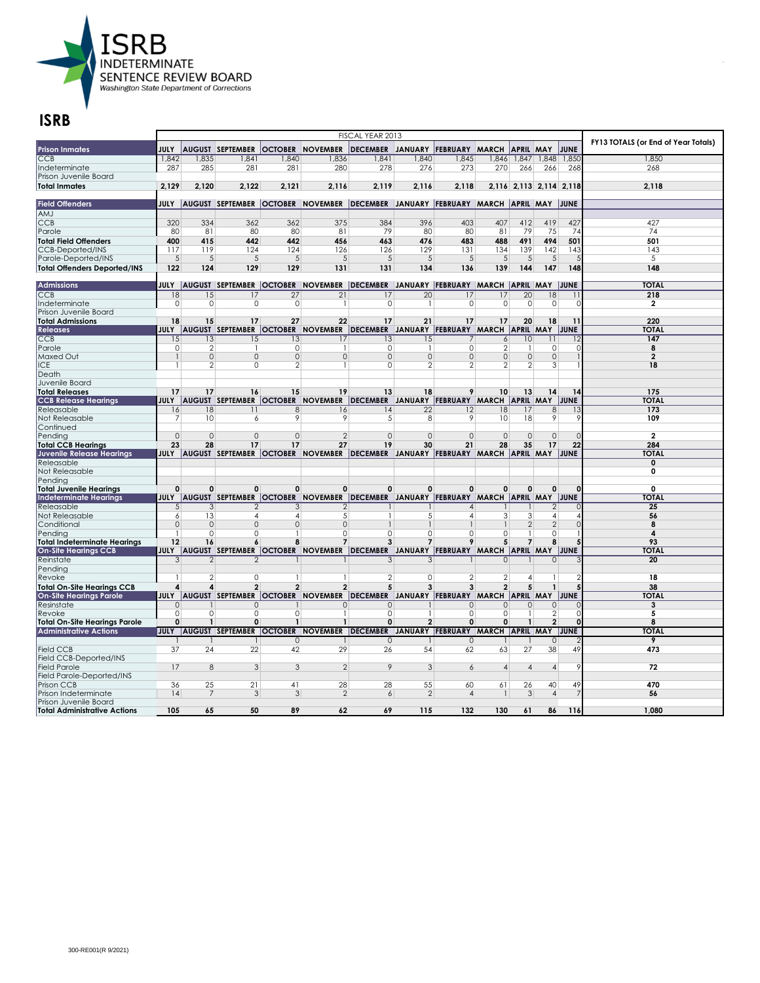

| OCTOBER NOVEMBER DECEMBER JANUARY<br><b>Prison Inmates</b><br><b>JULY</b><br><b>AUGUST SEPTEMBER</b><br>FEBRUARY MARCH APRIL MAY<br>JUNE<br><b>CCB</b><br>1,842<br>1,835<br>1,841<br>1,840<br>1,836<br>1,841<br>1,840<br>1,845<br>1,846 1,847<br>1,848<br>1,850<br>1,850<br>287<br>285<br>281<br>281<br>280<br>278<br>276<br>273<br>270<br>266<br>266<br>268<br>268<br>2,129<br>2,120<br>2.122<br>2,121<br>2,116<br>2.119<br>2,116<br>2,118<br>2,116 2,113 2,114 2,118<br>2,118<br><b>Field Offenders</b><br>JULY<br>AUGUST SEPTEMBER OCTOBER NOVEMBER DECEMBER JANUARY FEBRUARY MARCH APRIL MAY JUNE<br><b>LMA</b><br>334<br>362<br>375<br>384<br>396<br>407<br>412<br>419<br>427<br><b>CCB</b><br>320<br>362<br>403<br>427<br>81<br>79<br>80<br>79<br>Parole<br>80<br>80<br>80<br>81<br>80<br>81<br>75<br>74<br>74<br>400<br>415<br>442<br>442<br>456<br>463<br>476<br>483<br>491<br>501<br>501<br><b>Total Field Offenders</b><br>488<br>494<br>119<br>124<br>126<br>129<br>139<br>CCB-Deported/INS<br>117<br>124<br>126<br>131<br>134<br>142<br>143<br>143<br>5<br>5<br>5<br>5<br>5<br>5<br>5<br>5<br>5<br>5<br>5<br>Parole-Deported/INS<br>5<br>5<br>122<br>124<br>129<br>129<br>131<br>131<br>134<br>136<br>139<br>147<br>148<br>148<br><b>Total Offenders Deported/INS</b><br>144<br><b>TOTAL</b><br>Admissions<br><b>JULY  AUGUST SEPTEMBER  OCTOBER</b><br>NOVEMBER DECEMBER JANUARY FEBRUARY MARCH APRIL MAY JUNE<br>$\overline{27}$<br>$\overline{21}$<br>$\overline{20}$<br>$\overline{20}$<br>$\overline{18}$<br>218<br>18<br>15<br>17<br>17<br>17<br>17<br>$\circ$<br>0<br>$\mathbf 0$<br>$\circ$<br>$\circ$<br>$\mathbf 0$<br>0<br>$\circ$<br>$\circ$<br>$\Omega$<br>$\overline{2}$<br>-1<br>-1<br>27<br>22<br>21<br>220<br>18<br>17<br>17<br>17<br>20<br>15<br>17<br>18<br>11<br>JULY  AUGUST SEPTEMBER  OCTOBER NOVEMBER  DECEMBER JANUARY  FEBRUARY MARCH  APRIL MAY  JUNE<br><b>TOTAL</b><br><b>Releases</b><br>147<br><b>CCB</b><br>13<br>13<br>17<br>13<br>15<br>10<br>11<br>15<br>15<br>7<br>6<br>Parole<br>$\circ$<br>2<br>$\circ$<br>$\mathbf{1}$<br>$\circ$<br>0<br>$\overline{2}$<br>$\circ$<br>8<br>$\mathbf{1}$<br>Ω<br>$\overline{0}$<br>$\overline{0}$<br>$\circ$<br>$\circ$<br>$\mathbf{0}$<br>$\Omega$<br>$\overline{2}$<br>Maxed Out<br>$\mathbf{0}$<br>$\Omega$<br>$\Omega$<br>$\circ$<br><b>ICE</b><br>$\overline{2}$<br>$\circ$<br>$\overline{2}$<br>$\circ$<br>$\overline{2}$<br>2<br>$\overline{2}$<br>$\overline{2}$<br>$\mathbf{3}$<br>18<br>1<br>Death<br>Juvenile Board<br><b>Total Releases</b><br>17<br>17<br>16<br>15<br>19<br>13<br>18<br>9<br>10<br>13<br>14<br>175<br>14<br><b>CCB Release Hearings</b><br><b>JULY   AUGUST SEPTEMBER   OCTOBER</b><br>NOVEMBER DECEMBER JANUARY FEBRUARY MARCH APRIL MAY JUNE<br><b>TOTAL</b><br>Releasable<br>18<br>22<br>18<br>8 <sup>1</sup><br>173<br>16<br>11<br>8<br>16<br>14<br>12<br>17<br>13<br>9<br>10<br>9<br>5 <sup>5</sup><br>18<br>9<br>109<br>Not Releasable<br>7<br>8<br>9<br>10<br>6<br>$\overline{2}$<br>$\mathbf{0}$<br>$\mathbf{0}$<br>$\Omega$<br>$\overline{0}$<br>$\mathbf{0}$<br>$\overline{\mathbf{2}}$<br>$\circ$<br>$\circ$<br>$\mathbf{0}$<br>$\circ$<br>$\mathbf{0}$<br>$\Omega$<br>22<br>284<br><b>Total CCB Hearings</b><br>23<br>28<br>17<br>17<br>27<br>19<br>30<br>21<br>28<br>35<br>17<br>AUGUST SEPTEMBER OCTOBER NOVEMBER DECEMBER JANUARY FEBRUARY MARCH APRIL MAY JUNE<br><b>TOTAI</b><br><b>Juvenile Release Hearings</b><br>JULY<br>Releasable<br>0<br>Not Releasable<br>0<br>Pending<br>$\mathbf{0}$<br><b>Total Juvenile Hearings</b><br>0<br>$\Omega$<br>0<br>$\mathbf 0$<br>0<br>0<br>$\Omega$<br>$\Omega$<br>$\mathbf 0$<br>$\mathbf{0}$<br>O<br>0<br>JULY  AUGUST SEPTEMBER  OCTOBER  NOVEMBER  DECEMBER JANUARY  FEBRUARY  MARCH  APRIL MAY  JUNE<br><b>Indeterminate Hearings</b><br><b>TOTAL</b><br>Releasable<br>$\overline{3}$<br>$\overline{3}$<br>$\overline{2}$<br>25<br>5<br>$\overline{2}$<br>$\overline{2}$<br>$\overline{A}$<br>3<br>3<br>13<br>5<br>$5\overline{5}$<br>56<br>Not Releasable<br>$\epsilon$<br>4<br>4<br>4<br>$\overline{4}$<br>4<br>$\overline{2}$<br>Conditional<br>$\Omega$<br>$\Omega$<br>$\Omega$<br>$\Omega$<br>$\Omega$<br>8<br>$\Omega$<br>$\mathbf{1}$<br>$\overline{2}$<br>$\Omega$<br>$\Omega$<br>$\Omega$<br>$\circ$<br>4<br>0<br>0<br>$\Omega$<br>0<br>-1<br>1<br>12<br>93<br>16<br>6<br>8<br>$\overline{7}$<br>$\mathbf{3}$<br>$\overline{7}$<br>9<br>5<br>$\overline{7}$<br>8<br>JULY AUGUST SEPTEMBER OCTOBER NOVEMBER DECEMBER JANUARY FEBRUARY MARCH APRIL MAY<br>JUNE<br><b>TOTAI</b><br><b>On-Site Hearings CCB</b><br>Reinstate<br>3<br>$\mathfrak{D}$<br>$\Omega$<br>$\Omega$<br>20<br>2<br>3<br>3<br>Pending<br>2<br>0<br>$\mathbf{1}$<br>$\mathbf{1}$<br>$\overline{2}$<br>$\circ$<br>$\overline{2}$<br>2<br>18<br>Revoke<br>Δ<br>$\overline{\phantom{a}}$<br>$\overline{2}$<br>$\overline{\phantom{a}}$<br><b>Total On-Site Hearings CCB</b><br>4<br>$\overline{2}$<br>5<br>3<br>5<br>38<br>4<br>3<br><b>On-Site Hearings Parole</b><br>JULY  AUGUST SEPTEMBER  OCTOBER  NOVEMBER  DECEMBER JANUARY  FEBRUARY  MARCH  APRIL  MAY  JUNE<br><b>TOTAI</b><br>Resinstate<br>$\circ$<br>$\mathbf{0}$<br>3<br>$\Omega$<br>$\Omega$<br>$\Omega$<br>$\Omega$<br>$\Omega$<br>$\mathbf{0}$<br>$\mathbf 0$<br>$\circ$<br>0<br>$\overline{2}$<br>$\Omega$<br>0<br>0<br>0<br>O<br>5<br>Revoke<br>-1<br><b>Total On-Site Hearings Parole</b><br>$\mathbf{0}$<br>$\mathbf{1}$<br>0<br>$\mathbf{1}$<br>$\mathbf{1}$<br>$\mathbf{0}$<br>$\overline{2}$<br>$\mathbf 0$<br>$\mathbf 0$<br>$\mathbf{1}$<br>$\overline{2}$<br>$\mathbf{0}$<br>8<br>JULY AUGUST SEPTEMBER OCTOBER NOVEMBER DECEMBER JANUARY FEBRUARY MARCH APRIL MAY JUNE<br><b>TOTAL</b><br>$\circ$<br>$\mathbf{0}$<br>$\mathbf{0}$<br>$\mathbf{0}$<br>9<br>49<br>37<br>24<br>22<br>29<br>27<br>38<br>473<br>42<br>26<br>54<br>62<br>63<br>17<br>8<br>3<br>3<br>$\overline{2}$<br>9<br>3<br>72<br>6<br>$\overline{4}$<br>$\overline{4}$<br>$\vert$<br>9<br>Field Parole-Deported/INS<br>36<br>$\overline{21}$<br>28<br>28<br>55<br>49<br>470<br>Prison CCB<br>25<br>41<br>60<br>61<br>26<br>40<br>$\mathbf{3}$<br>$\mathbf{3}$<br>Prison Indeterminate<br> 4<br>7<br>3<br>$\overline{2}$<br>$\overline{6}$<br>$\overline{2}$<br>$\overline{4}$<br>7<br>56<br>$\overline{4}$<br>$\mathbf{1}$<br>Prison Juvenile Board<br><b>Total Administrative Actions</b><br>105<br>65<br>50<br>89<br>62<br>69<br>115<br>132<br>130<br>86<br>116<br>1.080<br>61 |                                     |  |  | FISCAL YEAR 2013 |  |  |  | FY13 TOTALS (or End of Year Totals) |
|----------------------------------------------------------------------------------------------------------------------------------------------------------------------------------------------------------------------------------------------------------------------------------------------------------------------------------------------------------------------------------------------------------------------------------------------------------------------------------------------------------------------------------------------------------------------------------------------------------------------------------------------------------------------------------------------------------------------------------------------------------------------------------------------------------------------------------------------------------------------------------------------------------------------------------------------------------------------------------------------------------------------------------------------------------------------------------------------------------------------------------------------------------------------------------------------------------------------------------------------------------------------------------------------------------------------------------------------------------------------------------------------------------------------------------------------------------------------------------------------------------------------------------------------------------------------------------------------------------------------------------------------------------------------------------------------------------------------------------------------------------------------------------------------------------------------------------------------------------------------------------------------------------------------------------------------------------------------------------------------------------------------------------------------------------------------------------------------------------------------------------------------------------------------------------------------------------------------------------------------------------------------------------------------------------------------------------------------------------------------------------------------------------------------------------------------------------------------------------------------------------------------------------------------------------------------------------------------------------------------------------------------------------------------------------------------------------------------------------------------------------------------------------------------------------------------------------------------------------------------------------------------------------------------------------------------------------------------------------------------------------------------------------------------------------------------------------------------------------------------------------------------------------------------------------------------------------------------------------------------------------------------------------------------------------------------------------------------------------------------------------------------------------------------------------------------------------------------------------------------------------------------------------------------------------------------------------------------------------------------------------------------------------------------------------------------------------------------------------------------------------------------------------------------------------------------------------------------------------------------------------------------------------------------------------------------------------------------------------------------------------------------------------------------------------------------------------------------------------------------------------------------------------------------------------------------------------------------------------------------------------------------------------------------------------------------------------------------------------------------------------------------------------------------------------------------------------------------------------------------------------------------------------------------------------------------------------------------------------------------------------------------------------------------------------------------------------------------------------------------------------------------------------------------------------------------------------------------------------------------------------------------------------------------------------------------------------------------------------------------------------------------------------------------------------------------------------------------------------------------------------------------------------------------------------------------------------------------------------------------------------------------------------------------------------------------------------------------------------------------------------------------------------------------------------------------------------------------------------------------------------------------------------------------------------------------------------------------------------------------------------------------------------------------------------------------------------------------------------------------------------------------------------------------------------------------------------------------------------------------------------------------------------------------------------------------------------------------------------------------------------------------------------------------------------------------------------------------------------------------------------------------------------------------------------------------------------------------------------------------------------------------------------------------------------------------------------------------------------------------------------------------------------------------------------------------------------------------------------|-------------------------------------|--|--|------------------|--|--|--|-------------------------------------|
|                                                                                                                                                                                                                                                                                                                                                                                                                                                                                                                                                                                                                                                                                                                                                                                                                                                                                                                                                                                                                                                                                                                                                                                                                                                                                                                                                                                                                                                                                                                                                                                                                                                                                                                                                                                                                                                                                                                                                                                                                                                                                                                                                                                                                                                                                                                                                                                                                                                                                                                                                                                                                                                                                                                                                                                                                                                                                                                                                                                                                                                                                                                                                                                                                                                                                                                                                                                                                                                                                                                                                                                                                                                                                                                                                                                                                                                                                                                                                                                                                                                                                                                                                                                                                                                                                                                                                                                                                                                                                                                                                                                                                                                                                                                                                                                                                                                                                                                                                                                                                                                                                                                                                                                                                                                                                                                                                                                                                                                                                                                                                                                                                                                                                                                                                                                                                                                                                                                                                                                                                                                                                                                                                                                                                                                                                                                                                                                                                                                                                  |                                     |  |  |                  |  |  |  |                                     |
|                                                                                                                                                                                                                                                                                                                                                                                                                                                                                                                                                                                                                                                                                                                                                                                                                                                                                                                                                                                                                                                                                                                                                                                                                                                                                                                                                                                                                                                                                                                                                                                                                                                                                                                                                                                                                                                                                                                                                                                                                                                                                                                                                                                                                                                                                                                                                                                                                                                                                                                                                                                                                                                                                                                                                                                                                                                                                                                                                                                                                                                                                                                                                                                                                                                                                                                                                                                                                                                                                                                                                                                                                                                                                                                                                                                                                                                                                                                                                                                                                                                                                                                                                                                                                                                                                                                                                                                                                                                                                                                                                                                                                                                                                                                                                                                                                                                                                                                                                                                                                                                                                                                                                                                                                                                                                                                                                                                                                                                                                                                                                                                                                                                                                                                                                                                                                                                                                                                                                                                                                                                                                                                                                                                                                                                                                                                                                                                                                                                                                  |                                     |  |  |                  |  |  |  |                                     |
|                                                                                                                                                                                                                                                                                                                                                                                                                                                                                                                                                                                                                                                                                                                                                                                                                                                                                                                                                                                                                                                                                                                                                                                                                                                                                                                                                                                                                                                                                                                                                                                                                                                                                                                                                                                                                                                                                                                                                                                                                                                                                                                                                                                                                                                                                                                                                                                                                                                                                                                                                                                                                                                                                                                                                                                                                                                                                                                                                                                                                                                                                                                                                                                                                                                                                                                                                                                                                                                                                                                                                                                                                                                                                                                                                                                                                                                                                                                                                                                                                                                                                                                                                                                                                                                                                                                                                                                                                                                                                                                                                                                                                                                                                                                                                                                                                                                                                                                                                                                                                                                                                                                                                                                                                                                                                                                                                                                                                                                                                                                                                                                                                                                                                                                                                                                                                                                                                                                                                                                                                                                                                                                                                                                                                                                                                                                                                                                                                                                                                  | Indeterminate                       |  |  |                  |  |  |  |                                     |
|                                                                                                                                                                                                                                                                                                                                                                                                                                                                                                                                                                                                                                                                                                                                                                                                                                                                                                                                                                                                                                                                                                                                                                                                                                                                                                                                                                                                                                                                                                                                                                                                                                                                                                                                                                                                                                                                                                                                                                                                                                                                                                                                                                                                                                                                                                                                                                                                                                                                                                                                                                                                                                                                                                                                                                                                                                                                                                                                                                                                                                                                                                                                                                                                                                                                                                                                                                                                                                                                                                                                                                                                                                                                                                                                                                                                                                                                                                                                                                                                                                                                                                                                                                                                                                                                                                                                                                                                                                                                                                                                                                                                                                                                                                                                                                                                                                                                                                                                                                                                                                                                                                                                                                                                                                                                                                                                                                                                                                                                                                                                                                                                                                                                                                                                                                                                                                                                                                                                                                                                                                                                                                                                                                                                                                                                                                                                                                                                                                                                                  | Prison Juvenile Board               |  |  |                  |  |  |  |                                     |
|                                                                                                                                                                                                                                                                                                                                                                                                                                                                                                                                                                                                                                                                                                                                                                                                                                                                                                                                                                                                                                                                                                                                                                                                                                                                                                                                                                                                                                                                                                                                                                                                                                                                                                                                                                                                                                                                                                                                                                                                                                                                                                                                                                                                                                                                                                                                                                                                                                                                                                                                                                                                                                                                                                                                                                                                                                                                                                                                                                                                                                                                                                                                                                                                                                                                                                                                                                                                                                                                                                                                                                                                                                                                                                                                                                                                                                                                                                                                                                                                                                                                                                                                                                                                                                                                                                                                                                                                                                                                                                                                                                                                                                                                                                                                                                                                                                                                                                                                                                                                                                                                                                                                                                                                                                                                                                                                                                                                                                                                                                                                                                                                                                                                                                                                                                                                                                                                                                                                                                                                                                                                                                                                                                                                                                                                                                                                                                                                                                                                                  | <b>Total Inmates</b>                |  |  |                  |  |  |  |                                     |
|                                                                                                                                                                                                                                                                                                                                                                                                                                                                                                                                                                                                                                                                                                                                                                                                                                                                                                                                                                                                                                                                                                                                                                                                                                                                                                                                                                                                                                                                                                                                                                                                                                                                                                                                                                                                                                                                                                                                                                                                                                                                                                                                                                                                                                                                                                                                                                                                                                                                                                                                                                                                                                                                                                                                                                                                                                                                                                                                                                                                                                                                                                                                                                                                                                                                                                                                                                                                                                                                                                                                                                                                                                                                                                                                                                                                                                                                                                                                                                                                                                                                                                                                                                                                                                                                                                                                                                                                                                                                                                                                                                                                                                                                                                                                                                                                                                                                                                                                                                                                                                                                                                                                                                                                                                                                                                                                                                                                                                                                                                                                                                                                                                                                                                                                                                                                                                                                                                                                                                                                                                                                                                                                                                                                                                                                                                                                                                                                                                                                                  |                                     |  |  |                  |  |  |  |                                     |
|                                                                                                                                                                                                                                                                                                                                                                                                                                                                                                                                                                                                                                                                                                                                                                                                                                                                                                                                                                                                                                                                                                                                                                                                                                                                                                                                                                                                                                                                                                                                                                                                                                                                                                                                                                                                                                                                                                                                                                                                                                                                                                                                                                                                                                                                                                                                                                                                                                                                                                                                                                                                                                                                                                                                                                                                                                                                                                                                                                                                                                                                                                                                                                                                                                                                                                                                                                                                                                                                                                                                                                                                                                                                                                                                                                                                                                                                                                                                                                                                                                                                                                                                                                                                                                                                                                                                                                                                                                                                                                                                                                                                                                                                                                                                                                                                                                                                                                                                                                                                                                                                                                                                                                                                                                                                                                                                                                                                                                                                                                                                                                                                                                                                                                                                                                                                                                                                                                                                                                                                                                                                                                                                                                                                                                                                                                                                                                                                                                                                                  |                                     |  |  |                  |  |  |  |                                     |
|                                                                                                                                                                                                                                                                                                                                                                                                                                                                                                                                                                                                                                                                                                                                                                                                                                                                                                                                                                                                                                                                                                                                                                                                                                                                                                                                                                                                                                                                                                                                                                                                                                                                                                                                                                                                                                                                                                                                                                                                                                                                                                                                                                                                                                                                                                                                                                                                                                                                                                                                                                                                                                                                                                                                                                                                                                                                                                                                                                                                                                                                                                                                                                                                                                                                                                                                                                                                                                                                                                                                                                                                                                                                                                                                                                                                                                                                                                                                                                                                                                                                                                                                                                                                                                                                                                                                                                                                                                                                                                                                                                                                                                                                                                                                                                                                                                                                                                                                                                                                                                                                                                                                                                                                                                                                                                                                                                                                                                                                                                                                                                                                                                                                                                                                                                                                                                                                                                                                                                                                                                                                                                                                                                                                                                                                                                                                                                                                                                                                                  |                                     |  |  |                  |  |  |  |                                     |
|                                                                                                                                                                                                                                                                                                                                                                                                                                                                                                                                                                                                                                                                                                                                                                                                                                                                                                                                                                                                                                                                                                                                                                                                                                                                                                                                                                                                                                                                                                                                                                                                                                                                                                                                                                                                                                                                                                                                                                                                                                                                                                                                                                                                                                                                                                                                                                                                                                                                                                                                                                                                                                                                                                                                                                                                                                                                                                                                                                                                                                                                                                                                                                                                                                                                                                                                                                                                                                                                                                                                                                                                                                                                                                                                                                                                                                                                                                                                                                                                                                                                                                                                                                                                                                                                                                                                                                                                                                                                                                                                                                                                                                                                                                                                                                                                                                                                                                                                                                                                                                                                                                                                                                                                                                                                                                                                                                                                                                                                                                                                                                                                                                                                                                                                                                                                                                                                                                                                                                                                                                                                                                                                                                                                                                                                                                                                                                                                                                                                                  |                                     |  |  |                  |  |  |  |                                     |
|                                                                                                                                                                                                                                                                                                                                                                                                                                                                                                                                                                                                                                                                                                                                                                                                                                                                                                                                                                                                                                                                                                                                                                                                                                                                                                                                                                                                                                                                                                                                                                                                                                                                                                                                                                                                                                                                                                                                                                                                                                                                                                                                                                                                                                                                                                                                                                                                                                                                                                                                                                                                                                                                                                                                                                                                                                                                                                                                                                                                                                                                                                                                                                                                                                                                                                                                                                                                                                                                                                                                                                                                                                                                                                                                                                                                                                                                                                                                                                                                                                                                                                                                                                                                                                                                                                                                                                                                                                                                                                                                                                                                                                                                                                                                                                                                                                                                                                                                                                                                                                                                                                                                                                                                                                                                                                                                                                                                                                                                                                                                                                                                                                                                                                                                                                                                                                                                                                                                                                                                                                                                                                                                                                                                                                                                                                                                                                                                                                                                                  |                                     |  |  |                  |  |  |  |                                     |
|                                                                                                                                                                                                                                                                                                                                                                                                                                                                                                                                                                                                                                                                                                                                                                                                                                                                                                                                                                                                                                                                                                                                                                                                                                                                                                                                                                                                                                                                                                                                                                                                                                                                                                                                                                                                                                                                                                                                                                                                                                                                                                                                                                                                                                                                                                                                                                                                                                                                                                                                                                                                                                                                                                                                                                                                                                                                                                                                                                                                                                                                                                                                                                                                                                                                                                                                                                                                                                                                                                                                                                                                                                                                                                                                                                                                                                                                                                                                                                                                                                                                                                                                                                                                                                                                                                                                                                                                                                                                                                                                                                                                                                                                                                                                                                                                                                                                                                                                                                                                                                                                                                                                                                                                                                                                                                                                                                                                                                                                                                                                                                                                                                                                                                                                                                                                                                                                                                                                                                                                                                                                                                                                                                                                                                                                                                                                                                                                                                                                                  |                                     |  |  |                  |  |  |  |                                     |
|                                                                                                                                                                                                                                                                                                                                                                                                                                                                                                                                                                                                                                                                                                                                                                                                                                                                                                                                                                                                                                                                                                                                                                                                                                                                                                                                                                                                                                                                                                                                                                                                                                                                                                                                                                                                                                                                                                                                                                                                                                                                                                                                                                                                                                                                                                                                                                                                                                                                                                                                                                                                                                                                                                                                                                                                                                                                                                                                                                                                                                                                                                                                                                                                                                                                                                                                                                                                                                                                                                                                                                                                                                                                                                                                                                                                                                                                                                                                                                                                                                                                                                                                                                                                                                                                                                                                                                                                                                                                                                                                                                                                                                                                                                                                                                                                                                                                                                                                                                                                                                                                                                                                                                                                                                                                                                                                                                                                                                                                                                                                                                                                                                                                                                                                                                                                                                                                                                                                                                                                                                                                                                                                                                                                                                                                                                                                                                                                                                                                                  |                                     |  |  |                  |  |  |  |                                     |
|                                                                                                                                                                                                                                                                                                                                                                                                                                                                                                                                                                                                                                                                                                                                                                                                                                                                                                                                                                                                                                                                                                                                                                                                                                                                                                                                                                                                                                                                                                                                                                                                                                                                                                                                                                                                                                                                                                                                                                                                                                                                                                                                                                                                                                                                                                                                                                                                                                                                                                                                                                                                                                                                                                                                                                                                                                                                                                                                                                                                                                                                                                                                                                                                                                                                                                                                                                                                                                                                                                                                                                                                                                                                                                                                                                                                                                                                                                                                                                                                                                                                                                                                                                                                                                                                                                                                                                                                                                                                                                                                                                                                                                                                                                                                                                                                                                                                                                                                                                                                                                                                                                                                                                                                                                                                                                                                                                                                                                                                                                                                                                                                                                                                                                                                                                                                                                                                                                                                                                                                                                                                                                                                                                                                                                                                                                                                                                                                                                                                                  |                                     |  |  |                  |  |  |  |                                     |
|                                                                                                                                                                                                                                                                                                                                                                                                                                                                                                                                                                                                                                                                                                                                                                                                                                                                                                                                                                                                                                                                                                                                                                                                                                                                                                                                                                                                                                                                                                                                                                                                                                                                                                                                                                                                                                                                                                                                                                                                                                                                                                                                                                                                                                                                                                                                                                                                                                                                                                                                                                                                                                                                                                                                                                                                                                                                                                                                                                                                                                                                                                                                                                                                                                                                                                                                                                                                                                                                                                                                                                                                                                                                                                                                                                                                                                                                                                                                                                                                                                                                                                                                                                                                                                                                                                                                                                                                                                                                                                                                                                                                                                                                                                                                                                                                                                                                                                                                                                                                                                                                                                                                                                                                                                                                                                                                                                                                                                                                                                                                                                                                                                                                                                                                                                                                                                                                                                                                                                                                                                                                                                                                                                                                                                                                                                                                                                                                                                                                                  |                                     |  |  |                  |  |  |  |                                     |
|                                                                                                                                                                                                                                                                                                                                                                                                                                                                                                                                                                                                                                                                                                                                                                                                                                                                                                                                                                                                                                                                                                                                                                                                                                                                                                                                                                                                                                                                                                                                                                                                                                                                                                                                                                                                                                                                                                                                                                                                                                                                                                                                                                                                                                                                                                                                                                                                                                                                                                                                                                                                                                                                                                                                                                                                                                                                                                                                                                                                                                                                                                                                                                                                                                                                                                                                                                                                                                                                                                                                                                                                                                                                                                                                                                                                                                                                                                                                                                                                                                                                                                                                                                                                                                                                                                                                                                                                                                                                                                                                                                                                                                                                                                                                                                                                                                                                                                                                                                                                                                                                                                                                                                                                                                                                                                                                                                                                                                                                                                                                                                                                                                                                                                                                                                                                                                                                                                                                                                                                                                                                                                                                                                                                                                                                                                                                                                                                                                                                                  |                                     |  |  |                  |  |  |  |                                     |
|                                                                                                                                                                                                                                                                                                                                                                                                                                                                                                                                                                                                                                                                                                                                                                                                                                                                                                                                                                                                                                                                                                                                                                                                                                                                                                                                                                                                                                                                                                                                                                                                                                                                                                                                                                                                                                                                                                                                                                                                                                                                                                                                                                                                                                                                                                                                                                                                                                                                                                                                                                                                                                                                                                                                                                                                                                                                                                                                                                                                                                                                                                                                                                                                                                                                                                                                                                                                                                                                                                                                                                                                                                                                                                                                                                                                                                                                                                                                                                                                                                                                                                                                                                                                                                                                                                                                                                                                                                                                                                                                                                                                                                                                                                                                                                                                                                                                                                                                                                                                                                                                                                                                                                                                                                                                                                                                                                                                                                                                                                                                                                                                                                                                                                                                                                                                                                                                                                                                                                                                                                                                                                                                                                                                                                                                                                                                                                                                                                                                                  | <b>CCB</b>                          |  |  |                  |  |  |  |                                     |
|                                                                                                                                                                                                                                                                                                                                                                                                                                                                                                                                                                                                                                                                                                                                                                                                                                                                                                                                                                                                                                                                                                                                                                                                                                                                                                                                                                                                                                                                                                                                                                                                                                                                                                                                                                                                                                                                                                                                                                                                                                                                                                                                                                                                                                                                                                                                                                                                                                                                                                                                                                                                                                                                                                                                                                                                                                                                                                                                                                                                                                                                                                                                                                                                                                                                                                                                                                                                                                                                                                                                                                                                                                                                                                                                                                                                                                                                                                                                                                                                                                                                                                                                                                                                                                                                                                                                                                                                                                                                                                                                                                                                                                                                                                                                                                                                                                                                                                                                                                                                                                                                                                                                                                                                                                                                                                                                                                                                                                                                                                                                                                                                                                                                                                                                                                                                                                                                                                                                                                                                                                                                                                                                                                                                                                                                                                                                                                                                                                                                                  | lIndeterminate                      |  |  |                  |  |  |  |                                     |
|                                                                                                                                                                                                                                                                                                                                                                                                                                                                                                                                                                                                                                                                                                                                                                                                                                                                                                                                                                                                                                                                                                                                                                                                                                                                                                                                                                                                                                                                                                                                                                                                                                                                                                                                                                                                                                                                                                                                                                                                                                                                                                                                                                                                                                                                                                                                                                                                                                                                                                                                                                                                                                                                                                                                                                                                                                                                                                                                                                                                                                                                                                                                                                                                                                                                                                                                                                                                                                                                                                                                                                                                                                                                                                                                                                                                                                                                                                                                                                                                                                                                                                                                                                                                                                                                                                                                                                                                                                                                                                                                                                                                                                                                                                                                                                                                                                                                                                                                                                                                                                                                                                                                                                                                                                                                                                                                                                                                                                                                                                                                                                                                                                                                                                                                                                                                                                                                                                                                                                                                                                                                                                                                                                                                                                                                                                                                                                                                                                                                                  | Prison Juvenile Board               |  |  |                  |  |  |  |                                     |
|                                                                                                                                                                                                                                                                                                                                                                                                                                                                                                                                                                                                                                                                                                                                                                                                                                                                                                                                                                                                                                                                                                                                                                                                                                                                                                                                                                                                                                                                                                                                                                                                                                                                                                                                                                                                                                                                                                                                                                                                                                                                                                                                                                                                                                                                                                                                                                                                                                                                                                                                                                                                                                                                                                                                                                                                                                                                                                                                                                                                                                                                                                                                                                                                                                                                                                                                                                                                                                                                                                                                                                                                                                                                                                                                                                                                                                                                                                                                                                                                                                                                                                                                                                                                                                                                                                                                                                                                                                                                                                                                                                                                                                                                                                                                                                                                                                                                                                                                                                                                                                                                                                                                                                                                                                                                                                                                                                                                                                                                                                                                                                                                                                                                                                                                                                                                                                                                                                                                                                                                                                                                                                                                                                                                                                                                                                                                                                                                                                                                                  | <b>Total Admissions</b>             |  |  |                  |  |  |  |                                     |
|                                                                                                                                                                                                                                                                                                                                                                                                                                                                                                                                                                                                                                                                                                                                                                                                                                                                                                                                                                                                                                                                                                                                                                                                                                                                                                                                                                                                                                                                                                                                                                                                                                                                                                                                                                                                                                                                                                                                                                                                                                                                                                                                                                                                                                                                                                                                                                                                                                                                                                                                                                                                                                                                                                                                                                                                                                                                                                                                                                                                                                                                                                                                                                                                                                                                                                                                                                                                                                                                                                                                                                                                                                                                                                                                                                                                                                                                                                                                                                                                                                                                                                                                                                                                                                                                                                                                                                                                                                                                                                                                                                                                                                                                                                                                                                                                                                                                                                                                                                                                                                                                                                                                                                                                                                                                                                                                                                                                                                                                                                                                                                                                                                                                                                                                                                                                                                                                                                                                                                                                                                                                                                                                                                                                                                                                                                                                                                                                                                                                                  |                                     |  |  |                  |  |  |  |                                     |
|                                                                                                                                                                                                                                                                                                                                                                                                                                                                                                                                                                                                                                                                                                                                                                                                                                                                                                                                                                                                                                                                                                                                                                                                                                                                                                                                                                                                                                                                                                                                                                                                                                                                                                                                                                                                                                                                                                                                                                                                                                                                                                                                                                                                                                                                                                                                                                                                                                                                                                                                                                                                                                                                                                                                                                                                                                                                                                                                                                                                                                                                                                                                                                                                                                                                                                                                                                                                                                                                                                                                                                                                                                                                                                                                                                                                                                                                                                                                                                                                                                                                                                                                                                                                                                                                                                                                                                                                                                                                                                                                                                                                                                                                                                                                                                                                                                                                                                                                                                                                                                                                                                                                                                                                                                                                                                                                                                                                                                                                                                                                                                                                                                                                                                                                                                                                                                                                                                                                                                                                                                                                                                                                                                                                                                                                                                                                                                                                                                                                                  |                                     |  |  |                  |  |  |  |                                     |
|                                                                                                                                                                                                                                                                                                                                                                                                                                                                                                                                                                                                                                                                                                                                                                                                                                                                                                                                                                                                                                                                                                                                                                                                                                                                                                                                                                                                                                                                                                                                                                                                                                                                                                                                                                                                                                                                                                                                                                                                                                                                                                                                                                                                                                                                                                                                                                                                                                                                                                                                                                                                                                                                                                                                                                                                                                                                                                                                                                                                                                                                                                                                                                                                                                                                                                                                                                                                                                                                                                                                                                                                                                                                                                                                                                                                                                                                                                                                                                                                                                                                                                                                                                                                                                                                                                                                                                                                                                                                                                                                                                                                                                                                                                                                                                                                                                                                                                                                                                                                                                                                                                                                                                                                                                                                                                                                                                                                                                                                                                                                                                                                                                                                                                                                                                                                                                                                                                                                                                                                                                                                                                                                                                                                                                                                                                                                                                                                                                                                                  |                                     |  |  |                  |  |  |  |                                     |
|                                                                                                                                                                                                                                                                                                                                                                                                                                                                                                                                                                                                                                                                                                                                                                                                                                                                                                                                                                                                                                                                                                                                                                                                                                                                                                                                                                                                                                                                                                                                                                                                                                                                                                                                                                                                                                                                                                                                                                                                                                                                                                                                                                                                                                                                                                                                                                                                                                                                                                                                                                                                                                                                                                                                                                                                                                                                                                                                                                                                                                                                                                                                                                                                                                                                                                                                                                                                                                                                                                                                                                                                                                                                                                                                                                                                                                                                                                                                                                                                                                                                                                                                                                                                                                                                                                                                                                                                                                                                                                                                                                                                                                                                                                                                                                                                                                                                                                                                                                                                                                                                                                                                                                                                                                                                                                                                                                                                                                                                                                                                                                                                                                                                                                                                                                                                                                                                                                                                                                                                                                                                                                                                                                                                                                                                                                                                                                                                                                                                                  |                                     |  |  |                  |  |  |  |                                     |
|                                                                                                                                                                                                                                                                                                                                                                                                                                                                                                                                                                                                                                                                                                                                                                                                                                                                                                                                                                                                                                                                                                                                                                                                                                                                                                                                                                                                                                                                                                                                                                                                                                                                                                                                                                                                                                                                                                                                                                                                                                                                                                                                                                                                                                                                                                                                                                                                                                                                                                                                                                                                                                                                                                                                                                                                                                                                                                                                                                                                                                                                                                                                                                                                                                                                                                                                                                                                                                                                                                                                                                                                                                                                                                                                                                                                                                                                                                                                                                                                                                                                                                                                                                                                                                                                                                                                                                                                                                                                                                                                                                                                                                                                                                                                                                                                                                                                                                                                                                                                                                                                                                                                                                                                                                                                                                                                                                                                                                                                                                                                                                                                                                                                                                                                                                                                                                                                                                                                                                                                                                                                                                                                                                                                                                                                                                                                                                                                                                                                                  |                                     |  |  |                  |  |  |  |                                     |
|                                                                                                                                                                                                                                                                                                                                                                                                                                                                                                                                                                                                                                                                                                                                                                                                                                                                                                                                                                                                                                                                                                                                                                                                                                                                                                                                                                                                                                                                                                                                                                                                                                                                                                                                                                                                                                                                                                                                                                                                                                                                                                                                                                                                                                                                                                                                                                                                                                                                                                                                                                                                                                                                                                                                                                                                                                                                                                                                                                                                                                                                                                                                                                                                                                                                                                                                                                                                                                                                                                                                                                                                                                                                                                                                                                                                                                                                                                                                                                                                                                                                                                                                                                                                                                                                                                                                                                                                                                                                                                                                                                                                                                                                                                                                                                                                                                                                                                                                                                                                                                                                                                                                                                                                                                                                                                                                                                                                                                                                                                                                                                                                                                                                                                                                                                                                                                                                                                                                                                                                                                                                                                                                                                                                                                                                                                                                                                                                                                                                                  |                                     |  |  |                  |  |  |  |                                     |
|                                                                                                                                                                                                                                                                                                                                                                                                                                                                                                                                                                                                                                                                                                                                                                                                                                                                                                                                                                                                                                                                                                                                                                                                                                                                                                                                                                                                                                                                                                                                                                                                                                                                                                                                                                                                                                                                                                                                                                                                                                                                                                                                                                                                                                                                                                                                                                                                                                                                                                                                                                                                                                                                                                                                                                                                                                                                                                                                                                                                                                                                                                                                                                                                                                                                                                                                                                                                                                                                                                                                                                                                                                                                                                                                                                                                                                                                                                                                                                                                                                                                                                                                                                                                                                                                                                                                                                                                                                                                                                                                                                                                                                                                                                                                                                                                                                                                                                                                                                                                                                                                                                                                                                                                                                                                                                                                                                                                                                                                                                                                                                                                                                                                                                                                                                                                                                                                                                                                                                                                                                                                                                                                                                                                                                                                                                                                                                                                                                                                                  |                                     |  |  |                  |  |  |  |                                     |
|                                                                                                                                                                                                                                                                                                                                                                                                                                                                                                                                                                                                                                                                                                                                                                                                                                                                                                                                                                                                                                                                                                                                                                                                                                                                                                                                                                                                                                                                                                                                                                                                                                                                                                                                                                                                                                                                                                                                                                                                                                                                                                                                                                                                                                                                                                                                                                                                                                                                                                                                                                                                                                                                                                                                                                                                                                                                                                                                                                                                                                                                                                                                                                                                                                                                                                                                                                                                                                                                                                                                                                                                                                                                                                                                                                                                                                                                                                                                                                                                                                                                                                                                                                                                                                                                                                                                                                                                                                                                                                                                                                                                                                                                                                                                                                                                                                                                                                                                                                                                                                                                                                                                                                                                                                                                                                                                                                                                                                                                                                                                                                                                                                                                                                                                                                                                                                                                                                                                                                                                                                                                                                                                                                                                                                                                                                                                                                                                                                                                                  |                                     |  |  |                  |  |  |  |                                     |
|                                                                                                                                                                                                                                                                                                                                                                                                                                                                                                                                                                                                                                                                                                                                                                                                                                                                                                                                                                                                                                                                                                                                                                                                                                                                                                                                                                                                                                                                                                                                                                                                                                                                                                                                                                                                                                                                                                                                                                                                                                                                                                                                                                                                                                                                                                                                                                                                                                                                                                                                                                                                                                                                                                                                                                                                                                                                                                                                                                                                                                                                                                                                                                                                                                                                                                                                                                                                                                                                                                                                                                                                                                                                                                                                                                                                                                                                                                                                                                                                                                                                                                                                                                                                                                                                                                                                                                                                                                                                                                                                                                                                                                                                                                                                                                                                                                                                                                                                                                                                                                                                                                                                                                                                                                                                                                                                                                                                                                                                                                                                                                                                                                                                                                                                                                                                                                                                                                                                                                                                                                                                                                                                                                                                                                                                                                                                                                                                                                                                                  |                                     |  |  |                  |  |  |  |                                     |
|                                                                                                                                                                                                                                                                                                                                                                                                                                                                                                                                                                                                                                                                                                                                                                                                                                                                                                                                                                                                                                                                                                                                                                                                                                                                                                                                                                                                                                                                                                                                                                                                                                                                                                                                                                                                                                                                                                                                                                                                                                                                                                                                                                                                                                                                                                                                                                                                                                                                                                                                                                                                                                                                                                                                                                                                                                                                                                                                                                                                                                                                                                                                                                                                                                                                                                                                                                                                                                                                                                                                                                                                                                                                                                                                                                                                                                                                                                                                                                                                                                                                                                                                                                                                                                                                                                                                                                                                                                                                                                                                                                                                                                                                                                                                                                                                                                                                                                                                                                                                                                                                                                                                                                                                                                                                                                                                                                                                                                                                                                                                                                                                                                                                                                                                                                                                                                                                                                                                                                                                                                                                                                                                                                                                                                                                                                                                                                                                                                                                                  |                                     |  |  |                  |  |  |  |                                     |
|                                                                                                                                                                                                                                                                                                                                                                                                                                                                                                                                                                                                                                                                                                                                                                                                                                                                                                                                                                                                                                                                                                                                                                                                                                                                                                                                                                                                                                                                                                                                                                                                                                                                                                                                                                                                                                                                                                                                                                                                                                                                                                                                                                                                                                                                                                                                                                                                                                                                                                                                                                                                                                                                                                                                                                                                                                                                                                                                                                                                                                                                                                                                                                                                                                                                                                                                                                                                                                                                                                                                                                                                                                                                                                                                                                                                                                                                                                                                                                                                                                                                                                                                                                                                                                                                                                                                                                                                                                                                                                                                                                                                                                                                                                                                                                                                                                                                                                                                                                                                                                                                                                                                                                                                                                                                                                                                                                                                                                                                                                                                                                                                                                                                                                                                                                                                                                                                                                                                                                                                                                                                                                                                                                                                                                                                                                                                                                                                                                                                                  | Continued                           |  |  |                  |  |  |  |                                     |
|                                                                                                                                                                                                                                                                                                                                                                                                                                                                                                                                                                                                                                                                                                                                                                                                                                                                                                                                                                                                                                                                                                                                                                                                                                                                                                                                                                                                                                                                                                                                                                                                                                                                                                                                                                                                                                                                                                                                                                                                                                                                                                                                                                                                                                                                                                                                                                                                                                                                                                                                                                                                                                                                                                                                                                                                                                                                                                                                                                                                                                                                                                                                                                                                                                                                                                                                                                                                                                                                                                                                                                                                                                                                                                                                                                                                                                                                                                                                                                                                                                                                                                                                                                                                                                                                                                                                                                                                                                                                                                                                                                                                                                                                                                                                                                                                                                                                                                                                                                                                                                                                                                                                                                                                                                                                                                                                                                                                                                                                                                                                                                                                                                                                                                                                                                                                                                                                                                                                                                                                                                                                                                                                                                                                                                                                                                                                                                                                                                                                                  | Pending                             |  |  |                  |  |  |  |                                     |
|                                                                                                                                                                                                                                                                                                                                                                                                                                                                                                                                                                                                                                                                                                                                                                                                                                                                                                                                                                                                                                                                                                                                                                                                                                                                                                                                                                                                                                                                                                                                                                                                                                                                                                                                                                                                                                                                                                                                                                                                                                                                                                                                                                                                                                                                                                                                                                                                                                                                                                                                                                                                                                                                                                                                                                                                                                                                                                                                                                                                                                                                                                                                                                                                                                                                                                                                                                                                                                                                                                                                                                                                                                                                                                                                                                                                                                                                                                                                                                                                                                                                                                                                                                                                                                                                                                                                                                                                                                                                                                                                                                                                                                                                                                                                                                                                                                                                                                                                                                                                                                                                                                                                                                                                                                                                                                                                                                                                                                                                                                                                                                                                                                                                                                                                                                                                                                                                                                                                                                                                                                                                                                                                                                                                                                                                                                                                                                                                                                                                                  |                                     |  |  |                  |  |  |  |                                     |
|                                                                                                                                                                                                                                                                                                                                                                                                                                                                                                                                                                                                                                                                                                                                                                                                                                                                                                                                                                                                                                                                                                                                                                                                                                                                                                                                                                                                                                                                                                                                                                                                                                                                                                                                                                                                                                                                                                                                                                                                                                                                                                                                                                                                                                                                                                                                                                                                                                                                                                                                                                                                                                                                                                                                                                                                                                                                                                                                                                                                                                                                                                                                                                                                                                                                                                                                                                                                                                                                                                                                                                                                                                                                                                                                                                                                                                                                                                                                                                                                                                                                                                                                                                                                                                                                                                                                                                                                                                                                                                                                                                                                                                                                                                                                                                                                                                                                                                                                                                                                                                                                                                                                                                                                                                                                                                                                                                                                                                                                                                                                                                                                                                                                                                                                                                                                                                                                                                                                                                                                                                                                                                                                                                                                                                                                                                                                                                                                                                                                                  |                                     |  |  |                  |  |  |  |                                     |
|                                                                                                                                                                                                                                                                                                                                                                                                                                                                                                                                                                                                                                                                                                                                                                                                                                                                                                                                                                                                                                                                                                                                                                                                                                                                                                                                                                                                                                                                                                                                                                                                                                                                                                                                                                                                                                                                                                                                                                                                                                                                                                                                                                                                                                                                                                                                                                                                                                                                                                                                                                                                                                                                                                                                                                                                                                                                                                                                                                                                                                                                                                                                                                                                                                                                                                                                                                                                                                                                                                                                                                                                                                                                                                                                                                                                                                                                                                                                                                                                                                                                                                                                                                                                                                                                                                                                                                                                                                                                                                                                                                                                                                                                                                                                                                                                                                                                                                                                                                                                                                                                                                                                                                                                                                                                                                                                                                                                                                                                                                                                                                                                                                                                                                                                                                                                                                                                                                                                                                                                                                                                                                                                                                                                                                                                                                                                                                                                                                                                                  |                                     |  |  |                  |  |  |  |                                     |
|                                                                                                                                                                                                                                                                                                                                                                                                                                                                                                                                                                                                                                                                                                                                                                                                                                                                                                                                                                                                                                                                                                                                                                                                                                                                                                                                                                                                                                                                                                                                                                                                                                                                                                                                                                                                                                                                                                                                                                                                                                                                                                                                                                                                                                                                                                                                                                                                                                                                                                                                                                                                                                                                                                                                                                                                                                                                                                                                                                                                                                                                                                                                                                                                                                                                                                                                                                                                                                                                                                                                                                                                                                                                                                                                                                                                                                                                                                                                                                                                                                                                                                                                                                                                                                                                                                                                                                                                                                                                                                                                                                                                                                                                                                                                                                                                                                                                                                                                                                                                                                                                                                                                                                                                                                                                                                                                                                                                                                                                                                                                                                                                                                                                                                                                                                                                                                                                                                                                                                                                                                                                                                                                                                                                                                                                                                                                                                                                                                                                                  |                                     |  |  |                  |  |  |  |                                     |
|                                                                                                                                                                                                                                                                                                                                                                                                                                                                                                                                                                                                                                                                                                                                                                                                                                                                                                                                                                                                                                                                                                                                                                                                                                                                                                                                                                                                                                                                                                                                                                                                                                                                                                                                                                                                                                                                                                                                                                                                                                                                                                                                                                                                                                                                                                                                                                                                                                                                                                                                                                                                                                                                                                                                                                                                                                                                                                                                                                                                                                                                                                                                                                                                                                                                                                                                                                                                                                                                                                                                                                                                                                                                                                                                                                                                                                                                                                                                                                                                                                                                                                                                                                                                                                                                                                                                                                                                                                                                                                                                                                                                                                                                                                                                                                                                                                                                                                                                                                                                                                                                                                                                                                                                                                                                                                                                                                                                                                                                                                                                                                                                                                                                                                                                                                                                                                                                                                                                                                                                                                                                                                                                                                                                                                                                                                                                                                                                                                                                                  |                                     |  |  |                  |  |  |  |                                     |
|                                                                                                                                                                                                                                                                                                                                                                                                                                                                                                                                                                                                                                                                                                                                                                                                                                                                                                                                                                                                                                                                                                                                                                                                                                                                                                                                                                                                                                                                                                                                                                                                                                                                                                                                                                                                                                                                                                                                                                                                                                                                                                                                                                                                                                                                                                                                                                                                                                                                                                                                                                                                                                                                                                                                                                                                                                                                                                                                                                                                                                                                                                                                                                                                                                                                                                                                                                                                                                                                                                                                                                                                                                                                                                                                                                                                                                                                                                                                                                                                                                                                                                                                                                                                                                                                                                                                                                                                                                                                                                                                                                                                                                                                                                                                                                                                                                                                                                                                                                                                                                                                                                                                                                                                                                                                                                                                                                                                                                                                                                                                                                                                                                                                                                                                                                                                                                                                                                                                                                                                                                                                                                                                                                                                                                                                                                                                                                                                                                                                                  |                                     |  |  |                  |  |  |  |                                     |
|                                                                                                                                                                                                                                                                                                                                                                                                                                                                                                                                                                                                                                                                                                                                                                                                                                                                                                                                                                                                                                                                                                                                                                                                                                                                                                                                                                                                                                                                                                                                                                                                                                                                                                                                                                                                                                                                                                                                                                                                                                                                                                                                                                                                                                                                                                                                                                                                                                                                                                                                                                                                                                                                                                                                                                                                                                                                                                                                                                                                                                                                                                                                                                                                                                                                                                                                                                                                                                                                                                                                                                                                                                                                                                                                                                                                                                                                                                                                                                                                                                                                                                                                                                                                                                                                                                                                                                                                                                                                                                                                                                                                                                                                                                                                                                                                                                                                                                                                                                                                                                                                                                                                                                                                                                                                                                                                                                                                                                                                                                                                                                                                                                                                                                                                                                                                                                                                                                                                                                                                                                                                                                                                                                                                                                                                                                                                                                                                                                                                                  |                                     |  |  |                  |  |  |  |                                     |
|                                                                                                                                                                                                                                                                                                                                                                                                                                                                                                                                                                                                                                                                                                                                                                                                                                                                                                                                                                                                                                                                                                                                                                                                                                                                                                                                                                                                                                                                                                                                                                                                                                                                                                                                                                                                                                                                                                                                                                                                                                                                                                                                                                                                                                                                                                                                                                                                                                                                                                                                                                                                                                                                                                                                                                                                                                                                                                                                                                                                                                                                                                                                                                                                                                                                                                                                                                                                                                                                                                                                                                                                                                                                                                                                                                                                                                                                                                                                                                                                                                                                                                                                                                                                                                                                                                                                                                                                                                                                                                                                                                                                                                                                                                                                                                                                                                                                                                                                                                                                                                                                                                                                                                                                                                                                                                                                                                                                                                                                                                                                                                                                                                                                                                                                                                                                                                                                                                                                                                                                                                                                                                                                                                                                                                                                                                                                                                                                                                                                                  |                                     |  |  |                  |  |  |  |                                     |
|                                                                                                                                                                                                                                                                                                                                                                                                                                                                                                                                                                                                                                                                                                                                                                                                                                                                                                                                                                                                                                                                                                                                                                                                                                                                                                                                                                                                                                                                                                                                                                                                                                                                                                                                                                                                                                                                                                                                                                                                                                                                                                                                                                                                                                                                                                                                                                                                                                                                                                                                                                                                                                                                                                                                                                                                                                                                                                                                                                                                                                                                                                                                                                                                                                                                                                                                                                                                                                                                                                                                                                                                                                                                                                                                                                                                                                                                                                                                                                                                                                                                                                                                                                                                                                                                                                                                                                                                                                                                                                                                                                                                                                                                                                                                                                                                                                                                                                                                                                                                                                                                                                                                                                                                                                                                                                                                                                                                                                                                                                                                                                                                                                                                                                                                                                                                                                                                                                                                                                                                                                                                                                                                                                                                                                                                                                                                                                                                                                                                                  |                                     |  |  |                  |  |  |  |                                     |
|                                                                                                                                                                                                                                                                                                                                                                                                                                                                                                                                                                                                                                                                                                                                                                                                                                                                                                                                                                                                                                                                                                                                                                                                                                                                                                                                                                                                                                                                                                                                                                                                                                                                                                                                                                                                                                                                                                                                                                                                                                                                                                                                                                                                                                                                                                                                                                                                                                                                                                                                                                                                                                                                                                                                                                                                                                                                                                                                                                                                                                                                                                                                                                                                                                                                                                                                                                                                                                                                                                                                                                                                                                                                                                                                                                                                                                                                                                                                                                                                                                                                                                                                                                                                                                                                                                                                                                                                                                                                                                                                                                                                                                                                                                                                                                                                                                                                                                                                                                                                                                                                                                                                                                                                                                                                                                                                                                                                                                                                                                                                                                                                                                                                                                                                                                                                                                                                                                                                                                                                                                                                                                                                                                                                                                                                                                                                                                                                                                                                                  | <b>Pendina</b>                      |  |  |                  |  |  |  |                                     |
|                                                                                                                                                                                                                                                                                                                                                                                                                                                                                                                                                                                                                                                                                                                                                                                                                                                                                                                                                                                                                                                                                                                                                                                                                                                                                                                                                                                                                                                                                                                                                                                                                                                                                                                                                                                                                                                                                                                                                                                                                                                                                                                                                                                                                                                                                                                                                                                                                                                                                                                                                                                                                                                                                                                                                                                                                                                                                                                                                                                                                                                                                                                                                                                                                                                                                                                                                                                                                                                                                                                                                                                                                                                                                                                                                                                                                                                                                                                                                                                                                                                                                                                                                                                                                                                                                                                                                                                                                                                                                                                                                                                                                                                                                                                                                                                                                                                                                                                                                                                                                                                                                                                                                                                                                                                                                                                                                                                                                                                                                                                                                                                                                                                                                                                                                                                                                                                                                                                                                                                                                                                                                                                                                                                                                                                                                                                                                                                                                                                                                  | <b>Total Indeterminate Hearings</b> |  |  |                  |  |  |  |                                     |
|                                                                                                                                                                                                                                                                                                                                                                                                                                                                                                                                                                                                                                                                                                                                                                                                                                                                                                                                                                                                                                                                                                                                                                                                                                                                                                                                                                                                                                                                                                                                                                                                                                                                                                                                                                                                                                                                                                                                                                                                                                                                                                                                                                                                                                                                                                                                                                                                                                                                                                                                                                                                                                                                                                                                                                                                                                                                                                                                                                                                                                                                                                                                                                                                                                                                                                                                                                                                                                                                                                                                                                                                                                                                                                                                                                                                                                                                                                                                                                                                                                                                                                                                                                                                                                                                                                                                                                                                                                                                                                                                                                                                                                                                                                                                                                                                                                                                                                                                                                                                                                                                                                                                                                                                                                                                                                                                                                                                                                                                                                                                                                                                                                                                                                                                                                                                                                                                                                                                                                                                                                                                                                                                                                                                                                                                                                                                                                                                                                                                                  |                                     |  |  |                  |  |  |  |                                     |
|                                                                                                                                                                                                                                                                                                                                                                                                                                                                                                                                                                                                                                                                                                                                                                                                                                                                                                                                                                                                                                                                                                                                                                                                                                                                                                                                                                                                                                                                                                                                                                                                                                                                                                                                                                                                                                                                                                                                                                                                                                                                                                                                                                                                                                                                                                                                                                                                                                                                                                                                                                                                                                                                                                                                                                                                                                                                                                                                                                                                                                                                                                                                                                                                                                                                                                                                                                                                                                                                                                                                                                                                                                                                                                                                                                                                                                                                                                                                                                                                                                                                                                                                                                                                                                                                                                                                                                                                                                                                                                                                                                                                                                                                                                                                                                                                                                                                                                                                                                                                                                                                                                                                                                                                                                                                                                                                                                                                                                                                                                                                                                                                                                                                                                                                                                                                                                                                                                                                                                                                                                                                                                                                                                                                                                                                                                                                                                                                                                                                                  |                                     |  |  |                  |  |  |  |                                     |
|                                                                                                                                                                                                                                                                                                                                                                                                                                                                                                                                                                                                                                                                                                                                                                                                                                                                                                                                                                                                                                                                                                                                                                                                                                                                                                                                                                                                                                                                                                                                                                                                                                                                                                                                                                                                                                                                                                                                                                                                                                                                                                                                                                                                                                                                                                                                                                                                                                                                                                                                                                                                                                                                                                                                                                                                                                                                                                                                                                                                                                                                                                                                                                                                                                                                                                                                                                                                                                                                                                                                                                                                                                                                                                                                                                                                                                                                                                                                                                                                                                                                                                                                                                                                                                                                                                                                                                                                                                                                                                                                                                                                                                                                                                                                                                                                                                                                                                                                                                                                                                                                                                                                                                                                                                                                                                                                                                                                                                                                                                                                                                                                                                                                                                                                                                                                                                                                                                                                                                                                                                                                                                                                                                                                                                                                                                                                                                                                                                                                                  |                                     |  |  |                  |  |  |  |                                     |
|                                                                                                                                                                                                                                                                                                                                                                                                                                                                                                                                                                                                                                                                                                                                                                                                                                                                                                                                                                                                                                                                                                                                                                                                                                                                                                                                                                                                                                                                                                                                                                                                                                                                                                                                                                                                                                                                                                                                                                                                                                                                                                                                                                                                                                                                                                                                                                                                                                                                                                                                                                                                                                                                                                                                                                                                                                                                                                                                                                                                                                                                                                                                                                                                                                                                                                                                                                                                                                                                                                                                                                                                                                                                                                                                                                                                                                                                                                                                                                                                                                                                                                                                                                                                                                                                                                                                                                                                                                                                                                                                                                                                                                                                                                                                                                                                                                                                                                                                                                                                                                                                                                                                                                                                                                                                                                                                                                                                                                                                                                                                                                                                                                                                                                                                                                                                                                                                                                                                                                                                                                                                                                                                                                                                                                                                                                                                                                                                                                                                                  |                                     |  |  |                  |  |  |  |                                     |
|                                                                                                                                                                                                                                                                                                                                                                                                                                                                                                                                                                                                                                                                                                                                                                                                                                                                                                                                                                                                                                                                                                                                                                                                                                                                                                                                                                                                                                                                                                                                                                                                                                                                                                                                                                                                                                                                                                                                                                                                                                                                                                                                                                                                                                                                                                                                                                                                                                                                                                                                                                                                                                                                                                                                                                                                                                                                                                                                                                                                                                                                                                                                                                                                                                                                                                                                                                                                                                                                                                                                                                                                                                                                                                                                                                                                                                                                                                                                                                                                                                                                                                                                                                                                                                                                                                                                                                                                                                                                                                                                                                                                                                                                                                                                                                                                                                                                                                                                                                                                                                                                                                                                                                                                                                                                                                                                                                                                                                                                                                                                                                                                                                                                                                                                                                                                                                                                                                                                                                                                                                                                                                                                                                                                                                                                                                                                                                                                                                                                                  |                                     |  |  |                  |  |  |  |                                     |
|                                                                                                                                                                                                                                                                                                                                                                                                                                                                                                                                                                                                                                                                                                                                                                                                                                                                                                                                                                                                                                                                                                                                                                                                                                                                                                                                                                                                                                                                                                                                                                                                                                                                                                                                                                                                                                                                                                                                                                                                                                                                                                                                                                                                                                                                                                                                                                                                                                                                                                                                                                                                                                                                                                                                                                                                                                                                                                                                                                                                                                                                                                                                                                                                                                                                                                                                                                                                                                                                                                                                                                                                                                                                                                                                                                                                                                                                                                                                                                                                                                                                                                                                                                                                                                                                                                                                                                                                                                                                                                                                                                                                                                                                                                                                                                                                                                                                                                                                                                                                                                                                                                                                                                                                                                                                                                                                                                                                                                                                                                                                                                                                                                                                                                                                                                                                                                                                                                                                                                                                                                                                                                                                                                                                                                                                                                                                                                                                                                                                                  |                                     |  |  |                  |  |  |  |                                     |
|                                                                                                                                                                                                                                                                                                                                                                                                                                                                                                                                                                                                                                                                                                                                                                                                                                                                                                                                                                                                                                                                                                                                                                                                                                                                                                                                                                                                                                                                                                                                                                                                                                                                                                                                                                                                                                                                                                                                                                                                                                                                                                                                                                                                                                                                                                                                                                                                                                                                                                                                                                                                                                                                                                                                                                                                                                                                                                                                                                                                                                                                                                                                                                                                                                                                                                                                                                                                                                                                                                                                                                                                                                                                                                                                                                                                                                                                                                                                                                                                                                                                                                                                                                                                                                                                                                                                                                                                                                                                                                                                                                                                                                                                                                                                                                                                                                                                                                                                                                                                                                                                                                                                                                                                                                                                                                                                                                                                                                                                                                                                                                                                                                                                                                                                                                                                                                                                                                                                                                                                                                                                                                                                                                                                                                                                                                                                                                                                                                                                                  |                                     |  |  |                  |  |  |  |                                     |
|                                                                                                                                                                                                                                                                                                                                                                                                                                                                                                                                                                                                                                                                                                                                                                                                                                                                                                                                                                                                                                                                                                                                                                                                                                                                                                                                                                                                                                                                                                                                                                                                                                                                                                                                                                                                                                                                                                                                                                                                                                                                                                                                                                                                                                                                                                                                                                                                                                                                                                                                                                                                                                                                                                                                                                                                                                                                                                                                                                                                                                                                                                                                                                                                                                                                                                                                                                                                                                                                                                                                                                                                                                                                                                                                                                                                                                                                                                                                                                                                                                                                                                                                                                                                                                                                                                                                                                                                                                                                                                                                                                                                                                                                                                                                                                                                                                                                                                                                                                                                                                                                                                                                                                                                                                                                                                                                                                                                                                                                                                                                                                                                                                                                                                                                                                                                                                                                                                                                                                                                                                                                                                                                                                                                                                                                                                                                                                                                                                                                                  |                                     |  |  |                  |  |  |  |                                     |
|                                                                                                                                                                                                                                                                                                                                                                                                                                                                                                                                                                                                                                                                                                                                                                                                                                                                                                                                                                                                                                                                                                                                                                                                                                                                                                                                                                                                                                                                                                                                                                                                                                                                                                                                                                                                                                                                                                                                                                                                                                                                                                                                                                                                                                                                                                                                                                                                                                                                                                                                                                                                                                                                                                                                                                                                                                                                                                                                                                                                                                                                                                                                                                                                                                                                                                                                                                                                                                                                                                                                                                                                                                                                                                                                                                                                                                                                                                                                                                                                                                                                                                                                                                                                                                                                                                                                                                                                                                                                                                                                                                                                                                                                                                                                                                                                                                                                                                                                                                                                                                                                                                                                                                                                                                                                                                                                                                                                                                                                                                                                                                                                                                                                                                                                                                                                                                                                                                                                                                                                                                                                                                                                                                                                                                                                                                                                                                                                                                                                                  | <b>Administrative Actions</b>       |  |  |                  |  |  |  |                                     |
|                                                                                                                                                                                                                                                                                                                                                                                                                                                                                                                                                                                                                                                                                                                                                                                                                                                                                                                                                                                                                                                                                                                                                                                                                                                                                                                                                                                                                                                                                                                                                                                                                                                                                                                                                                                                                                                                                                                                                                                                                                                                                                                                                                                                                                                                                                                                                                                                                                                                                                                                                                                                                                                                                                                                                                                                                                                                                                                                                                                                                                                                                                                                                                                                                                                                                                                                                                                                                                                                                                                                                                                                                                                                                                                                                                                                                                                                                                                                                                                                                                                                                                                                                                                                                                                                                                                                                                                                                                                                                                                                                                                                                                                                                                                                                                                                                                                                                                                                                                                                                                                                                                                                                                                                                                                                                                                                                                                                                                                                                                                                                                                                                                                                                                                                                                                                                                                                                                                                                                                                                                                                                                                                                                                                                                                                                                                                                                                                                                                                                  |                                     |  |  |                  |  |  |  |                                     |
|                                                                                                                                                                                                                                                                                                                                                                                                                                                                                                                                                                                                                                                                                                                                                                                                                                                                                                                                                                                                                                                                                                                                                                                                                                                                                                                                                                                                                                                                                                                                                                                                                                                                                                                                                                                                                                                                                                                                                                                                                                                                                                                                                                                                                                                                                                                                                                                                                                                                                                                                                                                                                                                                                                                                                                                                                                                                                                                                                                                                                                                                                                                                                                                                                                                                                                                                                                                                                                                                                                                                                                                                                                                                                                                                                                                                                                                                                                                                                                                                                                                                                                                                                                                                                                                                                                                                                                                                                                                                                                                                                                                                                                                                                                                                                                                                                                                                                                                                                                                                                                                                                                                                                                                                                                                                                                                                                                                                                                                                                                                                                                                                                                                                                                                                                                                                                                                                                                                                                                                                                                                                                                                                                                                                                                                                                                                                                                                                                                                                                  | <b>Field CCB</b>                    |  |  |                  |  |  |  |                                     |
|                                                                                                                                                                                                                                                                                                                                                                                                                                                                                                                                                                                                                                                                                                                                                                                                                                                                                                                                                                                                                                                                                                                                                                                                                                                                                                                                                                                                                                                                                                                                                                                                                                                                                                                                                                                                                                                                                                                                                                                                                                                                                                                                                                                                                                                                                                                                                                                                                                                                                                                                                                                                                                                                                                                                                                                                                                                                                                                                                                                                                                                                                                                                                                                                                                                                                                                                                                                                                                                                                                                                                                                                                                                                                                                                                                                                                                                                                                                                                                                                                                                                                                                                                                                                                                                                                                                                                                                                                                                                                                                                                                                                                                                                                                                                                                                                                                                                                                                                                                                                                                                                                                                                                                                                                                                                                                                                                                                                                                                                                                                                                                                                                                                                                                                                                                                                                                                                                                                                                                                                                                                                                                                                                                                                                                                                                                                                                                                                                                                                                  | Field CCB-Deported/INS              |  |  |                  |  |  |  |                                     |
|                                                                                                                                                                                                                                                                                                                                                                                                                                                                                                                                                                                                                                                                                                                                                                                                                                                                                                                                                                                                                                                                                                                                                                                                                                                                                                                                                                                                                                                                                                                                                                                                                                                                                                                                                                                                                                                                                                                                                                                                                                                                                                                                                                                                                                                                                                                                                                                                                                                                                                                                                                                                                                                                                                                                                                                                                                                                                                                                                                                                                                                                                                                                                                                                                                                                                                                                                                                                                                                                                                                                                                                                                                                                                                                                                                                                                                                                                                                                                                                                                                                                                                                                                                                                                                                                                                                                                                                                                                                                                                                                                                                                                                                                                                                                                                                                                                                                                                                                                                                                                                                                                                                                                                                                                                                                                                                                                                                                                                                                                                                                                                                                                                                                                                                                                                                                                                                                                                                                                                                                                                                                                                                                                                                                                                                                                                                                                                                                                                                                                  | <b>Field Parole</b>                 |  |  |                  |  |  |  |                                     |
|                                                                                                                                                                                                                                                                                                                                                                                                                                                                                                                                                                                                                                                                                                                                                                                                                                                                                                                                                                                                                                                                                                                                                                                                                                                                                                                                                                                                                                                                                                                                                                                                                                                                                                                                                                                                                                                                                                                                                                                                                                                                                                                                                                                                                                                                                                                                                                                                                                                                                                                                                                                                                                                                                                                                                                                                                                                                                                                                                                                                                                                                                                                                                                                                                                                                                                                                                                                                                                                                                                                                                                                                                                                                                                                                                                                                                                                                                                                                                                                                                                                                                                                                                                                                                                                                                                                                                                                                                                                                                                                                                                                                                                                                                                                                                                                                                                                                                                                                                                                                                                                                                                                                                                                                                                                                                                                                                                                                                                                                                                                                                                                                                                                                                                                                                                                                                                                                                                                                                                                                                                                                                                                                                                                                                                                                                                                                                                                                                                                                                  |                                     |  |  |                  |  |  |  |                                     |
|                                                                                                                                                                                                                                                                                                                                                                                                                                                                                                                                                                                                                                                                                                                                                                                                                                                                                                                                                                                                                                                                                                                                                                                                                                                                                                                                                                                                                                                                                                                                                                                                                                                                                                                                                                                                                                                                                                                                                                                                                                                                                                                                                                                                                                                                                                                                                                                                                                                                                                                                                                                                                                                                                                                                                                                                                                                                                                                                                                                                                                                                                                                                                                                                                                                                                                                                                                                                                                                                                                                                                                                                                                                                                                                                                                                                                                                                                                                                                                                                                                                                                                                                                                                                                                                                                                                                                                                                                                                                                                                                                                                                                                                                                                                                                                                                                                                                                                                                                                                                                                                                                                                                                                                                                                                                                                                                                                                                                                                                                                                                                                                                                                                                                                                                                                                                                                                                                                                                                                                                                                                                                                                                                                                                                                                                                                                                                                                                                                                                                  |                                     |  |  |                  |  |  |  |                                     |
|                                                                                                                                                                                                                                                                                                                                                                                                                                                                                                                                                                                                                                                                                                                                                                                                                                                                                                                                                                                                                                                                                                                                                                                                                                                                                                                                                                                                                                                                                                                                                                                                                                                                                                                                                                                                                                                                                                                                                                                                                                                                                                                                                                                                                                                                                                                                                                                                                                                                                                                                                                                                                                                                                                                                                                                                                                                                                                                                                                                                                                                                                                                                                                                                                                                                                                                                                                                                                                                                                                                                                                                                                                                                                                                                                                                                                                                                                                                                                                                                                                                                                                                                                                                                                                                                                                                                                                                                                                                                                                                                                                                                                                                                                                                                                                                                                                                                                                                                                                                                                                                                                                                                                                                                                                                                                                                                                                                                                                                                                                                                                                                                                                                                                                                                                                                                                                                                                                                                                                                                                                                                                                                                                                                                                                                                                                                                                                                                                                                                                  |                                     |  |  |                  |  |  |  |                                     |
|                                                                                                                                                                                                                                                                                                                                                                                                                                                                                                                                                                                                                                                                                                                                                                                                                                                                                                                                                                                                                                                                                                                                                                                                                                                                                                                                                                                                                                                                                                                                                                                                                                                                                                                                                                                                                                                                                                                                                                                                                                                                                                                                                                                                                                                                                                                                                                                                                                                                                                                                                                                                                                                                                                                                                                                                                                                                                                                                                                                                                                                                                                                                                                                                                                                                                                                                                                                                                                                                                                                                                                                                                                                                                                                                                                                                                                                                                                                                                                                                                                                                                                                                                                                                                                                                                                                                                                                                                                                                                                                                                                                                                                                                                                                                                                                                                                                                                                                                                                                                                                                                                                                                                                                                                                                                                                                                                                                                                                                                                                                                                                                                                                                                                                                                                                                                                                                                                                                                                                                                                                                                                                                                                                                                                                                                                                                                                                                                                                                                                  |                                     |  |  |                  |  |  |  |                                     |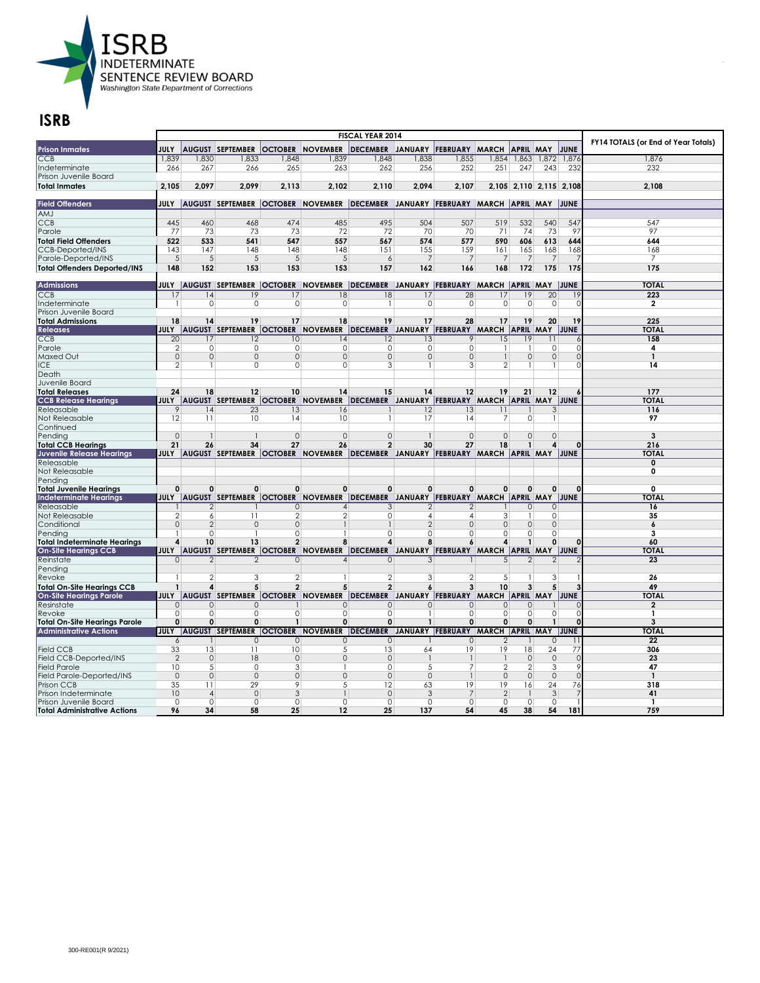

| <b>Prison Inmates</b>                            | <b>JULY</b>          |                         | <b>AUGUST SEPTEMBER</b>           |                | <b>OCTOBER NOVEMBER</b>                                                                          | DECEMBER JANUARY FEBRUARY MARCH                |                          |                                       |                         | <b>APRIL MAY</b>        |                     | JUNE        | FY14 TOTALS (or End of Year Totals) |
|--------------------------------------------------|----------------------|-------------------------|-----------------------------------|----------------|--------------------------------------------------------------------------------------------------|------------------------------------------------|--------------------------|---------------------------------------|-------------------------|-------------------------|---------------------|-------------|-------------------------------------|
| CCB                                              | 1,839                | 1,830                   | 1,833                             | 1,848          | 1,839                                                                                            | 1,848                                          | 1,838                    | 1,855                                 |                         | 1,854 1,863 1,872       |                     | 1,876       | 1,876                               |
| Indeterminate                                    | 266                  | 267                     | 266                               | 265            | 263                                                                                              | 262                                            | 256                      | 252                                   | 251                     | 247                     | 243                 | 232         | 232                                 |
| Prison Juvenile Board                            |                      |                         |                                   |                |                                                                                                  |                                                |                          |                                       |                         |                         |                     |             |                                     |
| <b>Total Inmates</b>                             | 2.105                | 2.097                   | 2.099                             | 2.113          | 2.102                                                                                            | 2.110                                          | 2.094                    | 2.107                                 |                         | 2.105 2.110 2.115 2.108 |                     |             | 2,108                               |
|                                                  |                      |                         |                                   |                |                                                                                                  |                                                |                          |                                       |                         |                         |                     |             |                                     |
| <b>Field Offenders</b>                           |                      |                         |                                   |                | JULY  AUGUST  SEPTEMBER  OCTOBER  NOVEMBER  DECEMBER  JANUARY  FEBRUARY  MARCH  APRIL  MAY  JUNE |                                                |                          |                                       |                         |                         |                     |             |                                     |
| AMJ                                              |                      |                         |                                   |                |                                                                                                  |                                                |                          |                                       |                         |                         |                     |             |                                     |
| <b>CCB</b>                                       | 445                  | 460                     | 468                               | 474            | 485                                                                                              | 495                                            | 504                      | 507                                   | 519                     | 532                     | 540                 | 547         | 547                                 |
| Parole                                           | 77                   | 73                      | 73                                | 73             | 72                                                                                               | 72                                             | 70                       | 70                                    | 71                      | 74                      | 73                  | 97          | 97                                  |
| <b>Total Field Offenders</b>                     | 522                  | 533                     | 541                               | 547            | 557                                                                                              | 567                                            | 574                      | 577                                   | 590                     | 606                     | 613                 | 644         | 644                                 |
| <b>CCB-Deported/INS</b>                          | 143                  | 147                     | 148                               | 148            | 148                                                                                              | 151                                            | 155                      | 159                                   | 161                     | 165                     | 168                 | 168         | 168                                 |
| Parole-Deported/INS                              | 5                    | 5                       | 5                                 | 5              | 5                                                                                                | 6                                              | $\overline{7}$           | $\overline{7}$                        | $\overline{7}$          | $\overline{7}$          | 7                   |             | $\overline{7}$                      |
| <b>Total Offenders Deported/INS</b>              | 148                  | 152                     | 153                               | 153            | 153                                                                                              | 157                                            | 162                      | 166                                   | 168                     | 172                     | 175                 | 175         | 175                                 |
|                                                  |                      |                         |                                   |                |                                                                                                  |                                                |                          |                                       |                         |                         |                     |             |                                     |
| <b>Admissions</b>                                |                      |                         |                                   |                | JULY  AUGUST  SEPTEMBER  OCTOBER  NOVEMBER  DECEMBER JANUARY  FEBRUARY  MARCH  APRIL  MAY  JUNE  |                                                |                          |                                       |                         |                         |                     |             | <b>TOTAL</b>                        |
| CCB                                              | 17                   | 14                      | 19                                | 17             | 18                                                                                               | 8                                              | 17                       | $\overline{28}$                       | 17                      | 19                      | $\overline{20}$     | 19          | 223                                 |
| Indeterminate                                    | -1                   | $\mathbf 0$             | $\mathbf 0$                       | 0              | $\mathbf 0$                                                                                      |                                                | $\circ$                  | $\mathbf 0$                           | $\mathbf 0$             | $\circ$                 | $\mathbf 0$         | $\mathbf 0$ | $\overline{2}$                      |
| Prison Juvenile Board<br><b>Total Admissions</b> | 18                   | 14                      | 19                                | 17             |                                                                                                  | 19                                             | 17                       | 28                                    | 17                      | 19                      | 20                  | 19          | 225                                 |
| <b>Releases</b>                                  | <b>JULY</b>          |                         |                                   |                | 18<br>AUGUST SEPTEMBER OCTOBER NOVEMBER                                                          | DECEMBER JANUARY FEBRUARY MARCH APRIL MAY JUNE |                          |                                       |                         |                         |                     |             | <b>TOTAL</b>                        |
|                                                  |                      | 17                      |                                   | 10             | 14                                                                                               | 12                                             |                          | 9                                     | $\overline{15}$         | 19                      | 11                  |             | 158                                 |
| <b>CCB</b><br>Parole                             | 20<br>$\overline{2}$ | 0                       | 12<br>0                           | 0              | 0                                                                                                | 0                                              | 13<br>$\circ$            | 0                                     | $\mathbf{1}$            |                         | 0                   | C           | 4                                   |
| <b>Maxed Out</b>                                 | $\overline{0}$       | $\mathsf{O}\xspace$     | $\mathbf 0$                       | $\overline{0}$ | $\circ$                                                                                          | $\overline{0}$                                 | $\overline{0}$           | $\overline{0}$                        | $\mathbf{1}$            | 0                       | $\mathsf{O}\xspace$ | $\Omega$    | $\mathbf{1}$                        |
| ICE                                              | $\overline{2}$       |                         | 0                                 | $\Omega$       | $\Omega$                                                                                         | 3                                              | 1                        | 3                                     | $\overline{2}$          |                         |                     | $\Omega$    | 14                                  |
| Death                                            |                      |                         |                                   |                |                                                                                                  |                                                |                          |                                       |                         |                         |                     |             |                                     |
| Juvenile Board                                   |                      |                         |                                   |                |                                                                                                  |                                                |                          |                                       |                         |                         |                     |             |                                     |
| <b>Total Releases</b>                            | 24                   | 18                      | 12                                | 10             | 14                                                                                               | 15                                             | 14                       | $12 \overline{ }$                     | 19                      | 21                      | 12                  |             | 177                                 |
| <b>CCB Release Hearings</b>                      |                      |                         |                                   |                | JULY AUGUST SEPTEMBER OCTOBER NOVEMBER DECEMBER JANUARY FEBRUARY MARCH APRIL MAY JUNE            |                                                |                          |                                       |                         |                         |                     |             | <b>TOTAL</b>                        |
| Releasable                                       | 9                    | 14                      | 23                                | 13             | 16                                                                                               |                                                | 2                        | 13                                    | 11                      |                         | 3                   |             | 116                                 |
| Not Releasable                                   | 12                   | 11                      | 10                                | 14             | 10                                                                                               |                                                | 17                       | 14                                    | $\overline{7}$          | $\Omega$                | $\mathbf{1}$        |             | 97                                  |
| Continued                                        |                      |                         |                                   |                |                                                                                                  |                                                |                          |                                       |                         |                         |                     |             |                                     |
| Pending                                          | $\Omega$             |                         |                                   | $\mathbf 0$    | $\circ$                                                                                          | $\mathbf{0}$                                   |                          | $\mathbf 0$                           | $\Omega$                | $\Omega$                | $\overline{0}$      |             | 3                                   |
| <b>Total CCB Hearings</b>                        | 21                   | 26                      | 34                                | 27             | 26                                                                                               | $\overline{2}$                                 | 30                       | 27                                    | 18                      |                         | 4                   |             | 216                                 |
| Juvenile Release Hearings                        | <b>JULY</b>          |                         |                                   |                | AUGUST SEPTEMBER OCTOBER NOVEMBER DECEMBER JANUARY FEBRUARY MARCH APRIL MAY JUNE                 |                                                |                          |                                       |                         |                         |                     |             | <b>TOTAL</b>                        |
| Releasable                                       |                      |                         |                                   |                |                                                                                                  |                                                |                          |                                       |                         |                         |                     |             | 0                                   |
| Not Releasable                                   |                      |                         |                                   |                |                                                                                                  |                                                |                          |                                       |                         |                         |                     |             | O                                   |
| Pendina                                          |                      |                         |                                   |                |                                                                                                  |                                                |                          |                                       |                         |                         |                     |             |                                     |
| <b>Total Juvenile Hearings</b>                   | 0                    | $\mathbf 0$             | $\mathbf 0$                       | 0              | $\mathbf 0$                                                                                      | 0                                              | $\mathbf 0$              | $\mathbf 0$                           | $\mathbf 0$             | 0                       | $\mathbf 0$         | $\Omega$    | $\mathbf{0}$                        |
| <b>Indeterminate Hearings</b>                    | JULY                 |                         | AUGUST SEPTEMBER OCTOBER          |                | <b>NOVEMBER</b>                                                                                  | <b>DECEMBER</b>                                |                          | JANUARY FEBRUARY MARCH APRIL MAY JUNE |                         |                         |                     |             | <b>TOTAL</b>                        |
| Releasable                                       |                      | $\overline{2}$          |                                   | $\Omega$       | $\overline{4}$                                                                                   | 3                                              | 2                        | 2                                     |                         | $\Omega$                | 0                   |             | 16                                  |
| Not Releasable                                   | $\overline{2}$       | 6                       | 11                                | $\overline{2}$ | 2                                                                                                | 0                                              | $\overline{4}$           | 4                                     | 3                       |                         | 0                   |             | 35                                  |
| Conditional                                      | $\overline{0}$       | $\overline{2}$          | $\Omega$                          | $\mathbf 0$    |                                                                                                  |                                                | $\overline{\mathcal{L}}$ | $\Omega$                              | $\mathbf{0}$            | $\Omega$                | $\overline{0}$      |             | 6                                   |
| Pendina                                          |                      | $\Omega$                |                                   | $\Omega$       |                                                                                                  | $\Omega$                                       | 0                        | 0                                     | $\Omega$                | $\cap$                  | $\Omega$            |             | 3                                   |
| <b>Total Indeterminate Hearings</b>              | 4                    | 10                      | 13                                | $\overline{2}$ | 8                                                                                                | 4                                              | 8                        | 6                                     | 4                       |                         | $\mathbf{0}$        | $\Omega$    | 60                                  |
| <b>On-Site Hearings CCB</b>                      |                      |                         |                                   |                | JULY AUGUST SEPTEMBER OCTOBER NOVEMBER DECEMBER JANUARY FEBRUARY MARCH APRIL MAY JUNE            |                                                |                          |                                       |                         |                         |                     |             | <b>TOTAL</b>                        |
| Reinstate                                        | $\circ$              | $\overline{2}$          | $\mathfrak{D}$                    | $\circ$        | 4                                                                                                | $\mathbf 0$                                    | 3                        |                                       | 5                       | $\overline{2}$          | $\overline{2}$      |             | $\overline{23}$                     |
| Pending                                          | -1                   | $\overline{2}$          | 3                                 | $\overline{2}$ |                                                                                                  | $\overline{2}$                                 | 3                        | $\overline{2}$                        | 5                       |                         | 3                   |             | 26                                  |
| Revoke                                           | $\mathbf{1}$         |                         | 5                                 |                | 5                                                                                                | $\overline{2}$                                 |                          | 3                                     | 10                      |                         |                     |             |                                     |
| <b>Total On-Site Hearings CCB</b>                | <b>JULY</b>          | 4                       |                                   | $\mathbf{2}$   |                                                                                                  | DECEMBER JANUARY FEBRUARY MARCH APRIL MAY JUNE | 6                        |                                       |                         | 3                       | 5                   |             | 49<br><b>TOTAL</b>                  |
| <b>On-Site Hearings Parole</b>                   |                      |                         |                                   |                | AUGUST SEPTEMBER OCTOBER NOVEMBER                                                                |                                                |                          |                                       |                         |                         |                     |             | 2                                   |
| Resinstate<br>Revoke                             | $\Omega$<br>0        | $\mathbf{0}$<br>$\circ$ | $\circ$<br>$\cap$                 | $\Omega$       | $\mathbf{0}$<br>$\Omega$                                                                         | $\circ$<br>0                                   | $\Omega$<br>$\mathbf{1}$ | 0<br>0                                | $\mathbf{0}$<br>$\circ$ | $\circ$<br>$\Omega$     | 0                   | $\cap$      | 1                                   |
| <b>Total On-Site Hearings Parole</b>             | $\mathbf{0}$         | $\mathbf 0$             | 0                                 | $\mathbf{1}$   | $\mathbf 0$                                                                                      | 0                                              | $\mathbf{1}$             | 0                                     | $\mathbf 0$             | $\mathbf{0}$            | $\overline{1}$      | $\Omega$    | 3                                   |
| <b>Administrative Actions</b>                    | JULY                 |                         | AUGUST SEPTEMBER OCTOBER NOVEMBER |                |                                                                                                  | <b>DECEMBER</b>                                |                          | JANUARY FEBRUARY MARCH APRIL MAY JUNE |                         |                         |                     |             | <b>TOTAL</b>                        |
|                                                  | 6                    |                         | $\Omega$                          | $\Omega$       | $\Omega$                                                                                         | $\Omega$                                       |                          | $\Omega$                              | $\mathcal{P}$           |                         | $\Omega$            |             | 22                                  |
| <b>Field CCB</b>                                 | 33                   | 13                      | 11                                | 10             | 5                                                                                                | 13                                             | 64                       | 19                                    | 19                      | 18                      | $\overline{24}$     | 77          | 306                                 |
| Field CCB-Deported/INS                           | $\overline{2}$       | $\mathbf{0}$            | 18                                | $\mathbf 0$    | $\mathbf{0}$                                                                                     | $\mathbf 0$                                    |                          |                                       |                         | $\mathbf 0$             | $\mathbf{0}$        | $\Omega$    | 23                                  |
| <b>Field Parole</b>                              | 10                   | 5                       | $\overline{0}$                    | 3              |                                                                                                  | $\overline{0}$                                 | 5                        | 7                                     | $\overline{2}$          | $\overline{2}$          | 3                   | 9           | 47                                  |
| Field Parole-Deported/INS                        | $\circ$              | $\mathbf{0}$            | $\mathbf{0}$                      | $\mathbf{0}$   | $\mathbf{0}$                                                                                     | $\circ$                                        | $\mathbf{0}$             | $\mathbf{1}$                          | $\circ$                 | $\Omega$                | $\mathbf{0}$        | $\Omega$    | $\mathbf{1}$                        |
| Prison CCB                                       | 35                   | 11                      | 29                                | 9              | 5                                                                                                | $\overline{12}$                                | 63                       | 19                                    | 19                      | 16                      | 24                  | 76          | 318                                 |
| Prison Indeterminate                             | 10                   | $\overline{4}$          | $\Omega$                          | 3              |                                                                                                  | $\Omega$                                       | 3                        | 7                                     | $\overline{2}$          |                         | 3                   |             | 41                                  |
| Prison Juvenile Board                            | 0                    | $\mathbf 0$             | $\mathbf 0$                       | $\circ$        | $\mathbf 0$                                                                                      | $\circ$                                        | 0                        | $\mathbf 0$                           | 0                       | $\Omega$                | 0                   |             | 1                                   |
| <b>Total Administrative Actions</b>              | 96                   | 34                      | 58                                | 25             | 12                                                                                               | 25                                             | 137                      | 54                                    | 45                      | 38                      | 54                  | 181         | 759                                 |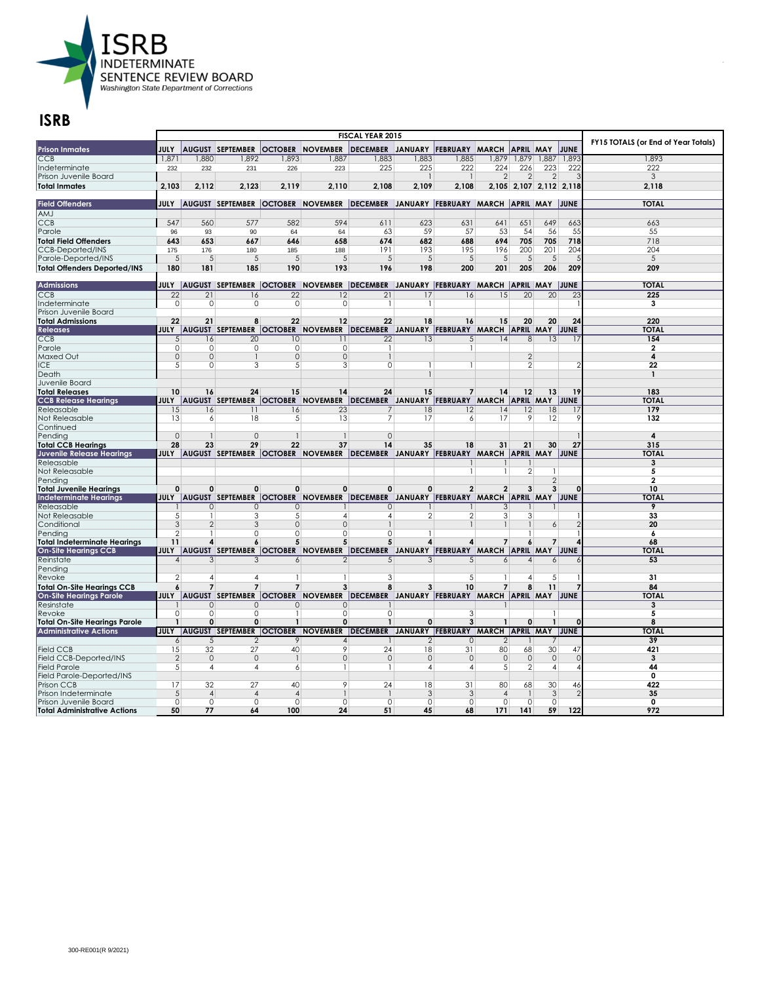

|                                                |                                  |                           |                                   | FY15 TOTALS (or End of Year Totals) |                                                                                                  |                                                |                        |                |                 |                                  |                 |                 |                         |
|------------------------------------------------|----------------------------------|---------------------------|-----------------------------------|-------------------------------------|--------------------------------------------------------------------------------------------------|------------------------------------------------|------------------------|----------------|-----------------|----------------------------------|-----------------|-----------------|-------------------------|
| <b>Prison Inmates</b>                          | JULY                             |                           | <b>AUGUST SEPTEMBER</b>           |                                     | <b>OCTOBER NOVEMBER</b>                                                                          | DECEMBER JANUARY FEBRUARY MARCH                |                        |                |                 | <b>APRIL MAY</b>                 |                 | JUNE            |                         |
| CCB                                            | 1,871                            | 1,880                     | 1,892                             | 1,893                               | 1,887                                                                                            | 1,883                                          | 1,883                  | 1,885          |                 | 1,879 1,879                      | 1,887           | 1,893           | 1,893                   |
| Indeterminate                                  | 232                              | 232                       | 231                               | 226                                 | 223                                                                                              | 225                                            | 225                    | 222            | 224             | 226                              | 223             | 222             | 222                     |
| Prison Juvenile Board                          |                                  |                           |                                   |                                     |                                                                                                  |                                                | $\mathbf{1}$           | $\mathbf{1}$   | $\overline{2}$  | $\mathfrak{D}$                   | $\mathfrak{D}$  |                 | 3                       |
| <b>Total Inmates</b>                           | 2.103                            | 2,112                     | 2.123                             | 2.119                               | 2.110                                                                                            | 2.108                                          | 2.109                  | 2,108          |                 | 2,105 2,107 2,112 2,118          |                 |                 | 2.118                   |
|                                                |                                  |                           |                                   |                                     |                                                                                                  |                                                |                        |                |                 |                                  |                 |                 |                         |
| <b>Field Offenders</b>                         |                                  |                           |                                   |                                     | JULY  AUGUST SEPTEMBER  OCTOBER  NOVEMBER  DECEMBER JANUARY  FEBRUARY  MARCH  APRIL  MAY  JUNE   |                                                |                        |                |                 |                                  |                 |                 | <b>TOTAL</b>            |
| AMJ                                            |                                  |                           |                                   |                                     |                                                                                                  |                                                |                        |                |                 |                                  |                 |                 |                         |
| <b>CCB</b>                                     | 547                              | 560                       | 577                               | 582                                 | 594                                                                                              | 611                                            | 623                    | 631            | 641             | 651                              | 649             | 663             | 663                     |
| Parole                                         | 96                               | 93                        | 90                                | 64                                  | 64                                                                                               | 63                                             | 59                     | 57             | 53              | 54                               | 56              | 55              | 55                      |
| <b>Total Field Offenders</b>                   | 643                              | 653                       | 667                               | 646                                 | 658                                                                                              | 674                                            | 682                    | 688            | 694             | 705                              | 705             | 718             | 718                     |
| <b>CCB-Deported/INS</b>                        | 175                              | 176                       | 180                               | 185                                 | 188                                                                                              | 191                                            | 193                    | 195            | 196             | 200                              | 201             | 204             | 204                     |
| Parole-Deported/INS                            | $\sqrt{5}$                       | $\sqrt{5}$                | 5                                 | 5                                   | $\sqrt{5}$                                                                                       | 5                                              | $\sqrt{5}$             | 5              | $\sqrt{5}$      | 5                                | $\sqrt{5}$      |                 | 5                       |
| <b>Total Offenders Deported/INS</b>            | 180                              | 181                       | 185                               | 190                                 | 193                                                                                              | 196                                            | 198                    | 200            | 201             | 205                              | 206             | 209             | 209                     |
|                                                |                                  |                           |                                   |                                     |                                                                                                  |                                                |                        |                |                 |                                  |                 |                 |                         |
| <b>Admissions</b>                              |                                  |                           |                                   |                                     | JULY  AUGUST  SEPTEMBER  OCTOBER  NOVEMBER  DECEMBER JANUARY  FEBRUARY  MARCH  APRIL  MAY  JUNE  |                                                |                        |                |                 |                                  |                 |                 | <b>TOTAL</b>            |
| CCB                                            | $\overline{22}$                  | $\overline{21}$           | 16                                | $\overline{22}$                     | $\overline{12}$                                                                                  | $\overline{21}$                                | 17                     | 16             | $\overline{15}$ | $\overline{20}$                  | $\overline{20}$ | $\overline{23}$ | 225                     |
| Indeterminate                                  | $\circ$                          | $\mathbf 0$               | 0                                 | 0                                   | $\circ$                                                                                          |                                                | 1                      |                |                 |                                  |                 |                 | $\overline{\mathbf{3}}$ |
| Prison Juvenile Board                          |                                  |                           |                                   |                                     |                                                                                                  |                                                |                        |                |                 |                                  |                 |                 |                         |
| <b>Total Admissions</b>                        | 22                               | 21                        | R                                 | 22                                  | 12                                                                                               | 22                                             | 18                     | 16             | 15              | 20                               | 20              | 24              | 220                     |
| <b>Releases</b>                                | <b>JULY</b>                      |                           | AUGUST SEPTEMBER OCTOBER NOVEMBER |                                     |                                                                                                  | DECEMBER JANUARY FEBRUARY MARCH APRIL MAY JUNE |                        |                |                 |                                  |                 |                 | <b>TOTAL</b>            |
| <b>CCB</b>                                     | 5 <sup>1</sup>                   | 16                        | $\overline{20}$                   | 10                                  | 11                                                                                               | $\overline{22}$                                | 13                     | 5              | $\overline{14}$ | 8                                | 13              | 17              | 154                     |
| Parole                                         | $\circ$                          | 0                         | O                                 | 0                                   | 0                                                                                                | -1                                             |                        | 1              |                 |                                  |                 |                 | $\mathbf{2}$            |
| <b>Maxed Out</b><br><b>ICE</b>                 | $\overline{0}$<br>5 <sup>5</sup> | $\overline{0}$<br>$\circ$ | 3                                 | $\overline{0}$<br>5                 | $\circ$<br>3                                                                                     | 0                                              | 1                      | 1              |                 | $\overline{2}$<br>$\mathfrak{D}$ |                 |                 | 4<br>22                 |
| Death                                          |                                  |                           |                                   |                                     |                                                                                                  |                                                |                        |                |                 |                                  |                 |                 | $\mathbf{1}$            |
| Juvenile Board                                 |                                  |                           |                                   |                                     |                                                                                                  |                                                |                        |                |                 |                                  |                 |                 |                         |
| <b>Total Releases</b>                          | 10                               | 16                        | 24                                | 15                                  | 14                                                                                               | 24                                             | 15                     | $\overline{7}$ | 14              | 12                               | 13              | 19              | 183                     |
| <b>CCB Release Hearings</b>                    | JULY                             |                           |                                   |                                     | AUGUST SEPTEMBER OCTOBER NOVEMBER                                                                | DECEMBER JANUARY FEBRUARY MARCH APRIL MAY JUNE |                        |                |                 |                                  |                 |                 | <b>TOTAL</b>            |
| Releasable                                     | 15                               | 16                        | 11                                | 16                                  | 23                                                                                               | 7                                              | 18                     | 12             | 14              | 12                               | 18              | 17              | 179                     |
| Not Releasable                                 | 13                               | 6                         | 18                                | 5                                   | 13                                                                                               | 7                                              | 17                     | 6              | 17              | 9                                | 12              | 9               | 132                     |
| Continued                                      |                                  |                           |                                   |                                     |                                                                                                  |                                                |                        |                |                 |                                  |                 |                 |                         |
| Pending                                        | $\Omega$                         |                           | $\Omega$                          | $\mathbf{1}$                        |                                                                                                  | $\Omega$                                       |                        |                |                 |                                  |                 |                 | 4                       |
| <b>Total CCB Hearings</b>                      | 28                               | 23                        | 29                                | 22                                  | 37                                                                                               | 14                                             | 35                     | 18             | 31              | 21                               | 30              | 27              | 315                     |
| <b>Juvenile Release Hearings</b>               | <b>JULY</b>                      |                           |                                   |                                     | AUGUST SEPTEMBER OCTOBER NOVEMBER DECEMBER JANUARY FEBRUARY MARCH APRIL MAY JUNE                 |                                                |                        |                |                 |                                  |                 |                 | <b>TOTAL</b>            |
| Releasable                                     |                                  |                           |                                   |                                     |                                                                                                  |                                                |                        |                |                 |                                  |                 |                 | 3                       |
| Not Releasable                                 |                                  |                           |                                   |                                     |                                                                                                  |                                                |                        | 1              | -1              | $\overline{2}$                   | 1               |                 | 5                       |
| Pendina                                        |                                  |                           |                                   |                                     |                                                                                                  |                                                |                        |                |                 |                                  | 2               |                 | $\mathbf{2}$            |
| <b>Total Juvenile Hearings</b>                 | $\mathbf{0}$                     | 0                         | 0                                 | $\mathbf{0}$                        | $\Omega$                                                                                         | $\mathbf{0}$                                   | $\Omega$               | $\overline{2}$ | $\overline{2}$  | 3                                | 3               |                 | 10                      |
| Indeterminate Hearings                         | JULY                             |                           | AUGUST SEPTEMBER   OCTOBER        |                                     | <b>NOVEMBER</b>                                                                                  | DECEMBER JANUARY FEBRUARY MARCH APRIL MAY JUNE |                        |                |                 |                                  |                 |                 | <b>TOTAI</b>            |
| Releasable                                     |                                  | $\Omega$                  | $\Omega$                          | $\circ$                             |                                                                                                  | $\circ$                                        |                        |                | 3               |                                  |                 |                 | 9                       |
| Not Releasable                                 | 5 <sup>5</sup>                   | 1                         | 3                                 | .5                                  | $\overline{A}$                                                                                   | $\overline{4}$                                 | $\overline{2}$         | 2              | 3               | $\frac{3}{2}$                    |                 |                 | 33                      |
| Conditional                                    | $\overline{3}$                   | $\overline{2}$            | 3                                 | 0                                   | $\mathbf{0}$                                                                                     |                                                |                        |                |                 |                                  | 6               |                 | 20                      |
| Pending                                        | $\overline{2}$                   |                           | $\Omega$                          | 0                                   | $\mathbf 0$                                                                                      | 0                                              |                        |                |                 |                                  |                 |                 | 6                       |
| <b>Total Indeterminate Hearings</b>            | 11                               | 4                         | 6                                 | 5                                   | 5                                                                                                | 5                                              | $\boldsymbol{\Lambda}$ | 4              | $\overline{7}$  | 6                                |                 |                 | 68                      |
| <b>On-Site Hearings CCB</b>                    |                                  |                           |                                   |                                     | JULY  AUGUST  SEPTEMBER  OCTOBER  NOVEMBER  DECEMBER  JANUARY  FEBRUARY  MARCH  APRIL  MAY  JUNE |                                                |                        |                |                 |                                  |                 |                 | <b>TOTAL</b>            |
| Reinstate                                      | $\boldsymbol{\vartriangle}$      | 3                         | 3                                 | 6                                   | $\mathcal{P}$                                                                                    | 5                                              | 3                      | 5              | $\frac{6}{ }$   | $\overline{\mathcal{A}}$         | 6               |                 | 53                      |
| Pending                                        | 2                                |                           |                                   |                                     |                                                                                                  |                                                |                        |                | 1               | 4                                |                 |                 |                         |
| Revoke                                         |                                  | $\overline{4}$            | $\overline{4}$<br>$\overline{7}$  | $\mathbf{1}$                        |                                                                                                  | 3                                              |                        | 5              |                 |                                  | 5               |                 | 31                      |
| <b>Total On-Site Hearings CCB</b>              | 6                                | $\overline{7}$            |                                   | $\overline{7}$                      | 3                                                                                                | 8                                              | 3                      | 10             | $\overline{7}$  | 8                                | 11              |                 | 84                      |
| <b>On-Site Hearings Parole</b>                 | JULY                             |                           |                                   |                                     | AUGUST SEPTEMBER OCTOBER NOVEMBER                                                                | DECEMBER JANUARY FEBRUARY MARCH APRIL MAY JUNE |                        |                |                 |                                  |                 |                 | <b>TOTAL</b>            |
| Resinstate                                     |                                  | $\mathbf{0}$              | $\circ$<br>$\cap$                 | $\Omega$<br>$\mathbf{1}$            | $\mathbf{0}$<br>$\Omega$                                                                         |                                                |                        |                |                 |                                  |                 |                 | 3                       |
| Revoke<br><b>Total On-Site Hearings Parole</b> | 0<br>$\mathbf{1}$                | 0<br>$\mathbf 0$          | 0                                 | $\mathbf{1}$                        | $\mathbf 0$                                                                                      | 0<br>$\mathbf{1}$                              | 0                      | 3<br>3         | $\mathbf{1}$    | 0                                | $\mathbf{1}$    | $\Omega$        | 5<br>8                  |
| <b>Administrative Actions</b>                  | <b>JULY</b>                      |                           | AUGUST SEPTEMBER OCTOBER NOVEMBER |                                     |                                                                                                  | DECEMBER JANUARY FEBRUARY MARCH APRIL MAY JUNE |                        |                |                 |                                  |                 |                 | <b>TOTAL</b>            |
|                                                | $\frac{1}{2}$                    | 5                         | $\mathcal{P}$                     | 9                                   | $\overline{\mathcal{A}}$                                                                         |                                                | 2                      | $\Omega$       | 2               |                                  |                 |                 | 39                      |
| <b>Field CCB</b>                               | 15                               | 32                        | 27                                | 40                                  | 9                                                                                                | 24                                             | 18                     | 31             | 80              | 68                               | 30              | 47              | 421                     |
| Field CCB-Deported/INS                         | $\overline{2}$                   | $\mathbf{0}$              | $\mathbf{0}$                      | $\mathbf{1}$                        | $\mathbf{0}$                                                                                     | $\mathbf{0}$                                   | $\circ$                | $\mathbf{0}$   | $\mathbf{0}$    | $\circ$                          | $\mathbf{0}$    | $\Omega$        | 3                       |
| <b>Field Parole</b>                            | 5 <sup>5</sup>                   | $\overline{4}$            | $\overline{4}$                    | 6                                   | -1                                                                                               | -1                                             | $\overline{4}$         | 4              | 5               | $\overline{2}$                   | 4               | $\overline{4}$  | 44                      |
| Field Parole-Deported/INS                      |                                  |                           |                                   |                                     |                                                                                                  |                                                |                        |                |                 |                                  |                 |                 | 0                       |
| Prison CCB                                     | 17                               | 32                        | 27                                | 40                                  | $\overline{9}$                                                                                   | 24                                             | 18                     | 31             | 80              | 68                               | 30              | 46              | 422                     |
| Prison Indeterminate                           | 5                                | $\overline{4}$            | $\overline{A}$                    | $\overline{4}$                      |                                                                                                  |                                                | 3                      | 3              | $\overline{A}$  |                                  | 3               |                 | 35                      |
| Prison Juvenile Board                          | $\circ$                          | $\mathbf 0$               | $\Omega$                          | 0                                   | $\mathbf 0$                                                                                      | $\circ$                                        | $\circ$                | $\mathbf 0$    | $\mathbf 0$     | $\Omega$                         | $\mathbf 0$     |                 | 0                       |
| <b>Total Administrative Actions</b>            | 50                               | 77                        | 64                                | 100                                 | 24                                                                                               | 51                                             | 45                     | 68             | 171             | 141                              | 59              | 122             | 972                     |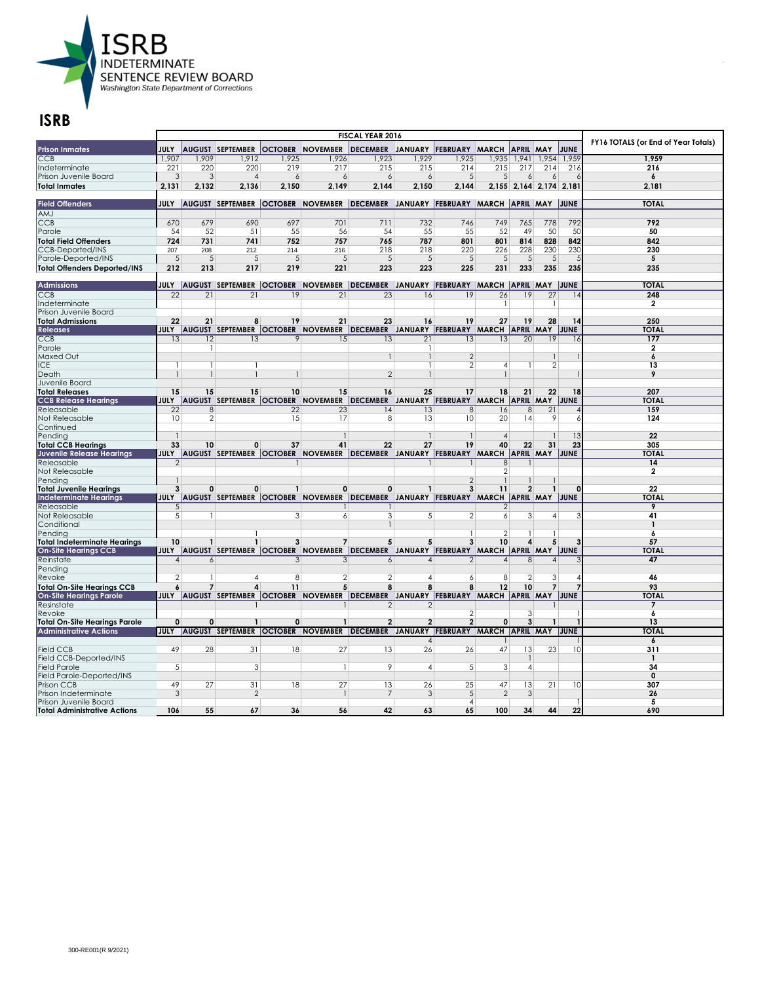

| <b>Prison Inmates</b>                                    | <b>JULY</b>                 |                 | <b>AUGUST SEPTEMBER</b> |                 | <b>OCTOBER NOVEMBER</b>                                                                         | DECEMBER JANUARY FEBRUARY MARCH                |                 |                     |                    | <b>APRIL MAY</b>        |                          | JUNE     | FY16 TOTALS (or End of Year Totals) |
|----------------------------------------------------------|-----------------------------|-----------------|-------------------------|-----------------|-------------------------------------------------------------------------------------------------|------------------------------------------------|-----------------|---------------------|--------------------|-------------------------|--------------------------|----------|-------------------------------------|
| CCB                                                      | 1,907                       | 1,909           | 1,912                   | 1,925           | 1,926                                                                                           | 1,923                                          | 1,929           | 1,925               |                    | 1,935   1,941   1,954   |                          | 1,959    | 1,959                               |
| Indeterminate                                            | 221                         | 220             | 220                     | 219             | 217                                                                                             | 215                                            | 215             | 214                 | 215                | 217                     | 214                      | 216      | 216                                 |
| Prison Juvenile Board                                    | 3                           | 3               | $\overline{A}$          | 6               | 6                                                                                               | 6                                              | $\overline{6}$  | 5                   | 5 <sup>5</sup>     | $\overline{6}$          | 6                        |          | $\boldsymbol{6}$                    |
| <b>Total Inmates</b>                                     | 2.131                       | 2,132           | 2,136                   | 2,150           | 2.149                                                                                           | 2,144                                          | 2,150           | 2,144               |                    | 2,155 2,164 2,174 2,181 |                          |          | 2.181                               |
|                                                          |                             |                 |                         |                 |                                                                                                 |                                                |                 |                     |                    |                         |                          |          |                                     |
| <b>Field Offenders</b>                                   |                             |                 |                         |                 | JULY  AUGUST SEPTEMBER  OCTOBER  NOVEMBER  DECEMBER JANUARY  FEBRUARY  MARCH  APRIL  MAY  JUNE  |                                                |                 |                     |                    |                         |                          |          | <b>TOTAL</b>                        |
| AMJ                                                      |                             |                 |                         |                 |                                                                                                 |                                                |                 |                     |                    |                         |                          |          |                                     |
| <b>CCB</b>                                               | 670                         | 679             | 690                     | 697             | 701                                                                                             | 711                                            | 732             | 746                 | 749                | 765                     | 778                      | 792      | 792                                 |
| Parole                                                   | 54                          | 52              | 51                      | 55              | 56                                                                                              | 54                                             | 55              | 55                  | 52                 | 49                      | 50                       | 50       | 50                                  |
| <b>Total Field Offenders</b>                             | 724                         | 731             | 741                     | 752             | 757                                                                                             | 765                                            | 787             | 801                 | 801                | 814                     | 828                      | 842      | 842                                 |
| <b>CCB-Deported/INS</b>                                  | 207                         | 208             | 212                     | 214             | 216                                                                                             | 218                                            | 218             | 220                 | 226                | 228                     | 230                      | 230      | 230                                 |
| Parole-Deported/INS                                      | $\sqrt{5}$                  | $\sqrt{5}$      | 5                       | 5               | $\sqrt{5}$                                                                                      | 5                                              | $\overline{5}$  | 5                   | $\sqrt{5}$         | 5                       | $\sqrt{5}$               |          | 5                                   |
| <b>Total Offenders Deported/INS</b>                      | 212                         | 213             | 217                     | 219             | 221                                                                                             | 223                                            | 223             | 225                 | 231                | 233                     | 235                      | 235      | 235                                 |
|                                                          |                             |                 |                         |                 |                                                                                                 |                                                |                 |                     |                    |                         |                          |          |                                     |
| <b>Admissions</b>                                        | $\overline{22}$             |                 |                         |                 | JULY  AUGUST  SEPTEMBER  OCTOBER  NOVEMBER  DECEMBER JANUARY  FEBRUARY  MARCH  APRIL  MAY  JUNE |                                                |                 |                     |                    |                         |                          |          | <b>TOTAL</b>                        |
| CCB                                                      |                             | $\overline{21}$ | $\overline{21}$         | $\overline{19}$ | $\overline{21}$                                                                                 | $\overline{23}$                                | 16              | $\overline{19}$     | $\overline{26}$    | 19                      | $\overline{27}$          |          | 248                                 |
| Indeterminate                                            |                             |                 |                         |                 |                                                                                                 |                                                |                 |                     | $\mathbf{1}$       |                         | $\mathbf{1}$             |          | $\overline{2}$                      |
| Prison Juvenile Board<br><b>Total Admissions</b>         | 22                          | 21              | 8                       | 19              | 21                                                                                              | 23                                             | 16              | 19                  | 27                 | 19                      | 28                       | 14       | 250                                 |
| <b>Releases</b>                                          |                             |                 |                         |                 | JULY AUGUST SEPTEMBER OCTOBER NOVEMBER DECEMBER JANUARY FEBRUARY MARCH APRIL MAY JUNE           |                                                |                 |                     |                    |                         |                          |          | <b>TOTAL</b>                        |
| <b>CCB</b>                                               | 13                          | 12              | 13                      | 9               | 15                                                                                              | 13                                             | $\overline{21}$ | 13                  | 13                 | $\overline{20}$         | 19                       | 16       | 177                                 |
| Parole                                                   |                             | -1              |                         |                 |                                                                                                 |                                                |                 |                     |                    |                         |                          |          | $\mathbf{2}$                        |
| Maxed Out                                                |                             |                 |                         |                 |                                                                                                 |                                                |                 | $\overline{2}$      |                    |                         |                          |          | 6                                   |
| <b>ICE</b>                                               | $\mathbf{1}$                |                 |                         |                 |                                                                                                 |                                                | 1               | $\overline{2}$      | $\overline{4}$     |                         | $\overline{2}$           |          | 13                                  |
| Death                                                    | $\mathbf{1}$                | $\mathbf{1}$    |                         | $\mathbf{1}$    |                                                                                                 | $\overline{2}$                                 |                 |                     | $\mathbf{1}$       |                         |                          |          | 9                                   |
| Juvenile Board                                           |                             |                 |                         |                 |                                                                                                 |                                                |                 |                     |                    |                         |                          |          |                                     |
| <b>Total Releases</b>                                    | 15                          | 15              | 15                      | 10              | 15                                                                                              | 16                                             | 25              | 17                  | 18                 | 21                      | 22                       | 18       | 207                                 |
| <b>CCB Release Hearings</b>                              |                             |                 |                         |                 | JULY AUGUST SEPTEMBER OCTOBER NOVEMBER DECEMBER JANUARY FEBRUARY MARCH APRIL MAY JUNE           |                                                |                 |                     |                    |                         |                          |          | <b>TOTAL</b>                        |
| Releasable                                               | 22                          | 8               |                         | 22              | 23                                                                                              | 14                                             | 13              | 8                   | 16                 | 8                       | 21                       |          | 159                                 |
| Not Releasable                                           | 10 <sup>1</sup>             | 2               |                         | 15              | 17                                                                                              | 8                                              | 13              | 10                  | 20                 | 14                      | 9                        |          | 124                                 |
| Continued                                                |                             |                 |                         |                 |                                                                                                 |                                                |                 |                     |                    |                         |                          |          |                                     |
| Pending                                                  |                             |                 |                         |                 |                                                                                                 |                                                |                 | $\overline{1}$      | $\overline{4}$     |                         |                          | 13       | 22                                  |
| <b>Total CCB Hearings</b>                                | 33                          | 10              | 0                       | 37              | 41                                                                                              | 22                                             | 27              | 19                  | 40                 | 22                      | 31                       | 23       | 305                                 |
| Juvenile Release Hearings                                | <b>JULY</b>                 |                 |                         |                 | AUGUST SEPTEMBER OCTOBER NOVEMBER DECEMBER JANUARY FEBRUARY MARCH APRIL MAY JUNE                |                                                |                 |                     |                    |                         |                          |          | <b>TOTAL</b>                        |
| Releasable                                               | $\mathfrak{D}$              |                 |                         |                 |                                                                                                 |                                                |                 |                     | 8                  |                         |                          |          | 14                                  |
| Not Releasable                                           |                             |                 |                         |                 |                                                                                                 |                                                |                 |                     | $\mathbf{2}$       |                         |                          |          | 2                                   |
| Pendina                                                  | 1<br>3                      | $\mathbf{0}$    | 0                       | $\mathbf{1}$    | $\mathbf 0$                                                                                     | 0                                              |                 | $\mathfrak{D}$<br>3 | $\mathbf{1}$<br>11 | $\overline{2}$          |                          | $\Omega$ | 22                                  |
| <b>Total Juvenile Hearings</b><br>Indeterminate Hearings |                             |                 |                         |                 | JULY   AUGUST   SEPTEMBER   OCTOBER   NOVEMBER                                                  | DECEMBER JANUARY FEBRUARY MARCH APRIL MAY JUNE |                 |                     |                    |                         |                          |          | <b>TOTAL</b>                        |
| Releasable                                               | 5 <sup>5</sup>              |                 |                         |                 |                                                                                                 |                                                |                 |                     | 2                  |                         |                          |          | 9                                   |
| Not Releasable                                           | 5 <sup>5</sup>              |                 |                         | 3               | 6                                                                                               | 3                                              | 5 <sup>1</sup>  | 2                   | 6                  | $\mathbf{3}$            | 4                        |          | 41                                  |
| Conditional                                              |                             |                 |                         |                 |                                                                                                 |                                                |                 |                     |                    |                         |                          |          | $\mathbf{1}$                        |
| Pending                                                  |                             |                 |                         |                 |                                                                                                 |                                                |                 |                     | $\mathbf{2}$       |                         |                          |          | 6                                   |
| <b>Total Indeterminate Hearings</b>                      | 10                          | $\mathbf{1}$    | $\mathbf{1}$            | 3               | $\overline{7}$                                                                                  | 5                                              | 5               | 3                   | 10                 | 4                       | 5                        |          | 57                                  |
| <b>On-Site Hearings CCB</b>                              |                             |                 |                         |                 | JULY  AUGUST SEPTEMBER  OCTOBER  NOVEMBER  DECEMBER JANUARY  FEBRUARY  MARCH  APRIL  MAY  JUNE  |                                                |                 |                     |                    |                         |                          |          | <b>TOTAL</b>                        |
| Reinstate                                                | $\boldsymbol{\vartriangle}$ | 6               |                         | 3               | 3                                                                                               | 6                                              | 4               | 2                   | $\overline{4}$     | 8                       | $\overline{\mathcal{A}}$ |          | 47                                  |
| Pending                                                  |                             |                 |                         |                 |                                                                                                 |                                                |                 |                     |                    |                         |                          |          |                                     |
| Revoke                                                   | 2                           | 1               | 4                       | 8               | $\overline{2}$                                                                                  | $\overline{2}$                                 | $\overline{4}$  | 6                   | 8                  | $\overline{2}$          | 3                        |          | 46                                  |
| <b>Total On-Site Hearings CCB</b>                        | 6                           | $\overline{7}$  | 4                       | 11              | 5                                                                                               | 8                                              | 8               | 8                   | 12                 | 10                      | $\overline{7}$           |          | 93                                  |
| <b>On-Site Hearings Parole</b>                           |                             |                 |                         |                 | JULY  AUGUST SEPTEMBER  OCTOBER NOVEMBER  DECEMBER JANUARY  FEBRUARY  MARCH  APRIL MAY  JUNE    |                                                |                 |                     |                    |                         |                          |          | <b>TOTAL</b>                        |
| Resinstate                                               |                             |                 |                         |                 |                                                                                                 | $\overline{2}$                                 | $\overline{2}$  |                     |                    |                         |                          |          | 7                                   |
| Revoke                                                   |                             |                 |                         |                 |                                                                                                 |                                                |                 | $\overline{2}$      |                    | $\mathcal{E}$           |                          |          | 6                                   |
| <b>Total On-Site Hearings Parole</b>                     | 0                           | 0               | $\mathbf{1}$            | 0               | $\mathbf{1}$                                                                                    | $\overline{2}$                                 | $\overline{2}$  | $\overline{2}$      | $\mathbf{0}$       | 3                       |                          |          | 13                                  |
| <b>Administrative Actions</b>                            | <b>JULY</b>                 |                 |                         |                 | AUGUST SEPTEMBER OCTOBER NOVEMBER DECEMBER JANUARY FEBRUARY MARCH APRIL MAY JUNE                |                                                | $\overline{4}$  |                     |                    |                         |                          |          | <b>TOTAL</b>                        |
| <b>Field CCB</b>                                         | 49                          | 28              | 31                      | 18              | 27                                                                                              | 13                                             | 26              | 26                  | 47                 | 13                      | 23                       | 10       | 6<br>311                            |
| Field CCB-Deported/INS                                   |                             |                 |                         |                 |                                                                                                 |                                                |                 |                     |                    |                         |                          |          | $\mathbf{1}$                        |
| <b>Field Parole</b>                                      | $\mathbf{5}$                |                 | 3                       |                 | -1                                                                                              | 9                                              | $\overline{4}$  | 5                   | 3                  | $\vert$                 |                          |          | 34                                  |
| Field Parole-Deported/INS                                |                             |                 |                         |                 |                                                                                                 |                                                |                 |                     |                    |                         |                          |          | $\mathbf 0$                         |
| Prison CCB                                               | 49                          | 27              | 31                      | 18              | 27                                                                                              | 13                                             | 26              | 25                  | 47                 | 13                      | 21                       | 10       | 307                                 |
| Prison Indeterminate                                     | 3                           |                 | $\overline{2}$          |                 |                                                                                                 | 7                                              | 3               | 5                   | $\mathcal{P}$      | 3                       |                          |          | 26                                  |
| Prison Juvenile Board                                    |                             |                 |                         |                 |                                                                                                 |                                                |                 | 4                   |                    |                         |                          |          | 5                                   |
| <b>Total Administrative Actions</b>                      | 106                         | 55              | 67                      | 36              | 56                                                                                              | 42                                             | 63              | 65                  | 100                | 34                      | 44                       | 22       | 690                                 |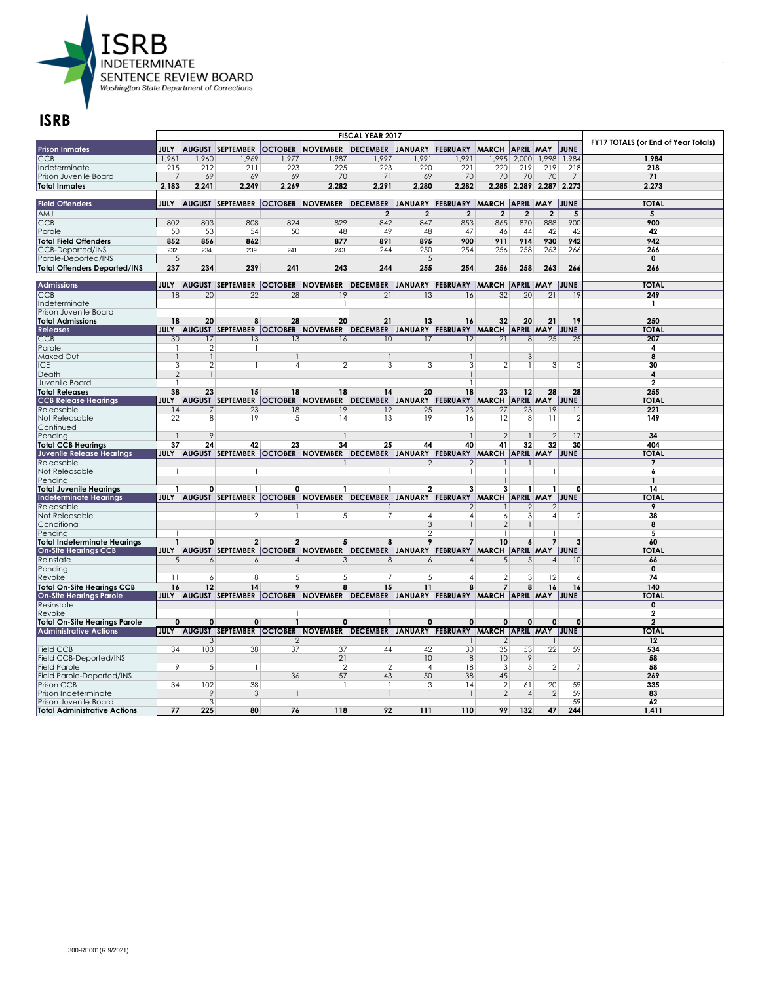

| <b>OCTOBER NOVEMBER</b><br>DECEMBER JANUARY FEBRUARY MARCH<br><b>Prison Inmates</b><br><b>JULY</b><br><b>AUGUST SEPTEMBER</b><br><b>APRIL MAY</b><br>JUNE<br>CCB<br>1,977<br>1,987<br>1,997<br>1,991<br>1,984<br>1,961<br>1,960<br>1,969<br>1,991<br>,995 2,000<br>1,998<br>1,984<br>223<br>225<br>223<br>220<br>220<br>219<br>219<br>212<br>211<br>221<br>218<br>218<br>Indeterminate<br>215<br>69<br>70<br>71<br>69<br>70<br>70<br>71<br>Prison Juvenile Board<br>7<br>69<br>69<br>70<br>70<br>71<br>2.183<br>2,241<br>2.249<br>2,269<br>2.282<br>2.291<br>2.280<br>2.282<br>2,285 2,289 2,287 2,273<br>2.273<br>JULY  AUGUST SEPTEMBER  OCTOBER  NOVEMBER  DECEMBER JANUARY  FEBRUARY  MARCH  APRIL  MAY  JUNE<br><b>TOTAL</b><br>AMJ<br>$\overline{2}$<br>$\overline{2}$<br>$\overline{2}$<br>$\overline{2}$<br>$\overline{2}$<br>$\overline{2}$<br>5<br>5<br><b>CCB</b><br>802<br>803<br>808<br>824<br>829<br>842<br>847<br>853<br>865<br>870<br>888<br>900<br>900<br>Parole<br>50<br>53<br>54<br>50<br>48<br>49<br>48<br>47<br>46<br>44<br>42<br>42<br>42<br>891<br>942<br>942<br><b>Total Field Offenders</b><br>852<br>856<br>862<br>877<br>895<br>900<br>911<br>914<br>930<br>250<br>258<br><b>CCB-Deported/INS</b><br>243<br>244<br>254<br>256<br>263<br>266<br>266<br>232<br>234<br>239<br>241<br>Parole-Deported/INS<br>$\sqrt{5}$<br>$\overline{5}$<br>$\mathbf 0$<br>237<br>234<br>239<br>241<br>243<br>244<br>255<br>254<br>258<br>263<br>266<br>256<br>266<br><b>TOTAL</b><br><b>Admissions</b><br>JULY  AUGUST  SEPTEMBER  OCTOBER  NOVEMBER  DECEMBER  JANUARY  FEBRUARY  MARCH  APRIL  MAY  JUNE<br>249<br>CCB<br>$\overline{18}$<br>$\overline{20}$<br>$\overline{22}$<br>$\overline{28}$<br>$\overline{19}$<br>$\overline{21}$<br>$\overline{13}$<br>$\overline{16}$<br>$\overline{32}$<br>$\overline{20}$<br>$\overline{21}$<br>Indeterminate<br>$\mathbf{1}$<br>Prison Juvenile Board<br><b>Total Admissions</b><br>18<br>20<br>8<br>28<br>20<br>21<br>13<br>16<br>32<br>20<br>21<br>19<br>250<br><b>JULY</b><br>AUGUST SEPTEMBER OCTOBER NOVEMBER DECEMBER JANUARY FEBRUARY MARCH APRIL MAY JUNE<br><b>TOTAL</b><br><b>Releases</b><br>$\overline{30}$<br>13<br>13<br>10<br>25<br>207<br><b>CCB</b><br>17<br>16<br>12<br>21<br>8<br>25<br>17<br>Parole<br>2<br>-1<br>4<br>3<br>Maxed Out<br>$\mathbf{1}$<br>$\overline{1}$<br>8<br>3<br><b>ICE</b><br>3<br>$\mathbf{2}$<br>$\overline{2}$<br>3<br>3<br>3<br>$\overline{2}$<br>30<br>4<br>$\overline{2}$<br>Death<br>4<br>$\mathbf{1}$<br>$\mathbf{1}$<br>$\mathbf{2}$<br>Juvenile Board<br>$\mathbf{1}$<br>1<br>255<br>38<br>23<br>15<br>18<br>18<br>14<br>20<br>18<br>23<br>12<br>28<br>28<br><b>Total Releases</b><br>AUGUST SEPTEMBER OCTOBER NOVEMBER DECEMBER JANUARY FEBRUARY MARCH APRIL MAY JUNE<br><b>TOTAL</b><br><b>CCB Release Hearings</b><br>JULY<br>221<br>12<br>25<br>23<br>27<br>23<br>19<br>14<br>23<br>18<br>19<br> Releasable<br>7<br>11<br>22<br>149<br>Not Releasable<br>8<br>19<br>5<br>14<br>13<br>19<br>16<br>12<br>8<br>11<br>2<br>Continued<br>9<br>$\overline{2}$<br>$\overline{2}$<br>Pending<br>$\mathbf{1}$<br>17<br>34<br>37<br>34<br>32<br>30<br>404<br>24<br>42<br>23<br>25<br>40<br>41<br>32<br><b>Total CCB Hearings</b><br>44<br>AUGUST SEPTEMBER OCTOBER NOVEMBER DECEMBER JANUARY FEBRUARY MARCH APRIL MAY JUNE<br><b>Juvenile Release Hearings</b><br><b>JULY</b><br><b>TOTAL</b><br>7<br>Releasable<br>2<br>2<br>Not Releasable<br>6<br>$\mathbf{1}$<br>$\mathbf{1}$<br>$\mathbf{1}$<br>1<br>-1<br>Pendina<br>$\mathbf{1}$<br>1<br>$\mathbf{1}$<br>$\mathbf{1}$<br>0<br>$\mathbf{1}$<br>2<br>3<br>3<br>$\mathbf{1}$<br>14<br><b>Total Juvenile Hearings</b><br>0<br>$\mathbf{1}$<br>1<br>n<br>DECEMBER JANUARY FEBRUARY MARCH APRIL MAY JUNE<br>JULY   AUGUST   SEPTEMBER   OCTOBER   NOVEMBER<br><b>TOTAI</b><br>Indeterminate Hearings<br>9<br>Releasable<br>2<br>2<br>2<br>$\overline{\phantom{a}}$<br>Not Releasable<br>38<br>$\mathbf{1}$<br>5<br>7<br>$\overline{4}$<br>4<br>6<br>$\frac{3}{2}$<br>4<br>$\overline{3}$<br>$\overline{2}$<br>Conditional<br>8<br>$\overline{2}$<br>5<br>Pending<br>$\overline{2}$<br>$\overline{2}$<br>$\mathbf{Q}$<br>$\mathbf{1}$<br>$\mathbf{0}$<br>5<br>8<br>7<br>10<br>7<br>60<br><b>Total Indeterminate Hearings</b><br>6<br>JULY  AUGUST SEPTEMBER  OCTOBER  NOVEMBER  DECEMBER JANUARY  FEBRUARY  MARCH  APRIL  MAY  JUNE<br><b>TOTAL</b><br>Reinstate<br>66<br>5 <sup>5</sup><br>6<br>3<br>8<br>5<br>6<br>4<br>6<br>4<br>5<br>4<br>Pending<br>$\mathbf{0}$<br>$\overline{2}$<br>12<br>74<br>Revoke<br>8<br>5<br>5<br>5 <sup>1</sup><br>11<br>6<br>7<br>4<br>3<br>16<br>16<br>12<br>14<br>9<br>15<br>11<br>8<br>$\overline{7}$<br>140<br><b>Total On-Site Hearings CCB</b><br>8<br>8<br>16<br>JULY AUGUST SEPTEMBER OCTOBER NOVEMBER DECEMBER JANUARY FEBRUARY MARCH APRIL MAY JUNE<br><b>On-Site Hearings Parole</b><br><b>TOTAL</b><br>0<br>Resinstate<br>2<br>Revoke<br>$\mathbf{1}$<br>$\overline{2}$<br>$\mathbf 0$<br>$\mathbf 0$<br>0<br>$\mathbf{1}$<br>$\mathbf 0$<br>$\mathbf 0$<br>$\mathbf 0$<br>$\mathbf{0}$<br>$\Omega$<br>$\mathbf{0}$<br><b>Total On-Site Hearings Parole</b><br>$\mathbf{1}$<br>$\Omega$<br><b>Administrative Actions</b><br>AUGUST SEPTEMBER OCTOBER NOVEMBER DECEMBER JANUARY FEBRUARY MARCH APRIL MAY JUNE<br><b>TOTAL</b><br><b>JULY</b><br>12<br>3<br>$\mathcal{P}$<br>$\overline{2}$<br>34<br>103<br>38<br>37<br>37<br>42<br>30<br>53<br>22<br>59<br>534<br><b>Field CCB</b><br>44<br>35<br>Field CCB-Deported/INS<br>21<br>10<br>8<br>10<br>9<br>58<br>9<br>$\overline{2}$<br>$\overline{2}$<br>58<br><b>Field Parole</b><br>$\sqrt{5}$<br>$\overline{2}$<br>18<br>3<br>$5\overline{5}$<br>$\overline{4}$<br>1<br>Field Parole-Deported/INS<br>36<br>57<br>43<br>50<br>38<br>45<br>269<br>102<br>38<br>$\overline{2}$<br>59<br>34<br>$\overline{1}$<br>3<br>61<br>20<br>335<br>Prison CCB<br>$\mathbf{1}$<br>14<br>9<br>3<br>$\overline{2}$<br>$\mathbf{2}$<br>59<br>83<br>Prison Indeterminate<br>$\mathbf{1}$<br>$\overline{A}$<br>3<br>59<br>62<br>Prison Juvenile Board |                                     |     |  | <b>FISCAL YEAR 2017</b> |  |  |     |                                     |
|-----------------------------------------------------------------------------------------------------------------------------------------------------------------------------------------------------------------------------------------------------------------------------------------------------------------------------------------------------------------------------------------------------------------------------------------------------------------------------------------------------------------------------------------------------------------------------------------------------------------------------------------------------------------------------------------------------------------------------------------------------------------------------------------------------------------------------------------------------------------------------------------------------------------------------------------------------------------------------------------------------------------------------------------------------------------------------------------------------------------------------------------------------------------------------------------------------------------------------------------------------------------------------------------------------------------------------------------------------------------------------------------------------------------------------------------------------------------------------------------------------------------------------------------------------------------------------------------------------------------------------------------------------------------------------------------------------------------------------------------------------------------------------------------------------------------------------------------------------------------------------------------------------------------------------------------------------------------------------------------------------------------------------------------------------------------------------------------------------------------------------------------------------------------------------------------------------------------------------------------------------------------------------------------------------------------------------------------------------------------------------------------------------------------------------------------------------------------------------------------------------------------------------------------------------------------------------------------------------------------------------------------------------------------------------------------------------------------------------------------------------------------------------------------------------------------------------------------------------------------------------------------------------------------------------------------------------------------------------------------------------------------------------------------------------------------------------------------------------------------------------------------------------------------------------------------------------------------------------------------------------------------------------------------------------------------------------------------------------------------------------------------------------------------------------------------------------------------------------------------------------------------------------------------------------------------------------------------------------------------------------------------------------------------------------------------------------------------------------------------------------------------------------------------------------------------------------------------------------------------------------------------------------------------------------------------------------------------------------------------------------------------------------------------------------------------------------------------------------------------------------------------------------------------------------------------------------------------------------------------------------------------------------------------------------------------------------------------------------------------------------------------------------------------------------------------------------------------------------------------------------------------------------------------------------------------------------------------------------------------------------------------------------------------------------------------------------------------------------------------------------------------------------------------------------------------------------------------------------------------------------------------------------------------------------------------------------------------------------------------------------------------------------------------------------------------------------------------------------------------------------------------------------------------------------------------------------------------------------------------------------------------------------------------------------------------------------------------------------------------------------------------------------------------------------------------------------------------------------------------------------------------------------------------------------------------------------------------------------------------------------------------------------------------------------------------------------------------------------------------------------------------------------------------------------------------------------------------------------------------------------------------------------------------------------------------------------------------------------------------------------------------------------------------------------------------------------------|-------------------------------------|-----|--|-------------------------|--|--|-----|-------------------------------------|
|                                                                                                                                                                                                                                                                                                                                                                                                                                                                                                                                                                                                                                                                                                                                                                                                                                                                                                                                                                                                                                                                                                                                                                                                                                                                                                                                                                                                                                                                                                                                                                                                                                                                                                                                                                                                                                                                                                                                                                                                                                                                                                                                                                                                                                                                                                                                                                                                                                                                                                                                                                                                                                                                                                                                                                                                                                                                                                                                                                                                                                                                                                                                                                                                                                                                                                                                                                                                                                                                                                                                                                                                                                                                                                                                                                                                                                                                                                                                                                                                                                                                                                                                                                                                                                                                                                                                                                                                                                                                                                                                                                                                                                                                                                                                                                                                                                                                                                                                                                                                                                                                                                                                                                                                                                                                                                                                                                                                                                                                                                                                                                                                                                                                                                                                                                                                                                                                                                                                                                                                                                                                                   |                                     |     |  |                         |  |  |     | FY17 TOTALS (or End of Year Totals) |
|                                                                                                                                                                                                                                                                                                                                                                                                                                                                                                                                                                                                                                                                                                                                                                                                                                                                                                                                                                                                                                                                                                                                                                                                                                                                                                                                                                                                                                                                                                                                                                                                                                                                                                                                                                                                                                                                                                                                                                                                                                                                                                                                                                                                                                                                                                                                                                                                                                                                                                                                                                                                                                                                                                                                                                                                                                                                                                                                                                                                                                                                                                                                                                                                                                                                                                                                                                                                                                                                                                                                                                                                                                                                                                                                                                                                                                                                                                                                                                                                                                                                                                                                                                                                                                                                                                                                                                                                                                                                                                                                                                                                                                                                                                                                                                                                                                                                                                                                                                                                                                                                                                                                                                                                                                                                                                                                                                                                                                                                                                                                                                                                                                                                                                                                                                                                                                                                                                                                                                                                                                                                                   |                                     |     |  |                         |  |  |     |                                     |
|                                                                                                                                                                                                                                                                                                                                                                                                                                                                                                                                                                                                                                                                                                                                                                                                                                                                                                                                                                                                                                                                                                                                                                                                                                                                                                                                                                                                                                                                                                                                                                                                                                                                                                                                                                                                                                                                                                                                                                                                                                                                                                                                                                                                                                                                                                                                                                                                                                                                                                                                                                                                                                                                                                                                                                                                                                                                                                                                                                                                                                                                                                                                                                                                                                                                                                                                                                                                                                                                                                                                                                                                                                                                                                                                                                                                                                                                                                                                                                                                                                                                                                                                                                                                                                                                                                                                                                                                                                                                                                                                                                                                                                                                                                                                                                                                                                                                                                                                                                                                                                                                                                                                                                                                                                                                                                                                                                                                                                                                                                                                                                                                                                                                                                                                                                                                                                                                                                                                                                                                                                                                                   |                                     |     |  |                         |  |  |     |                                     |
|                                                                                                                                                                                                                                                                                                                                                                                                                                                                                                                                                                                                                                                                                                                                                                                                                                                                                                                                                                                                                                                                                                                                                                                                                                                                                                                                                                                                                                                                                                                                                                                                                                                                                                                                                                                                                                                                                                                                                                                                                                                                                                                                                                                                                                                                                                                                                                                                                                                                                                                                                                                                                                                                                                                                                                                                                                                                                                                                                                                                                                                                                                                                                                                                                                                                                                                                                                                                                                                                                                                                                                                                                                                                                                                                                                                                                                                                                                                                                                                                                                                                                                                                                                                                                                                                                                                                                                                                                                                                                                                                                                                                                                                                                                                                                                                                                                                                                                                                                                                                                                                                                                                                                                                                                                                                                                                                                                                                                                                                                                                                                                                                                                                                                                                                                                                                                                                                                                                                                                                                                                                                                   |                                     |     |  |                         |  |  |     |                                     |
|                                                                                                                                                                                                                                                                                                                                                                                                                                                                                                                                                                                                                                                                                                                                                                                                                                                                                                                                                                                                                                                                                                                                                                                                                                                                                                                                                                                                                                                                                                                                                                                                                                                                                                                                                                                                                                                                                                                                                                                                                                                                                                                                                                                                                                                                                                                                                                                                                                                                                                                                                                                                                                                                                                                                                                                                                                                                                                                                                                                                                                                                                                                                                                                                                                                                                                                                                                                                                                                                                                                                                                                                                                                                                                                                                                                                                                                                                                                                                                                                                                                                                                                                                                                                                                                                                                                                                                                                                                                                                                                                                                                                                                                                                                                                                                                                                                                                                                                                                                                                                                                                                                                                                                                                                                                                                                                                                                                                                                                                                                                                                                                                                                                                                                                                                                                                                                                                                                                                                                                                                                                                                   | Total Inmates                       |     |  |                         |  |  |     |                                     |
|                                                                                                                                                                                                                                                                                                                                                                                                                                                                                                                                                                                                                                                                                                                                                                                                                                                                                                                                                                                                                                                                                                                                                                                                                                                                                                                                                                                                                                                                                                                                                                                                                                                                                                                                                                                                                                                                                                                                                                                                                                                                                                                                                                                                                                                                                                                                                                                                                                                                                                                                                                                                                                                                                                                                                                                                                                                                                                                                                                                                                                                                                                                                                                                                                                                                                                                                                                                                                                                                                                                                                                                                                                                                                                                                                                                                                                                                                                                                                                                                                                                                                                                                                                                                                                                                                                                                                                                                                                                                                                                                                                                                                                                                                                                                                                                                                                                                                                                                                                                                                                                                                                                                                                                                                                                                                                                                                                                                                                                                                                                                                                                                                                                                                                                                                                                                                                                                                                                                                                                                                                                                                   |                                     |     |  |                         |  |  |     |                                     |
|                                                                                                                                                                                                                                                                                                                                                                                                                                                                                                                                                                                                                                                                                                                                                                                                                                                                                                                                                                                                                                                                                                                                                                                                                                                                                                                                                                                                                                                                                                                                                                                                                                                                                                                                                                                                                                                                                                                                                                                                                                                                                                                                                                                                                                                                                                                                                                                                                                                                                                                                                                                                                                                                                                                                                                                                                                                                                                                                                                                                                                                                                                                                                                                                                                                                                                                                                                                                                                                                                                                                                                                                                                                                                                                                                                                                                                                                                                                                                                                                                                                                                                                                                                                                                                                                                                                                                                                                                                                                                                                                                                                                                                                                                                                                                                                                                                                                                                                                                                                                                                                                                                                                                                                                                                                                                                                                                                                                                                                                                                                                                                                                                                                                                                                                                                                                                                                                                                                                                                                                                                                                                   | <b>Field Offenders</b>              |     |  |                         |  |  |     |                                     |
|                                                                                                                                                                                                                                                                                                                                                                                                                                                                                                                                                                                                                                                                                                                                                                                                                                                                                                                                                                                                                                                                                                                                                                                                                                                                                                                                                                                                                                                                                                                                                                                                                                                                                                                                                                                                                                                                                                                                                                                                                                                                                                                                                                                                                                                                                                                                                                                                                                                                                                                                                                                                                                                                                                                                                                                                                                                                                                                                                                                                                                                                                                                                                                                                                                                                                                                                                                                                                                                                                                                                                                                                                                                                                                                                                                                                                                                                                                                                                                                                                                                                                                                                                                                                                                                                                                                                                                                                                                                                                                                                                                                                                                                                                                                                                                                                                                                                                                                                                                                                                                                                                                                                                                                                                                                                                                                                                                                                                                                                                                                                                                                                                                                                                                                                                                                                                                                                                                                                                                                                                                                                                   |                                     |     |  |                         |  |  |     |                                     |
|                                                                                                                                                                                                                                                                                                                                                                                                                                                                                                                                                                                                                                                                                                                                                                                                                                                                                                                                                                                                                                                                                                                                                                                                                                                                                                                                                                                                                                                                                                                                                                                                                                                                                                                                                                                                                                                                                                                                                                                                                                                                                                                                                                                                                                                                                                                                                                                                                                                                                                                                                                                                                                                                                                                                                                                                                                                                                                                                                                                                                                                                                                                                                                                                                                                                                                                                                                                                                                                                                                                                                                                                                                                                                                                                                                                                                                                                                                                                                                                                                                                                                                                                                                                                                                                                                                                                                                                                                                                                                                                                                                                                                                                                                                                                                                                                                                                                                                                                                                                                                                                                                                                                                                                                                                                                                                                                                                                                                                                                                                                                                                                                                                                                                                                                                                                                                                                                                                                                                                                                                                                                                   |                                     |     |  |                         |  |  |     |                                     |
|                                                                                                                                                                                                                                                                                                                                                                                                                                                                                                                                                                                                                                                                                                                                                                                                                                                                                                                                                                                                                                                                                                                                                                                                                                                                                                                                                                                                                                                                                                                                                                                                                                                                                                                                                                                                                                                                                                                                                                                                                                                                                                                                                                                                                                                                                                                                                                                                                                                                                                                                                                                                                                                                                                                                                                                                                                                                                                                                                                                                                                                                                                                                                                                                                                                                                                                                                                                                                                                                                                                                                                                                                                                                                                                                                                                                                                                                                                                                                                                                                                                                                                                                                                                                                                                                                                                                                                                                                                                                                                                                                                                                                                                                                                                                                                                                                                                                                                                                                                                                                                                                                                                                                                                                                                                                                                                                                                                                                                                                                                                                                                                                                                                                                                                                                                                                                                                                                                                                                                                                                                                                                   |                                     |     |  |                         |  |  |     |                                     |
|                                                                                                                                                                                                                                                                                                                                                                                                                                                                                                                                                                                                                                                                                                                                                                                                                                                                                                                                                                                                                                                                                                                                                                                                                                                                                                                                                                                                                                                                                                                                                                                                                                                                                                                                                                                                                                                                                                                                                                                                                                                                                                                                                                                                                                                                                                                                                                                                                                                                                                                                                                                                                                                                                                                                                                                                                                                                                                                                                                                                                                                                                                                                                                                                                                                                                                                                                                                                                                                                                                                                                                                                                                                                                                                                                                                                                                                                                                                                                                                                                                                                                                                                                                                                                                                                                                                                                                                                                                                                                                                                                                                                                                                                                                                                                                                                                                                                                                                                                                                                                                                                                                                                                                                                                                                                                                                                                                                                                                                                                                                                                                                                                                                                                                                                                                                                                                                                                                                                                                                                                                                                                   |                                     |     |  |                         |  |  |     |                                     |
|                                                                                                                                                                                                                                                                                                                                                                                                                                                                                                                                                                                                                                                                                                                                                                                                                                                                                                                                                                                                                                                                                                                                                                                                                                                                                                                                                                                                                                                                                                                                                                                                                                                                                                                                                                                                                                                                                                                                                                                                                                                                                                                                                                                                                                                                                                                                                                                                                                                                                                                                                                                                                                                                                                                                                                                                                                                                                                                                                                                                                                                                                                                                                                                                                                                                                                                                                                                                                                                                                                                                                                                                                                                                                                                                                                                                                                                                                                                                                                                                                                                                                                                                                                                                                                                                                                                                                                                                                                                                                                                                                                                                                                                                                                                                                                                                                                                                                                                                                                                                                                                                                                                                                                                                                                                                                                                                                                                                                                                                                                                                                                                                                                                                                                                                                                                                                                                                                                                                                                                                                                                                                   |                                     |     |  |                         |  |  |     |                                     |
|                                                                                                                                                                                                                                                                                                                                                                                                                                                                                                                                                                                                                                                                                                                                                                                                                                                                                                                                                                                                                                                                                                                                                                                                                                                                                                                                                                                                                                                                                                                                                                                                                                                                                                                                                                                                                                                                                                                                                                                                                                                                                                                                                                                                                                                                                                                                                                                                                                                                                                                                                                                                                                                                                                                                                                                                                                                                                                                                                                                                                                                                                                                                                                                                                                                                                                                                                                                                                                                                                                                                                                                                                                                                                                                                                                                                                                                                                                                                                                                                                                                                                                                                                                                                                                                                                                                                                                                                                                                                                                                                                                                                                                                                                                                                                                                                                                                                                                                                                                                                                                                                                                                                                                                                                                                                                                                                                                                                                                                                                                                                                                                                                                                                                                                                                                                                                                                                                                                                                                                                                                                                                   |                                     |     |  |                         |  |  |     |                                     |
|                                                                                                                                                                                                                                                                                                                                                                                                                                                                                                                                                                                                                                                                                                                                                                                                                                                                                                                                                                                                                                                                                                                                                                                                                                                                                                                                                                                                                                                                                                                                                                                                                                                                                                                                                                                                                                                                                                                                                                                                                                                                                                                                                                                                                                                                                                                                                                                                                                                                                                                                                                                                                                                                                                                                                                                                                                                                                                                                                                                                                                                                                                                                                                                                                                                                                                                                                                                                                                                                                                                                                                                                                                                                                                                                                                                                                                                                                                                                                                                                                                                                                                                                                                                                                                                                                                                                                                                                                                                                                                                                                                                                                                                                                                                                                                                                                                                                                                                                                                                                                                                                                                                                                                                                                                                                                                                                                                                                                                                                                                                                                                                                                                                                                                                                                                                                                                                                                                                                                                                                                                                                                   | <b>Total Offenders Deported/INS</b> |     |  |                         |  |  |     |                                     |
|                                                                                                                                                                                                                                                                                                                                                                                                                                                                                                                                                                                                                                                                                                                                                                                                                                                                                                                                                                                                                                                                                                                                                                                                                                                                                                                                                                                                                                                                                                                                                                                                                                                                                                                                                                                                                                                                                                                                                                                                                                                                                                                                                                                                                                                                                                                                                                                                                                                                                                                                                                                                                                                                                                                                                                                                                                                                                                                                                                                                                                                                                                                                                                                                                                                                                                                                                                                                                                                                                                                                                                                                                                                                                                                                                                                                                                                                                                                                                                                                                                                                                                                                                                                                                                                                                                                                                                                                                                                                                                                                                                                                                                                                                                                                                                                                                                                                                                                                                                                                                                                                                                                                                                                                                                                                                                                                                                                                                                                                                                                                                                                                                                                                                                                                                                                                                                                                                                                                                                                                                                                                                   |                                     |     |  |                         |  |  |     |                                     |
|                                                                                                                                                                                                                                                                                                                                                                                                                                                                                                                                                                                                                                                                                                                                                                                                                                                                                                                                                                                                                                                                                                                                                                                                                                                                                                                                                                                                                                                                                                                                                                                                                                                                                                                                                                                                                                                                                                                                                                                                                                                                                                                                                                                                                                                                                                                                                                                                                                                                                                                                                                                                                                                                                                                                                                                                                                                                                                                                                                                                                                                                                                                                                                                                                                                                                                                                                                                                                                                                                                                                                                                                                                                                                                                                                                                                                                                                                                                                                                                                                                                                                                                                                                                                                                                                                                                                                                                                                                                                                                                                                                                                                                                                                                                                                                                                                                                                                                                                                                                                                                                                                                                                                                                                                                                                                                                                                                                                                                                                                                                                                                                                                                                                                                                                                                                                                                                                                                                                                                                                                                                                                   |                                     |     |  |                         |  |  |     |                                     |
|                                                                                                                                                                                                                                                                                                                                                                                                                                                                                                                                                                                                                                                                                                                                                                                                                                                                                                                                                                                                                                                                                                                                                                                                                                                                                                                                                                                                                                                                                                                                                                                                                                                                                                                                                                                                                                                                                                                                                                                                                                                                                                                                                                                                                                                                                                                                                                                                                                                                                                                                                                                                                                                                                                                                                                                                                                                                                                                                                                                                                                                                                                                                                                                                                                                                                                                                                                                                                                                                                                                                                                                                                                                                                                                                                                                                                                                                                                                                                                                                                                                                                                                                                                                                                                                                                                                                                                                                                                                                                                                                                                                                                                                                                                                                                                                                                                                                                                                                                                                                                                                                                                                                                                                                                                                                                                                                                                                                                                                                                                                                                                                                                                                                                                                                                                                                                                                                                                                                                                                                                                                                                   |                                     |     |  |                         |  |  |     |                                     |
|                                                                                                                                                                                                                                                                                                                                                                                                                                                                                                                                                                                                                                                                                                                                                                                                                                                                                                                                                                                                                                                                                                                                                                                                                                                                                                                                                                                                                                                                                                                                                                                                                                                                                                                                                                                                                                                                                                                                                                                                                                                                                                                                                                                                                                                                                                                                                                                                                                                                                                                                                                                                                                                                                                                                                                                                                                                                                                                                                                                                                                                                                                                                                                                                                                                                                                                                                                                                                                                                                                                                                                                                                                                                                                                                                                                                                                                                                                                                                                                                                                                                                                                                                                                                                                                                                                                                                                                                                                                                                                                                                                                                                                                                                                                                                                                                                                                                                                                                                                                                                                                                                                                                                                                                                                                                                                                                                                                                                                                                                                                                                                                                                                                                                                                                                                                                                                                                                                                                                                                                                                                                                   |                                     |     |  |                         |  |  |     |                                     |
|                                                                                                                                                                                                                                                                                                                                                                                                                                                                                                                                                                                                                                                                                                                                                                                                                                                                                                                                                                                                                                                                                                                                                                                                                                                                                                                                                                                                                                                                                                                                                                                                                                                                                                                                                                                                                                                                                                                                                                                                                                                                                                                                                                                                                                                                                                                                                                                                                                                                                                                                                                                                                                                                                                                                                                                                                                                                                                                                                                                                                                                                                                                                                                                                                                                                                                                                                                                                                                                                                                                                                                                                                                                                                                                                                                                                                                                                                                                                                                                                                                                                                                                                                                                                                                                                                                                                                                                                                                                                                                                                                                                                                                                                                                                                                                                                                                                                                                                                                                                                                                                                                                                                                                                                                                                                                                                                                                                                                                                                                                                                                                                                                                                                                                                                                                                                                                                                                                                                                                                                                                                                                   |                                     |     |  |                         |  |  |     |                                     |
|                                                                                                                                                                                                                                                                                                                                                                                                                                                                                                                                                                                                                                                                                                                                                                                                                                                                                                                                                                                                                                                                                                                                                                                                                                                                                                                                                                                                                                                                                                                                                                                                                                                                                                                                                                                                                                                                                                                                                                                                                                                                                                                                                                                                                                                                                                                                                                                                                                                                                                                                                                                                                                                                                                                                                                                                                                                                                                                                                                                                                                                                                                                                                                                                                                                                                                                                                                                                                                                                                                                                                                                                                                                                                                                                                                                                                                                                                                                                                                                                                                                                                                                                                                                                                                                                                                                                                                                                                                                                                                                                                                                                                                                                                                                                                                                                                                                                                                                                                                                                                                                                                                                                                                                                                                                                                                                                                                                                                                                                                                                                                                                                                                                                                                                                                                                                                                                                                                                                                                                                                                                                                   |                                     |     |  |                         |  |  |     |                                     |
|                                                                                                                                                                                                                                                                                                                                                                                                                                                                                                                                                                                                                                                                                                                                                                                                                                                                                                                                                                                                                                                                                                                                                                                                                                                                                                                                                                                                                                                                                                                                                                                                                                                                                                                                                                                                                                                                                                                                                                                                                                                                                                                                                                                                                                                                                                                                                                                                                                                                                                                                                                                                                                                                                                                                                                                                                                                                                                                                                                                                                                                                                                                                                                                                                                                                                                                                                                                                                                                                                                                                                                                                                                                                                                                                                                                                                                                                                                                                                                                                                                                                                                                                                                                                                                                                                                                                                                                                                                                                                                                                                                                                                                                                                                                                                                                                                                                                                                                                                                                                                                                                                                                                                                                                                                                                                                                                                                                                                                                                                                                                                                                                                                                                                                                                                                                                                                                                                                                                                                                                                                                                                   |                                     |     |  |                         |  |  |     |                                     |
|                                                                                                                                                                                                                                                                                                                                                                                                                                                                                                                                                                                                                                                                                                                                                                                                                                                                                                                                                                                                                                                                                                                                                                                                                                                                                                                                                                                                                                                                                                                                                                                                                                                                                                                                                                                                                                                                                                                                                                                                                                                                                                                                                                                                                                                                                                                                                                                                                                                                                                                                                                                                                                                                                                                                                                                                                                                                                                                                                                                                                                                                                                                                                                                                                                                                                                                                                                                                                                                                                                                                                                                                                                                                                                                                                                                                                                                                                                                                                                                                                                                                                                                                                                                                                                                                                                                                                                                                                                                                                                                                                                                                                                                                                                                                                                                                                                                                                                                                                                                                                                                                                                                                                                                                                                                                                                                                                                                                                                                                                                                                                                                                                                                                                                                                                                                                                                                                                                                                                                                                                                                                                   |                                     |     |  |                         |  |  |     |                                     |
|                                                                                                                                                                                                                                                                                                                                                                                                                                                                                                                                                                                                                                                                                                                                                                                                                                                                                                                                                                                                                                                                                                                                                                                                                                                                                                                                                                                                                                                                                                                                                                                                                                                                                                                                                                                                                                                                                                                                                                                                                                                                                                                                                                                                                                                                                                                                                                                                                                                                                                                                                                                                                                                                                                                                                                                                                                                                                                                                                                                                                                                                                                                                                                                                                                                                                                                                                                                                                                                                                                                                                                                                                                                                                                                                                                                                                                                                                                                                                                                                                                                                                                                                                                                                                                                                                                                                                                                                                                                                                                                                                                                                                                                                                                                                                                                                                                                                                                                                                                                                                                                                                                                                                                                                                                                                                                                                                                                                                                                                                                                                                                                                                                                                                                                                                                                                                                                                                                                                                                                                                                                                                   |                                     |     |  |                         |  |  |     |                                     |
|                                                                                                                                                                                                                                                                                                                                                                                                                                                                                                                                                                                                                                                                                                                                                                                                                                                                                                                                                                                                                                                                                                                                                                                                                                                                                                                                                                                                                                                                                                                                                                                                                                                                                                                                                                                                                                                                                                                                                                                                                                                                                                                                                                                                                                                                                                                                                                                                                                                                                                                                                                                                                                                                                                                                                                                                                                                                                                                                                                                                                                                                                                                                                                                                                                                                                                                                                                                                                                                                                                                                                                                                                                                                                                                                                                                                                                                                                                                                                                                                                                                                                                                                                                                                                                                                                                                                                                                                                                                                                                                                                                                                                                                                                                                                                                                                                                                                                                                                                                                                                                                                                                                                                                                                                                                                                                                                                                                                                                                                                                                                                                                                                                                                                                                                                                                                                                                                                                                                                                                                                                                                                   |                                     |     |  |                         |  |  |     |                                     |
|                                                                                                                                                                                                                                                                                                                                                                                                                                                                                                                                                                                                                                                                                                                                                                                                                                                                                                                                                                                                                                                                                                                                                                                                                                                                                                                                                                                                                                                                                                                                                                                                                                                                                                                                                                                                                                                                                                                                                                                                                                                                                                                                                                                                                                                                                                                                                                                                                                                                                                                                                                                                                                                                                                                                                                                                                                                                                                                                                                                                                                                                                                                                                                                                                                                                                                                                                                                                                                                                                                                                                                                                                                                                                                                                                                                                                                                                                                                                                                                                                                                                                                                                                                                                                                                                                                                                                                                                                                                                                                                                                                                                                                                                                                                                                                                                                                                                                                                                                                                                                                                                                                                                                                                                                                                                                                                                                                                                                                                                                                                                                                                                                                                                                                                                                                                                                                                                                                                                                                                                                                                                                   |                                     |     |  |                         |  |  |     |                                     |
|                                                                                                                                                                                                                                                                                                                                                                                                                                                                                                                                                                                                                                                                                                                                                                                                                                                                                                                                                                                                                                                                                                                                                                                                                                                                                                                                                                                                                                                                                                                                                                                                                                                                                                                                                                                                                                                                                                                                                                                                                                                                                                                                                                                                                                                                                                                                                                                                                                                                                                                                                                                                                                                                                                                                                                                                                                                                                                                                                                                                                                                                                                                                                                                                                                                                                                                                                                                                                                                                                                                                                                                                                                                                                                                                                                                                                                                                                                                                                                                                                                                                                                                                                                                                                                                                                                                                                                                                                                                                                                                                                                                                                                                                                                                                                                                                                                                                                                                                                                                                                                                                                                                                                                                                                                                                                                                                                                                                                                                                                                                                                                                                                                                                                                                                                                                                                                                                                                                                                                                                                                                                                   |                                     |     |  |                         |  |  |     |                                     |
|                                                                                                                                                                                                                                                                                                                                                                                                                                                                                                                                                                                                                                                                                                                                                                                                                                                                                                                                                                                                                                                                                                                                                                                                                                                                                                                                                                                                                                                                                                                                                                                                                                                                                                                                                                                                                                                                                                                                                                                                                                                                                                                                                                                                                                                                                                                                                                                                                                                                                                                                                                                                                                                                                                                                                                                                                                                                                                                                                                                                                                                                                                                                                                                                                                                                                                                                                                                                                                                                                                                                                                                                                                                                                                                                                                                                                                                                                                                                                                                                                                                                                                                                                                                                                                                                                                                                                                                                                                                                                                                                                                                                                                                                                                                                                                                                                                                                                                                                                                                                                                                                                                                                                                                                                                                                                                                                                                                                                                                                                                                                                                                                                                                                                                                                                                                                                                                                                                                                                                                                                                                                                   |                                     |     |  |                         |  |  |     |                                     |
|                                                                                                                                                                                                                                                                                                                                                                                                                                                                                                                                                                                                                                                                                                                                                                                                                                                                                                                                                                                                                                                                                                                                                                                                                                                                                                                                                                                                                                                                                                                                                                                                                                                                                                                                                                                                                                                                                                                                                                                                                                                                                                                                                                                                                                                                                                                                                                                                                                                                                                                                                                                                                                                                                                                                                                                                                                                                                                                                                                                                                                                                                                                                                                                                                                                                                                                                                                                                                                                                                                                                                                                                                                                                                                                                                                                                                                                                                                                                                                                                                                                                                                                                                                                                                                                                                                                                                                                                                                                                                                                                                                                                                                                                                                                                                                                                                                                                                                                                                                                                                                                                                                                                                                                                                                                                                                                                                                                                                                                                                                                                                                                                                                                                                                                                                                                                                                                                                                                                                                                                                                                                                   |                                     |     |  |                         |  |  |     |                                     |
|                                                                                                                                                                                                                                                                                                                                                                                                                                                                                                                                                                                                                                                                                                                                                                                                                                                                                                                                                                                                                                                                                                                                                                                                                                                                                                                                                                                                                                                                                                                                                                                                                                                                                                                                                                                                                                                                                                                                                                                                                                                                                                                                                                                                                                                                                                                                                                                                                                                                                                                                                                                                                                                                                                                                                                                                                                                                                                                                                                                                                                                                                                                                                                                                                                                                                                                                                                                                                                                                                                                                                                                                                                                                                                                                                                                                                                                                                                                                                                                                                                                                                                                                                                                                                                                                                                                                                                                                                                                                                                                                                                                                                                                                                                                                                                                                                                                                                                                                                                                                                                                                                                                                                                                                                                                                                                                                                                                                                                                                                                                                                                                                                                                                                                                                                                                                                                                                                                                                                                                                                                                                                   |                                     |     |  |                         |  |  |     |                                     |
|                                                                                                                                                                                                                                                                                                                                                                                                                                                                                                                                                                                                                                                                                                                                                                                                                                                                                                                                                                                                                                                                                                                                                                                                                                                                                                                                                                                                                                                                                                                                                                                                                                                                                                                                                                                                                                                                                                                                                                                                                                                                                                                                                                                                                                                                                                                                                                                                                                                                                                                                                                                                                                                                                                                                                                                                                                                                                                                                                                                                                                                                                                                                                                                                                                                                                                                                                                                                                                                                                                                                                                                                                                                                                                                                                                                                                                                                                                                                                                                                                                                                                                                                                                                                                                                                                                                                                                                                                                                                                                                                                                                                                                                                                                                                                                                                                                                                                                                                                                                                                                                                                                                                                                                                                                                                                                                                                                                                                                                                                                                                                                                                                                                                                                                                                                                                                                                                                                                                                                                                                                                                                   |                                     |     |  |                         |  |  |     |                                     |
|                                                                                                                                                                                                                                                                                                                                                                                                                                                                                                                                                                                                                                                                                                                                                                                                                                                                                                                                                                                                                                                                                                                                                                                                                                                                                                                                                                                                                                                                                                                                                                                                                                                                                                                                                                                                                                                                                                                                                                                                                                                                                                                                                                                                                                                                                                                                                                                                                                                                                                                                                                                                                                                                                                                                                                                                                                                                                                                                                                                                                                                                                                                                                                                                                                                                                                                                                                                                                                                                                                                                                                                                                                                                                                                                                                                                                                                                                                                                                                                                                                                                                                                                                                                                                                                                                                                                                                                                                                                                                                                                                                                                                                                                                                                                                                                                                                                                                                                                                                                                                                                                                                                                                                                                                                                                                                                                                                                                                                                                                                                                                                                                                                                                                                                                                                                                                                                                                                                                                                                                                                                                                   |                                     |     |  |                         |  |  |     |                                     |
|                                                                                                                                                                                                                                                                                                                                                                                                                                                                                                                                                                                                                                                                                                                                                                                                                                                                                                                                                                                                                                                                                                                                                                                                                                                                                                                                                                                                                                                                                                                                                                                                                                                                                                                                                                                                                                                                                                                                                                                                                                                                                                                                                                                                                                                                                                                                                                                                                                                                                                                                                                                                                                                                                                                                                                                                                                                                                                                                                                                                                                                                                                                                                                                                                                                                                                                                                                                                                                                                                                                                                                                                                                                                                                                                                                                                                                                                                                                                                                                                                                                                                                                                                                                                                                                                                                                                                                                                                                                                                                                                                                                                                                                                                                                                                                                                                                                                                                                                                                                                                                                                                                                                                                                                                                                                                                                                                                                                                                                                                                                                                                                                                                                                                                                                                                                                                                                                                                                                                                                                                                                                                   |                                     |     |  |                         |  |  |     |                                     |
|                                                                                                                                                                                                                                                                                                                                                                                                                                                                                                                                                                                                                                                                                                                                                                                                                                                                                                                                                                                                                                                                                                                                                                                                                                                                                                                                                                                                                                                                                                                                                                                                                                                                                                                                                                                                                                                                                                                                                                                                                                                                                                                                                                                                                                                                                                                                                                                                                                                                                                                                                                                                                                                                                                                                                                                                                                                                                                                                                                                                                                                                                                                                                                                                                                                                                                                                                                                                                                                                                                                                                                                                                                                                                                                                                                                                                                                                                                                                                                                                                                                                                                                                                                                                                                                                                                                                                                                                                                                                                                                                                                                                                                                                                                                                                                                                                                                                                                                                                                                                                                                                                                                                                                                                                                                                                                                                                                                                                                                                                                                                                                                                                                                                                                                                                                                                                                                                                                                                                                                                                                                                                   |                                     |     |  |                         |  |  |     |                                     |
|                                                                                                                                                                                                                                                                                                                                                                                                                                                                                                                                                                                                                                                                                                                                                                                                                                                                                                                                                                                                                                                                                                                                                                                                                                                                                                                                                                                                                                                                                                                                                                                                                                                                                                                                                                                                                                                                                                                                                                                                                                                                                                                                                                                                                                                                                                                                                                                                                                                                                                                                                                                                                                                                                                                                                                                                                                                                                                                                                                                                                                                                                                                                                                                                                                                                                                                                                                                                                                                                                                                                                                                                                                                                                                                                                                                                                                                                                                                                                                                                                                                                                                                                                                                                                                                                                                                                                                                                                                                                                                                                                                                                                                                                                                                                                                                                                                                                                                                                                                                                                                                                                                                                                                                                                                                                                                                                                                                                                                                                                                                                                                                                                                                                                                                                                                                                                                                                                                                                                                                                                                                                                   |                                     |     |  |                         |  |  |     |                                     |
|                                                                                                                                                                                                                                                                                                                                                                                                                                                                                                                                                                                                                                                                                                                                                                                                                                                                                                                                                                                                                                                                                                                                                                                                                                                                                                                                                                                                                                                                                                                                                                                                                                                                                                                                                                                                                                                                                                                                                                                                                                                                                                                                                                                                                                                                                                                                                                                                                                                                                                                                                                                                                                                                                                                                                                                                                                                                                                                                                                                                                                                                                                                                                                                                                                                                                                                                                                                                                                                                                                                                                                                                                                                                                                                                                                                                                                                                                                                                                                                                                                                                                                                                                                                                                                                                                                                                                                                                                                                                                                                                                                                                                                                                                                                                                                                                                                                                                                                                                                                                                                                                                                                                                                                                                                                                                                                                                                                                                                                                                                                                                                                                                                                                                                                                                                                                                                                                                                                                                                                                                                                                                   |                                     |     |  |                         |  |  |     |                                     |
|                                                                                                                                                                                                                                                                                                                                                                                                                                                                                                                                                                                                                                                                                                                                                                                                                                                                                                                                                                                                                                                                                                                                                                                                                                                                                                                                                                                                                                                                                                                                                                                                                                                                                                                                                                                                                                                                                                                                                                                                                                                                                                                                                                                                                                                                                                                                                                                                                                                                                                                                                                                                                                                                                                                                                                                                                                                                                                                                                                                                                                                                                                                                                                                                                                                                                                                                                                                                                                                                                                                                                                                                                                                                                                                                                                                                                                                                                                                                                                                                                                                                                                                                                                                                                                                                                                                                                                                                                                                                                                                                                                                                                                                                                                                                                                                                                                                                                                                                                                                                                                                                                                                                                                                                                                                                                                                                                                                                                                                                                                                                                                                                                                                                                                                                                                                                                                                                                                                                                                                                                                                                                   |                                     |     |  |                         |  |  |     |                                     |
|                                                                                                                                                                                                                                                                                                                                                                                                                                                                                                                                                                                                                                                                                                                                                                                                                                                                                                                                                                                                                                                                                                                                                                                                                                                                                                                                                                                                                                                                                                                                                                                                                                                                                                                                                                                                                                                                                                                                                                                                                                                                                                                                                                                                                                                                                                                                                                                                                                                                                                                                                                                                                                                                                                                                                                                                                                                                                                                                                                                                                                                                                                                                                                                                                                                                                                                                                                                                                                                                                                                                                                                                                                                                                                                                                                                                                                                                                                                                                                                                                                                                                                                                                                                                                                                                                                                                                                                                                                                                                                                                                                                                                                                                                                                                                                                                                                                                                                                                                                                                                                                                                                                                                                                                                                                                                                                                                                                                                                                                                                                                                                                                                                                                                                                                                                                                                                                                                                                                                                                                                                                                                   |                                     |     |  |                         |  |  |     |                                     |
|                                                                                                                                                                                                                                                                                                                                                                                                                                                                                                                                                                                                                                                                                                                                                                                                                                                                                                                                                                                                                                                                                                                                                                                                                                                                                                                                                                                                                                                                                                                                                                                                                                                                                                                                                                                                                                                                                                                                                                                                                                                                                                                                                                                                                                                                                                                                                                                                                                                                                                                                                                                                                                                                                                                                                                                                                                                                                                                                                                                                                                                                                                                                                                                                                                                                                                                                                                                                                                                                                                                                                                                                                                                                                                                                                                                                                                                                                                                                                                                                                                                                                                                                                                                                                                                                                                                                                                                                                                                                                                                                                                                                                                                                                                                                                                                                                                                                                                                                                                                                                                                                                                                                                                                                                                                                                                                                                                                                                                                                                                                                                                                                                                                                                                                                                                                                                                                                                                                                                                                                                                                                                   |                                     |     |  |                         |  |  |     |                                     |
|                                                                                                                                                                                                                                                                                                                                                                                                                                                                                                                                                                                                                                                                                                                                                                                                                                                                                                                                                                                                                                                                                                                                                                                                                                                                                                                                                                                                                                                                                                                                                                                                                                                                                                                                                                                                                                                                                                                                                                                                                                                                                                                                                                                                                                                                                                                                                                                                                                                                                                                                                                                                                                                                                                                                                                                                                                                                                                                                                                                                                                                                                                                                                                                                                                                                                                                                                                                                                                                                                                                                                                                                                                                                                                                                                                                                                                                                                                                                                                                                                                                                                                                                                                                                                                                                                                                                                                                                                                                                                                                                                                                                                                                                                                                                                                                                                                                                                                                                                                                                                                                                                                                                                                                                                                                                                                                                                                                                                                                                                                                                                                                                                                                                                                                                                                                                                                                                                                                                                                                                                                                                                   |                                     |     |  |                         |  |  |     |                                     |
|                                                                                                                                                                                                                                                                                                                                                                                                                                                                                                                                                                                                                                                                                                                                                                                                                                                                                                                                                                                                                                                                                                                                                                                                                                                                                                                                                                                                                                                                                                                                                                                                                                                                                                                                                                                                                                                                                                                                                                                                                                                                                                                                                                                                                                                                                                                                                                                                                                                                                                                                                                                                                                                                                                                                                                                                                                                                                                                                                                                                                                                                                                                                                                                                                                                                                                                                                                                                                                                                                                                                                                                                                                                                                                                                                                                                                                                                                                                                                                                                                                                                                                                                                                                                                                                                                                                                                                                                                                                                                                                                                                                                                                                                                                                                                                                                                                                                                                                                                                                                                                                                                                                                                                                                                                                                                                                                                                                                                                                                                                                                                                                                                                                                                                                                                                                                                                                                                                                                                                                                                                                                                   |                                     |     |  |                         |  |  |     |                                     |
|                                                                                                                                                                                                                                                                                                                                                                                                                                                                                                                                                                                                                                                                                                                                                                                                                                                                                                                                                                                                                                                                                                                                                                                                                                                                                                                                                                                                                                                                                                                                                                                                                                                                                                                                                                                                                                                                                                                                                                                                                                                                                                                                                                                                                                                                                                                                                                                                                                                                                                                                                                                                                                                                                                                                                                                                                                                                                                                                                                                                                                                                                                                                                                                                                                                                                                                                                                                                                                                                                                                                                                                                                                                                                                                                                                                                                                                                                                                                                                                                                                                                                                                                                                                                                                                                                                                                                                                                                                                                                                                                                                                                                                                                                                                                                                                                                                                                                                                                                                                                                                                                                                                                                                                                                                                                                                                                                                                                                                                                                                                                                                                                                                                                                                                                                                                                                                                                                                                                                                                                                                                                                   |                                     |     |  |                         |  |  |     |                                     |
|                                                                                                                                                                                                                                                                                                                                                                                                                                                                                                                                                                                                                                                                                                                                                                                                                                                                                                                                                                                                                                                                                                                                                                                                                                                                                                                                                                                                                                                                                                                                                                                                                                                                                                                                                                                                                                                                                                                                                                                                                                                                                                                                                                                                                                                                                                                                                                                                                                                                                                                                                                                                                                                                                                                                                                                                                                                                                                                                                                                                                                                                                                                                                                                                                                                                                                                                                                                                                                                                                                                                                                                                                                                                                                                                                                                                                                                                                                                                                                                                                                                                                                                                                                                                                                                                                                                                                                                                                                                                                                                                                                                                                                                                                                                                                                                                                                                                                                                                                                                                                                                                                                                                                                                                                                                                                                                                                                                                                                                                                                                                                                                                                                                                                                                                                                                                                                                                                                                                                                                                                                                                                   |                                     |     |  |                         |  |  |     |                                     |
|                                                                                                                                                                                                                                                                                                                                                                                                                                                                                                                                                                                                                                                                                                                                                                                                                                                                                                                                                                                                                                                                                                                                                                                                                                                                                                                                                                                                                                                                                                                                                                                                                                                                                                                                                                                                                                                                                                                                                                                                                                                                                                                                                                                                                                                                                                                                                                                                                                                                                                                                                                                                                                                                                                                                                                                                                                                                                                                                                                                                                                                                                                                                                                                                                                                                                                                                                                                                                                                                                                                                                                                                                                                                                                                                                                                                                                                                                                                                                                                                                                                                                                                                                                                                                                                                                                                                                                                                                                                                                                                                                                                                                                                                                                                                                                                                                                                                                                                                                                                                                                                                                                                                                                                                                                                                                                                                                                                                                                                                                                                                                                                                                                                                                                                                                                                                                                                                                                                                                                                                                                                                                   |                                     |     |  |                         |  |  |     |                                     |
|                                                                                                                                                                                                                                                                                                                                                                                                                                                                                                                                                                                                                                                                                                                                                                                                                                                                                                                                                                                                                                                                                                                                                                                                                                                                                                                                                                                                                                                                                                                                                                                                                                                                                                                                                                                                                                                                                                                                                                                                                                                                                                                                                                                                                                                                                                                                                                                                                                                                                                                                                                                                                                                                                                                                                                                                                                                                                                                                                                                                                                                                                                                                                                                                                                                                                                                                                                                                                                                                                                                                                                                                                                                                                                                                                                                                                                                                                                                                                                                                                                                                                                                                                                                                                                                                                                                                                                                                                                                                                                                                                                                                                                                                                                                                                                                                                                                                                                                                                                                                                                                                                                                                                                                                                                                                                                                                                                                                                                                                                                                                                                                                                                                                                                                                                                                                                                                                                                                                                                                                                                                                                   | <b>On-Site Hearings CCB</b>         |     |  |                         |  |  |     |                                     |
|                                                                                                                                                                                                                                                                                                                                                                                                                                                                                                                                                                                                                                                                                                                                                                                                                                                                                                                                                                                                                                                                                                                                                                                                                                                                                                                                                                                                                                                                                                                                                                                                                                                                                                                                                                                                                                                                                                                                                                                                                                                                                                                                                                                                                                                                                                                                                                                                                                                                                                                                                                                                                                                                                                                                                                                                                                                                                                                                                                                                                                                                                                                                                                                                                                                                                                                                                                                                                                                                                                                                                                                                                                                                                                                                                                                                                                                                                                                                                                                                                                                                                                                                                                                                                                                                                                                                                                                                                                                                                                                                                                                                                                                                                                                                                                                                                                                                                                                                                                                                                                                                                                                                                                                                                                                                                                                                                                                                                                                                                                                                                                                                                                                                                                                                                                                                                                                                                                                                                                                                                                                                                   |                                     |     |  |                         |  |  |     |                                     |
|                                                                                                                                                                                                                                                                                                                                                                                                                                                                                                                                                                                                                                                                                                                                                                                                                                                                                                                                                                                                                                                                                                                                                                                                                                                                                                                                                                                                                                                                                                                                                                                                                                                                                                                                                                                                                                                                                                                                                                                                                                                                                                                                                                                                                                                                                                                                                                                                                                                                                                                                                                                                                                                                                                                                                                                                                                                                                                                                                                                                                                                                                                                                                                                                                                                                                                                                                                                                                                                                                                                                                                                                                                                                                                                                                                                                                                                                                                                                                                                                                                                                                                                                                                                                                                                                                                                                                                                                                                                                                                                                                                                                                                                                                                                                                                                                                                                                                                                                                                                                                                                                                                                                                                                                                                                                                                                                                                                                                                                                                                                                                                                                                                                                                                                                                                                                                                                                                                                                                                                                                                                                                   |                                     |     |  |                         |  |  |     |                                     |
|                                                                                                                                                                                                                                                                                                                                                                                                                                                                                                                                                                                                                                                                                                                                                                                                                                                                                                                                                                                                                                                                                                                                                                                                                                                                                                                                                                                                                                                                                                                                                                                                                                                                                                                                                                                                                                                                                                                                                                                                                                                                                                                                                                                                                                                                                                                                                                                                                                                                                                                                                                                                                                                                                                                                                                                                                                                                                                                                                                                                                                                                                                                                                                                                                                                                                                                                                                                                                                                                                                                                                                                                                                                                                                                                                                                                                                                                                                                                                                                                                                                                                                                                                                                                                                                                                                                                                                                                                                                                                                                                                                                                                                                                                                                                                                                                                                                                                                                                                                                                                                                                                                                                                                                                                                                                                                                                                                                                                                                                                                                                                                                                                                                                                                                                                                                                                                                                                                                                                                                                                                                                                   |                                     |     |  |                         |  |  |     |                                     |
|                                                                                                                                                                                                                                                                                                                                                                                                                                                                                                                                                                                                                                                                                                                                                                                                                                                                                                                                                                                                                                                                                                                                                                                                                                                                                                                                                                                                                                                                                                                                                                                                                                                                                                                                                                                                                                                                                                                                                                                                                                                                                                                                                                                                                                                                                                                                                                                                                                                                                                                                                                                                                                                                                                                                                                                                                                                                                                                                                                                                                                                                                                                                                                                                                                                                                                                                                                                                                                                                                                                                                                                                                                                                                                                                                                                                                                                                                                                                                                                                                                                                                                                                                                                                                                                                                                                                                                                                                                                                                                                                                                                                                                                                                                                                                                                                                                                                                                                                                                                                                                                                                                                                                                                                                                                                                                                                                                                                                                                                                                                                                                                                                                                                                                                                                                                                                                                                                                                                                                                                                                                                                   |                                     |     |  |                         |  |  |     |                                     |
|                                                                                                                                                                                                                                                                                                                                                                                                                                                                                                                                                                                                                                                                                                                                                                                                                                                                                                                                                                                                                                                                                                                                                                                                                                                                                                                                                                                                                                                                                                                                                                                                                                                                                                                                                                                                                                                                                                                                                                                                                                                                                                                                                                                                                                                                                                                                                                                                                                                                                                                                                                                                                                                                                                                                                                                                                                                                                                                                                                                                                                                                                                                                                                                                                                                                                                                                                                                                                                                                                                                                                                                                                                                                                                                                                                                                                                                                                                                                                                                                                                                                                                                                                                                                                                                                                                                                                                                                                                                                                                                                                                                                                                                                                                                                                                                                                                                                                                                                                                                                                                                                                                                                                                                                                                                                                                                                                                                                                                                                                                                                                                                                                                                                                                                                                                                                                                                                                                                                                                                                                                                                                   |                                     |     |  |                         |  |  |     |                                     |
|                                                                                                                                                                                                                                                                                                                                                                                                                                                                                                                                                                                                                                                                                                                                                                                                                                                                                                                                                                                                                                                                                                                                                                                                                                                                                                                                                                                                                                                                                                                                                                                                                                                                                                                                                                                                                                                                                                                                                                                                                                                                                                                                                                                                                                                                                                                                                                                                                                                                                                                                                                                                                                                                                                                                                                                                                                                                                                                                                                                                                                                                                                                                                                                                                                                                                                                                                                                                                                                                                                                                                                                                                                                                                                                                                                                                                                                                                                                                                                                                                                                                                                                                                                                                                                                                                                                                                                                                                                                                                                                                                                                                                                                                                                                                                                                                                                                                                                                                                                                                                                                                                                                                                                                                                                                                                                                                                                                                                                                                                                                                                                                                                                                                                                                                                                                                                                                                                                                                                                                                                                                                                   |                                     |     |  |                         |  |  |     |                                     |
|                                                                                                                                                                                                                                                                                                                                                                                                                                                                                                                                                                                                                                                                                                                                                                                                                                                                                                                                                                                                                                                                                                                                                                                                                                                                                                                                                                                                                                                                                                                                                                                                                                                                                                                                                                                                                                                                                                                                                                                                                                                                                                                                                                                                                                                                                                                                                                                                                                                                                                                                                                                                                                                                                                                                                                                                                                                                                                                                                                                                                                                                                                                                                                                                                                                                                                                                                                                                                                                                                                                                                                                                                                                                                                                                                                                                                                                                                                                                                                                                                                                                                                                                                                                                                                                                                                                                                                                                                                                                                                                                                                                                                                                                                                                                                                                                                                                                                                                                                                                                                                                                                                                                                                                                                                                                                                                                                                                                                                                                                                                                                                                                                                                                                                                                                                                                                                                                                                                                                                                                                                                                                   |                                     |     |  |                         |  |  |     |                                     |
|                                                                                                                                                                                                                                                                                                                                                                                                                                                                                                                                                                                                                                                                                                                                                                                                                                                                                                                                                                                                                                                                                                                                                                                                                                                                                                                                                                                                                                                                                                                                                                                                                                                                                                                                                                                                                                                                                                                                                                                                                                                                                                                                                                                                                                                                                                                                                                                                                                                                                                                                                                                                                                                                                                                                                                                                                                                                                                                                                                                                                                                                                                                                                                                                                                                                                                                                                                                                                                                                                                                                                                                                                                                                                                                                                                                                                                                                                                                                                                                                                                                                                                                                                                                                                                                                                                                                                                                                                                                                                                                                                                                                                                                                                                                                                                                                                                                                                                                                                                                                                                                                                                                                                                                                                                                                                                                                                                                                                                                                                                                                                                                                                                                                                                                                                                                                                                                                                                                                                                                                                                                                                   |                                     |     |  |                         |  |  |     |                                     |
|                                                                                                                                                                                                                                                                                                                                                                                                                                                                                                                                                                                                                                                                                                                                                                                                                                                                                                                                                                                                                                                                                                                                                                                                                                                                                                                                                                                                                                                                                                                                                                                                                                                                                                                                                                                                                                                                                                                                                                                                                                                                                                                                                                                                                                                                                                                                                                                                                                                                                                                                                                                                                                                                                                                                                                                                                                                                                                                                                                                                                                                                                                                                                                                                                                                                                                                                                                                                                                                                                                                                                                                                                                                                                                                                                                                                                                                                                                                                                                                                                                                                                                                                                                                                                                                                                                                                                                                                                                                                                                                                                                                                                                                                                                                                                                                                                                                                                                                                                                                                                                                                                                                                                                                                                                                                                                                                                                                                                                                                                                                                                                                                                                                                                                                                                                                                                                                                                                                                                                                                                                                                                   |                                     |     |  |                         |  |  |     |                                     |
|                                                                                                                                                                                                                                                                                                                                                                                                                                                                                                                                                                                                                                                                                                                                                                                                                                                                                                                                                                                                                                                                                                                                                                                                                                                                                                                                                                                                                                                                                                                                                                                                                                                                                                                                                                                                                                                                                                                                                                                                                                                                                                                                                                                                                                                                                                                                                                                                                                                                                                                                                                                                                                                                                                                                                                                                                                                                                                                                                                                                                                                                                                                                                                                                                                                                                                                                                                                                                                                                                                                                                                                                                                                                                                                                                                                                                                                                                                                                                                                                                                                                                                                                                                                                                                                                                                                                                                                                                                                                                                                                                                                                                                                                                                                                                                                                                                                                                                                                                                                                                                                                                                                                                                                                                                                                                                                                                                                                                                                                                                                                                                                                                                                                                                                                                                                                                                                                                                                                                                                                                                                                                   |                                     |     |  |                         |  |  |     |                                     |
|                                                                                                                                                                                                                                                                                                                                                                                                                                                                                                                                                                                                                                                                                                                                                                                                                                                                                                                                                                                                                                                                                                                                                                                                                                                                                                                                                                                                                                                                                                                                                                                                                                                                                                                                                                                                                                                                                                                                                                                                                                                                                                                                                                                                                                                                                                                                                                                                                                                                                                                                                                                                                                                                                                                                                                                                                                                                                                                                                                                                                                                                                                                                                                                                                                                                                                                                                                                                                                                                                                                                                                                                                                                                                                                                                                                                                                                                                                                                                                                                                                                                                                                                                                                                                                                                                                                                                                                                                                                                                                                                                                                                                                                                                                                                                                                                                                                                                                                                                                                                                                                                                                                                                                                                                                                                                                                                                                                                                                                                                                                                                                                                                                                                                                                                                                                                                                                                                                                                                                                                                                                                                   |                                     |     |  |                         |  |  |     |                                     |
|                                                                                                                                                                                                                                                                                                                                                                                                                                                                                                                                                                                                                                                                                                                                                                                                                                                                                                                                                                                                                                                                                                                                                                                                                                                                                                                                                                                                                                                                                                                                                                                                                                                                                                                                                                                                                                                                                                                                                                                                                                                                                                                                                                                                                                                                                                                                                                                                                                                                                                                                                                                                                                                                                                                                                                                                                                                                                                                                                                                                                                                                                                                                                                                                                                                                                                                                                                                                                                                                                                                                                                                                                                                                                                                                                                                                                                                                                                                                                                                                                                                                                                                                                                                                                                                                                                                                                                                                                                                                                                                                                                                                                                                                                                                                                                                                                                                                                                                                                                                                                                                                                                                                                                                                                                                                                                                                                                                                                                                                                                                                                                                                                                                                                                                                                                                                                                                                                                                                                                                                                                                                                   |                                     |     |  |                         |  |  |     |                                     |
|                                                                                                                                                                                                                                                                                                                                                                                                                                                                                                                                                                                                                                                                                                                                                                                                                                                                                                                                                                                                                                                                                                                                                                                                                                                                                                                                                                                                                                                                                                                                                                                                                                                                                                                                                                                                                                                                                                                                                                                                                                                                                                                                                                                                                                                                                                                                                                                                                                                                                                                                                                                                                                                                                                                                                                                                                                                                                                                                                                                                                                                                                                                                                                                                                                                                                                                                                                                                                                                                                                                                                                                                                                                                                                                                                                                                                                                                                                                                                                                                                                                                                                                                                                                                                                                                                                                                                                                                                                                                                                                                                                                                                                                                                                                                                                                                                                                                                                                                                                                                                                                                                                                                                                                                                                                                                                                                                                                                                                                                                                                                                                                                                                                                                                                                                                                                                                                                                                                                                                                                                                                                                   |                                     |     |  |                         |  |  |     |                                     |
|                                                                                                                                                                                                                                                                                                                                                                                                                                                                                                                                                                                                                                                                                                                                                                                                                                                                                                                                                                                                                                                                                                                                                                                                                                                                                                                                                                                                                                                                                                                                                                                                                                                                                                                                                                                                                                                                                                                                                                                                                                                                                                                                                                                                                                                                                                                                                                                                                                                                                                                                                                                                                                                                                                                                                                                                                                                                                                                                                                                                                                                                                                                                                                                                                                                                                                                                                                                                                                                                                                                                                                                                                                                                                                                                                                                                                                                                                                                                                                                                                                                                                                                                                                                                                                                                                                                                                                                                                                                                                                                                                                                                                                                                                                                                                                                                                                                                                                                                                                                                                                                                                                                                                                                                                                                                                                                                                                                                                                                                                                                                                                                                                                                                                                                                                                                                                                                                                                                                                                                                                                                                                   |                                     |     |  |                         |  |  |     |                                     |
|                                                                                                                                                                                                                                                                                                                                                                                                                                                                                                                                                                                                                                                                                                                                                                                                                                                                                                                                                                                                                                                                                                                                                                                                                                                                                                                                                                                                                                                                                                                                                                                                                                                                                                                                                                                                                                                                                                                                                                                                                                                                                                                                                                                                                                                                                                                                                                                                                                                                                                                                                                                                                                                                                                                                                                                                                                                                                                                                                                                                                                                                                                                                                                                                                                                                                                                                                                                                                                                                                                                                                                                                                                                                                                                                                                                                                                                                                                                                                                                                                                                                                                                                                                                                                                                                                                                                                                                                                                                                                                                                                                                                                                                                                                                                                                                                                                                                                                                                                                                                                                                                                                                                                                                                                                                                                                                                                                                                                                                                                                                                                                                                                                                                                                                                                                                                                                                                                                                                                                                                                                                                                   |                                     |     |  |                         |  |  |     |                                     |
|                                                                                                                                                                                                                                                                                                                                                                                                                                                                                                                                                                                                                                                                                                                                                                                                                                                                                                                                                                                                                                                                                                                                                                                                                                                                                                                                                                                                                                                                                                                                                                                                                                                                                                                                                                                                                                                                                                                                                                                                                                                                                                                                                                                                                                                                                                                                                                                                                                                                                                                                                                                                                                                                                                                                                                                                                                                                                                                                                                                                                                                                                                                                                                                                                                                                                                                                                                                                                                                                                                                                                                                                                                                                                                                                                                                                                                                                                                                                                                                                                                                                                                                                                                                                                                                                                                                                                                                                                                                                                                                                                                                                                                                                                                                                                                                                                                                                                                                                                                                                                                                                                                                                                                                                                                                                                                                                                                                                                                                                                                                                                                                                                                                                                                                                                                                                                                                                                                                                                                                                                                                                                   |                                     |     |  |                         |  |  |     |                                     |
| 47<br><b>Total Administrative Actions</b><br>77<br>80<br>76<br>118<br>92<br>111<br>110<br>99<br>132<br>1.411                                                                                                                                                                                                                                                                                                                                                                                                                                                                                                                                                                                                                                                                                                                                                                                                                                                                                                                                                                                                                                                                                                                                                                                                                                                                                                                                                                                                                                                                                                                                                                                                                                                                                                                                                                                                                                                                                                                                                                                                                                                                                                                                                                                                                                                                                                                                                                                                                                                                                                                                                                                                                                                                                                                                                                                                                                                                                                                                                                                                                                                                                                                                                                                                                                                                                                                                                                                                                                                                                                                                                                                                                                                                                                                                                                                                                                                                                                                                                                                                                                                                                                                                                                                                                                                                                                                                                                                                                                                                                                                                                                                                                                                                                                                                                                                                                                                                                                                                                                                                                                                                                                                                                                                                                                                                                                                                                                                                                                                                                                                                                                                                                                                                                                                                                                                                                                                                                                                                                                      |                                     | 225 |  |                         |  |  | 244 |                                     |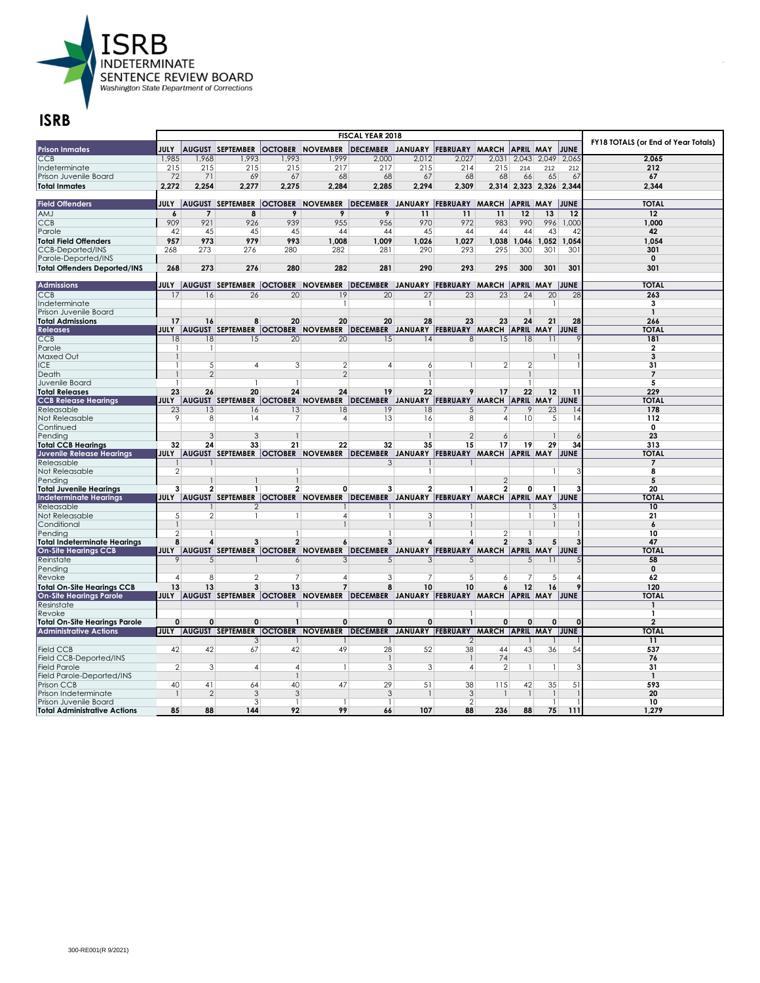

|                                                        |                |                      |                                        |                 | FY18 TOTALS (or End of Year Totals)                                                            |                                                |                 |                |                |                         |                    |          |                  |
|--------------------------------------------------------|----------------|----------------------|----------------------------------------|-----------------|------------------------------------------------------------------------------------------------|------------------------------------------------|-----------------|----------------|----------------|-------------------------|--------------------|----------|------------------|
| <b>Prison Inmates</b>                                  | <b>JULY</b>    |                      | <b>AUGUST SEPTEMBER</b>                |                 | <b>OCTOBER NOVEMBER</b>                                                                        | DECEMBER JANUARY FEBRUARY MARCH                |                 |                |                | <b>APRIL MAY</b>        |                    | JUNE     |                  |
| CCB                                                    | 1,985          | 1,968                | 1,993                                  | 1,993           | 1,999                                                                                          | 2,000                                          | 2,012           | 2,027          | 2,031          | 2,043                   | 2,049              | 2,065    | 2.065            |
| Indeterminate                                          | 215            | 215                  | 215                                    | 215             | 217                                                                                            | 217                                            | 215             | 214            | 215            | 214                     | 212                | 212      | 212              |
| Prison Juvenile Board                                  | 72             | 71                   | 69                                     | 67              | 68                                                                                             | 68                                             | 67              | 68             | 68             | 66                      | 65                 | 67       | 67               |
| <b>Total Inmates</b>                                   | 2.272          | 2.254                | 2.277                                  | 2.275           | 2.284                                                                                          | 2.285                                          | 2.294           | 2.309          |                | 2,314 2,323 2,326 2,344 |                    |          | 2.344            |
|                                                        |                |                      |                                        |                 |                                                                                                |                                                |                 |                |                |                         |                    |          |                  |
| <b>Field Offenders</b>                                 |                |                      |                                        |                 | JULY  AUGUST SEPTEMBER  OCTOBER  NOVEMBER  DECEMBER JANUARY  FEBRUARY  MARCH  APRIL  MAY  JUNE |                                                |                 |                |                |                         |                    |          | <b>TOTAL</b>     |
| <b>AMJ</b>                                             | 6              | $\overline{7}$       | 8                                      | 9               | 9                                                                                              | 9                                              | 11              | 11             | 11             | 12                      | 13                 | 12       | 12               |
| <b>CCB</b>                                             | 909            | 921                  | 926                                    | 939             | 955                                                                                            | 956                                            | 970             | 972            | 983            | 990                     | 996                | 1,000    | 1,000            |
| Parole                                                 | 42             | 45                   | 45                                     | 45              | 44                                                                                             | 44                                             | 45              | 44             | 44             | 44                      | 43                 | 42       | 42               |
| <b>Total Field Offenders</b>                           | 957            | 973                  | 979                                    | 993             | 1.008                                                                                          | 1.009                                          | 1,026           | 1.027          |                | 1,038 1,046             | 1.052              | 1,054    | 1.054            |
| <b>CCB-Deported/INS</b>                                | 268            | 273                  | 276                                    | 280             | 282                                                                                            | 281                                            | 290             | 293            | 295            | 300                     | 301                | 301      | 301              |
| Parole-Deported/INS                                    |                |                      |                                        |                 |                                                                                                |                                                |                 |                |                |                         |                    |          | $\mathbf 0$      |
| <b>Total Offenders Deported/INS</b>                    | 268            | 273                  | 276                                    | 280             | 282                                                                                            | 281                                            | 290             | 293            | 295            | 300                     | 301                | 301      | 301              |
|                                                        |                |                      |                                        |                 |                                                                                                |                                                |                 |                |                |                         |                    |          |                  |
| <b>Admissions</b>                                      |                |                      |                                        |                 | JULY  AUGUST SEPTEMBER  OCTOBER  NOVEMBER  DECEMBER JANUARY  FEBRUARY  MARCH  APRIL  MAY  JUNE |                                                |                 |                |                |                         |                    |          | <b>TOTAL</b>     |
| CCB                                                    | 17             | 16                   | 26                                     | 20              | 19                                                                                             | 20                                             | $\overline{27}$ | 23             | 23             | 24                      | 20                 | 28       | 263              |
| Indeterminate                                          |                |                      |                                        |                 |                                                                                                |                                                | $\overline{1}$  |                |                |                         | -1                 |          | 3                |
| Prison Juvenile Board                                  |                |                      |                                        |                 |                                                                                                |                                                |                 |                |                |                         |                    |          | $\mathbf{1}$     |
| <b>Total Admissions</b>                                | 17             | 16                   | 8                                      | 20              | 20                                                                                             | 20                                             | 28              | 23             | 23             | 24                      | 21                 | 28       | 266              |
| <b>Releases</b>                                        |                |                      |                                        |                 | <b>JULY AUGUST SEPTEMBER OCTOBER NOVEMBER</b>                                                  | DECEMBER JANUARY FEBRUARY MARCH APRIL MAY JUNE |                 |                |                |                         |                    |          | <b>TOTAL</b>     |
| CCB                                                    | 18             | 18                   | 15                                     | $\overline{20}$ | $\overline{20}$                                                                                | 1.5                                            | 4               | 8              | 15             | 18                      | 11                 |          | 181              |
| Parole                                                 | -1             | -1                   |                                        |                 |                                                                                                |                                                |                 |                |                |                         |                    |          | 2                |
| <b>Maxed Out</b>                                       |                |                      |                                        |                 |                                                                                                |                                                |                 |                |                |                         | 1                  |          | 3                |
| ICE.                                                   | 1              | 5                    | 4                                      | 3               | 2                                                                                              | 4                                              | 6               | 1              | $\overline{2}$ | $\overline{2}$          |                    |          | 31               |
| Death                                                  |                | $\overline{2}$       |                                        |                 | $\mathfrak{D}$                                                                                 |                                                | 1               |                |                |                         |                    |          | $\overline{7}$   |
| Juvenile Board                                         | -1             |                      |                                        | 1               |                                                                                                |                                                | 1               |                |                |                         |                    |          | 5                |
| <b>Total Releases</b>                                  | 23             | 26                   | 20                                     | 24              | 24                                                                                             | 19                                             | 22              | 9              | 17             | 22                      | 12                 | 11       | 229              |
| <b>CCB Release Hearings</b>                            |                |                      | JULY AUGUST SEPTEMBER OCTOBER NOVEMBER |                 |                                                                                                | DECEMBER JANUARY FEBRUARY MARCH APRIL MAY JUNE |                 |                |                |                         |                    |          | <b>TOTAL</b>     |
| Releasable                                             | 23             | 13                   | 16                                     | 13              | 18                                                                                             | 19                                             | 18              | 5              |                | 9                       | 23                 | 14       | 178              |
| Not Releasable                                         | 9              | 8                    | 4                                      | 7               | 4                                                                                              | 13                                             | 16              | 8              | $\overline{4}$ | 10                      | 5                  | 14       | 112              |
| Continued                                              |                |                      | 3                                      |                 |                                                                                                |                                                |                 | $\mathfrak{D}$ |                |                         |                    |          | 0<br>23          |
| Pendina                                                | 32             | 3<br>24              | 33                                     | 21              | 22                                                                                             | 32                                             | 35              | 15             | 6<br>17        | 19                      | 29                 | 34       | 313              |
| <b>Total CCB Hearings</b><br>Juvenile Release Hearings | <b>JULY</b>    |                      |                                        |                 | AUGUST SEPTEMBER OCTOBER NOVEMBER DECEMBER JANUARY FEBRUARY MARCH APRIL MAY JUNE               |                                                |                 |                |                |                         |                    |          | <b>TOTAI</b>     |
| Releasable                                             |                |                      |                                        |                 |                                                                                                | 3                                              |                 |                |                |                         |                    |          | 7                |
| Not Releasable                                         | $\overline{2}$ |                      |                                        | $\mathbf{1}$    |                                                                                                |                                                | $\mathbf{1}$    |                |                |                         | 1                  |          | 8                |
| Pending                                                |                | 1                    |                                        | $\mathbf{1}$    |                                                                                                |                                                |                 |                | $\mathbf{2}$   |                         |                    |          | 5                |
| <b>Total Juvenile Hearings</b>                         | 3              | $\mathbf{2}$         | 1                                      | 2               | 0                                                                                              | 3                                              | 2               | 1              | $\overline{2}$ | $\mathbf{0}$            | $\mathbf{1}$       |          | 20               |
| <b>Indeterminate Hearings</b>                          | <b>JULY</b>    |                      | AUGUST SEPTEMBER OCTOBER NOVEMBER      |                 |                                                                                                | DECEMBER JANUARY FEBRUARY MARCH APRIL MAY JUNE |                 |                |                |                         |                    |          | <b>TOTAI</b>     |
| Releasable                                             |                |                      | $\overline{2}$                         |                 |                                                                                                |                                                |                 |                |                |                         | 3                  |          | 10               |
| Not Releasable                                         | 5 <sup>5</sup> | 2                    | -1                                     | -1              | 4                                                                                              |                                                | 3               | 1              |                |                         | 1                  |          | 21               |
| Conditional                                            | 1              |                      |                                        |                 |                                                                                                |                                                | 1               |                |                |                         |                    |          | $\boldsymbol{6}$ |
| Pendina                                                | $\overline{2}$ |                      |                                        | -1              |                                                                                                |                                                |                 |                | $\mathbf{2}$   |                         |                    |          | 10               |
| <b>Total Indeterminate Hearings</b>                    | 8              | 4                    | 3                                      | $\overline{2}$  | 6                                                                                              | 3                                              | 4               | 4              | $\overline{2}$ | 3                       | 5                  |          | 47               |
| <b>On-Site Hearings CCB</b>                            |                |                      |                                        |                 | JULY AUGUST SEPTEMBER OCTOBER NOVEMBER DECEMBER JANUARY FEBRUARY MARCH APRIL MAY JUNE          |                                                |                 |                |                |                         |                    |          | <b>TOTAL</b>     |
| Reinstate                                              | 9              | 5                    |                                        | 6               | 3                                                                                              | 5                                              | 3               | 5              |                | 5                       | 11                 |          | 58               |
| Pending                                                |                |                      |                                        |                 |                                                                                                |                                                |                 |                |                |                         |                    |          | $\mathbf 0$      |
| Revoke                                                 | $\overline{A}$ | 8                    | 2                                      | 7               | $\overline{A}$                                                                                 | 3                                              | 7               | 5              | 6              |                         | 5                  |          | 62               |
| <b>Total On-Site Hearings CCB</b>                      | 13             | 13                   | 3                                      | 13              | $\overline{7}$                                                                                 | 8                                              | 10              | 10             | 6              | 12                      | 16                 |          | 120              |
| <b>On-Site Hearings Parole</b>                         | <b>JULY</b>    |                      |                                        |                 | AUGUST SEPTEMBER OCTOBER NOVEMBER DECEMBER JANUARY FEBRUARY MARCH APRIL MAY JUNE               |                                                |                 |                |                |                         |                    |          | TOTAI            |
| Resinstate                                             |                |                      |                                        |                 |                                                                                                |                                                |                 |                |                |                         |                    |          |                  |
| Revoke                                                 |                |                      |                                        |                 |                                                                                                |                                                |                 | 1              |                |                         |                    |          | 1                |
| <b>Total On-Site Hearings Parole</b>                   | $\mathbf{0}$   | $\Omega$             | 0                                      | $\mathbf{1}$    | $\mathbf 0$                                                                                    | 0                                              | 0               | $\mathbf{1}$   | $\mathbf{0}$   | 0                       | $\mathbf{0}$       | $\Omega$ | $\overline{2}$   |
| <b>Administrative Actions</b>                          | <b>JULY</b>    |                      |                                        |                 | AUGUST SEPTEMBER OCTOBER NOVEMBER DECEMBER JANUARY FEBRUARY MARCH APRIL MAY JUNE               |                                                |                 |                |                |                         |                    |          | <b>TOTAL</b>     |
|                                                        |                |                      | 3                                      | -1              |                                                                                                |                                                |                 | 2              |                |                         |                    |          | 11               |
| <b>Field CCB</b>                                       | 42             | 42                   | 67                                     | 42              | 49                                                                                             | 28                                             | 52              | 38             | 44             | 43                      | 36                 | 54       | 537              |
| Field CCB-Deported/INS                                 |                |                      |                                        |                 |                                                                                                |                                                |                 |                | 74             |                         |                    |          | 76               |
| <b>Field Parole</b>                                    | $\overline{2}$ | 3                    | 4                                      | $\overline{4}$  |                                                                                                | 3                                              | 3               | 4              | $\overline{2}$ |                         | $\mathbf{1}$       | 3        | 31               |
| Field Parole-Deported/INS                              |                |                      |                                        | $\mathbf{1}$    |                                                                                                |                                                |                 |                |                |                         |                    |          | $\mathbf{1}$     |
| Prison CCB                                             | 40             | 41<br>$\overline{2}$ | 64<br>3                                | 40<br>3         | 47                                                                                             | 29                                             | 51              | 38<br>3        | 115            | 42                      | 35                 | 51       | 593<br>20        |
| Prison Indeterminate<br>Prison Juvenile Board          |                |                      | 3                                      | $\mathbf{1}$    |                                                                                                | 3<br>$\mathbf{1}$                              |                 | $\overline{2}$ |                |                         | -1<br>$\mathbf{1}$ |          | 10               |
| <b>Total Administrative Actions</b>                    | 85             | 88                   | 144                                    | 92              | 99                                                                                             | 66                                             | 107             | 88             | 236            | 88                      | 75                 | 111      | 1,279            |
|                                                        |                |                      |                                        |                 |                                                                                                |                                                |                 |                |                |                         |                    |          |                  |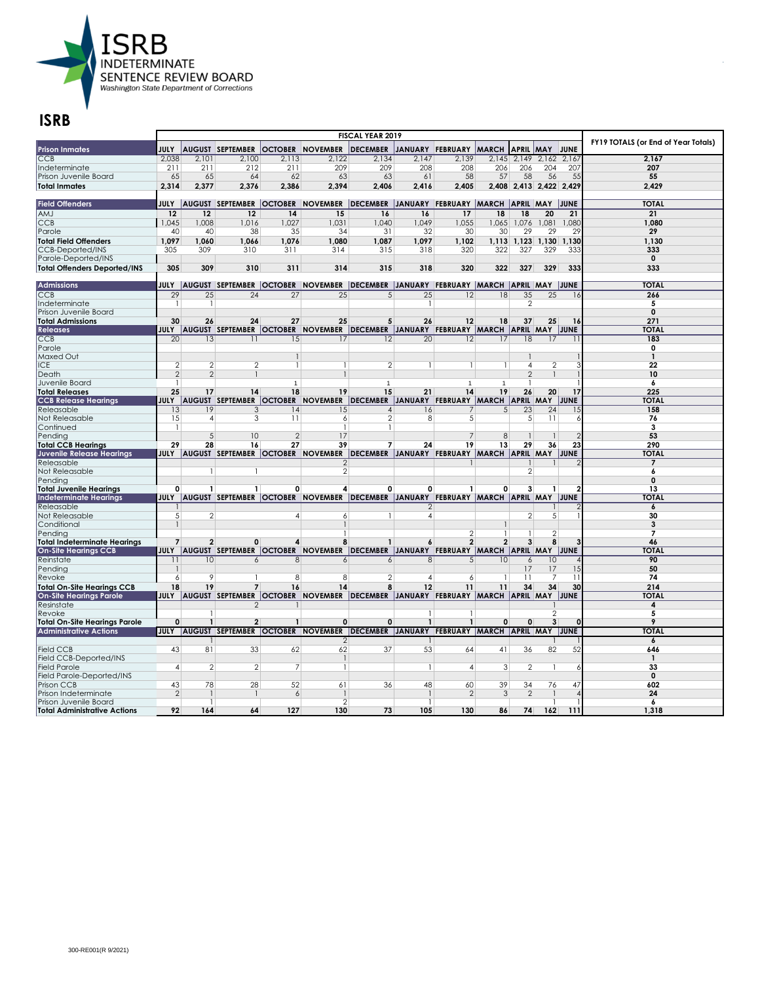

|                                         |                 |                  |                                   |                 | FY19 TOTALS (or End of Year Totals)                                                             |                                                |                 |                        |                 |                         |                |          |                   |
|-----------------------------------------|-----------------|------------------|-----------------------------------|-----------------|-------------------------------------------------------------------------------------------------|------------------------------------------------|-----------------|------------------------|-----------------|-------------------------|----------------|----------|-------------------|
| <b>Prison Inmates</b>                   | <b>JULY</b>     |                  | <b>AUGUST SEPTEMBER</b>           |                 | <b>OCTOBER NOVEMBER</b>                                                                         | <b>DECEMBER</b>                                |                 | JANUARY FEBRUARY MARCH |                 | <b>APRIL</b>            | <b>MAY</b>     | JUNE     |                   |
| CCB                                     | 2.038           | 2.101            | 2.100                             | 2.113           | 2,122                                                                                           | 2.134                                          | 2.147           | 2.139                  |                 | $2,145$ 2,149           | 2.162          | 2.167    | 2.167             |
| Indeterminate                           | 211             | 211              | 212                               | 211             | 209                                                                                             | 209                                            | 208             | 208                    | 206             | 206                     | 204            | 207      | 207               |
| Prison Juvenile Board                   | 65              | 65               | 64                                | 62              | 63                                                                                              | 63                                             | 61              | 58                     | 57              | 58                      | 56             | 55       | 55                |
| <b>Total Inmates</b>                    | 2.314           | 2,377            | 2.376                             | 2.386           | 2.394                                                                                           | 2.406                                          | 2.416           | 2.405                  |                 | 2,408 2,413 2,422 2,429 |                |          | 2.429             |
|                                         |                 |                  |                                   |                 |                                                                                                 |                                                |                 |                        |                 |                         |                |          |                   |
| <b>Field Offenders</b>                  |                 |                  |                                   |                 | JULY  AUGUST SEPTEMBER  OCTOBER  NOVEMBER  DECEMBER  JANUARY  FEBRUARY  MARCH  APRIL  MAY  JUNE |                                                |                 |                        |                 |                         |                |          | <b>TOTAL</b>      |
| AMJ                                     | 12              | 12               | 12                                | 14              | 15                                                                                              | 16                                             | 16              | 17                     | 18              | 18                      | 20             | 21       | 21                |
| <b>CCB</b>                              | 1,045           | 1,008            | 1,016                             | 1,027           | 1,031                                                                                           | 1.040                                          | 1,049           | 1,055                  | 1,065           | 1,076                   | 1,081          | 1,080    | 1,080             |
| Parole                                  | 40              | 40               | 38                                | 35              | 34                                                                                              | 31                                             | 32              | 30                     | 30              | 29                      | 29             | 29       | 29                |
| <b>Total Field Offenders</b>            | 1.097           | 1.060            | 1.066                             | 1.076           | 1.080                                                                                           | 1.087                                          | 1.097           | 1.102                  |                 | $1.113$ $1.123$         | 1.130          | 1.130    | 1.130             |
| <b>CCB-Deported/INS</b>                 | 305             | 309              | 310                               | 311             | 314                                                                                             | 315                                            | 318             | 320                    | 322             | 327                     | 329            | 333      | 333               |
| Parole-Deported/INS                     |                 |                  |                                   |                 |                                                                                                 |                                                |                 |                        |                 |                         |                |          | $\mathbf 0$       |
| <b>Total Offenders Deported/INS</b>     | 305             | 309              | 310                               | 311             | 314                                                                                             | 315                                            | 318             | 320                    | 322             | 327                     | 329            | 333      | 333               |
|                                         |                 |                  |                                   |                 |                                                                                                 |                                                |                 |                        |                 |                         |                |          |                   |
| <b>Admissions</b>                       |                 |                  |                                   |                 | JULY  AUGUST SEPTEMBER  OCTOBER  NOVEMBER  DECEMBER  JANUARY  FEBRUARY  MARCH  APRIL  MAY  JUNE |                                                |                 |                        |                 |                         |                |          | <b>TOTAL</b>      |
| CCB                                     | 29              | $\overline{25}$  | $\overline{24}$                   | $\overline{27}$ | $\overline{25}$                                                                                 | 5                                              | $\overline{25}$ | $\overline{12}$        | $\overline{18}$ | $\overline{35}$         | 25             | 16       | 266               |
| Indeterminate                           | -1              | 1                |                                   |                 |                                                                                                 |                                                | 1               |                        |                 | $\mathcal{P}$           |                |          | 5                 |
| Prison Juvenile Board                   |                 |                  |                                   |                 |                                                                                                 |                                                |                 |                        |                 |                         |                |          | $\mathbf 0$       |
| <b>Total Admissions</b>                 | 30              | 26               | 24                                | 27              | 25                                                                                              | 5                                              | 26              | 12                     | 18              | 37                      | 25             | 16       | 271               |
| <b>Releases</b>                         |                 |                  |                                   |                 | JULY AUGUST SEPTEMBER OCTOBER NOVEMBER DECEMBER JANUARY FEBRUARY MARCH APRIL MAY JUNE           |                                                |                 |                        |                 |                         |                |          | <b>TOTAL</b>      |
| CCB                                     | $\overline{20}$ | $\overline{13}$  | 11                                | 15              | 17                                                                                              | 12                                             | $\overline{20}$ | 12                     | 17              | $\overline{18}$         | 17             |          | 183               |
| Parole                                  |                 |                  |                                   |                 |                                                                                                 |                                                |                 |                        |                 |                         |                |          | 0                 |
| Maxed Out                               |                 |                  |                                   | $\mathbf{1}$    |                                                                                                 |                                                |                 |                        |                 |                         |                |          | $\mathbf{1}$      |
| ICE                                     | $\overline{2}$  | $\mathbf{2}$     | $\overline{2}$                    | $\mathbf{1}$    |                                                                                                 | $\overline{2}$                                 | 1               | 1                      | -1              | $\overline{4}$          | 2              |          | 22                |
| Death                                   | $\mathfrak{D}$  | 2                |                                   |                 |                                                                                                 |                                                |                 |                        |                 | $\overline{2}$          | $\mathbf{1}$   |          | 10                |
| Juvenile Board                          | $\mathbf{1}$    |                  |                                   | $\overline{1}$  |                                                                                                 | $\overline{1}$                                 |                 | $\mathbf{1}$           | $\mathbf{1}$    |                         |                |          | 6                 |
| <b>Total Releases</b>                   | 25              | 17               | 14                                | 18              | 19                                                                                              | 15                                             | 21              | 14                     | 19              | 26                      | 20             | 17       | 225               |
| <b>CCB Release Hearings</b>             | <b>JULY</b>     |                  |                                   |                 | AUGUST SEPTEMBER OCTOBER NOVEMBER                                                               | DECEMBER JANUARY FEBRUARY MARCH APRIL MAY JUNE |                 |                        |                 |                         |                |          | <b>TOTAL</b>      |
| Releasable                              | 13              | 19               | 3                                 | 14              | 15                                                                                              | $\overline{4}$                                 | 16              | 7                      | 5               | 23                      | 24             | 15       | 158               |
| Not Releasable                          | 15              | $\overline{4}$   | 3                                 | 11              | 6                                                                                               | $\overline{2}$                                 | 8               | 5                      |                 | $\mathbf{5}$            | 11             | 6        | 76                |
| Continued                               | -1              | 5                | 10                                | $\mathcal{P}$   | 17                                                                                              |                                                |                 | 7                      | 8               |                         |                |          | 3<br>53           |
| Pending<br><b>Total CCB Hearings</b>    | 29              | 28               | 16                                | 27              | 39                                                                                              | 7                                              | 24              | 19                     | 13              | 29                      | 36             | 23       | 290               |
| Juvenile Release Hearings               | JULY            |                  | AUGUST SEPTEMBER OCTOBER NOVEMBER |                 |                                                                                                 | DECEMBER JANUARY FEBRUARY MARCH APRIL MAY JUNE |                 |                        |                 |                         |                |          | <b>TOTAL</b>      |
| Releasable                              |                 |                  |                                   |                 |                                                                                                 |                                                |                 |                        |                 |                         |                |          |                   |
| Not Releasable                          |                 | 1                |                                   |                 | $\overline{2}$                                                                                  |                                                |                 |                        |                 | $\overline{2}$          |                |          | 6                 |
| Pending                                 |                 |                  |                                   |                 |                                                                                                 |                                                |                 |                        |                 |                         |                |          | $\mathbf 0$       |
| <b>Total Juvenile Hearings</b>          | 0               | $\mathbf{1}$     | $\mathbf{1}$                      | 0               | 4                                                                                               | 0                                              | 0               |                        | 0               | 3                       |                |          | 13                |
| <b>Indeterminate Hearings</b>           |                 |                  |                                   |                 | JULY  AUGUST SEPTEMBER  OCTOBER  NOVEMBER  DECEMBER  JANUARY  FEBRUARY  MARCH  APRIL  MAY  JUNE |                                                |                 |                        |                 |                         |                |          | <b>TOTAI</b>      |
| Releasable                              |                 |                  |                                   |                 |                                                                                                 |                                                | 2               |                        |                 |                         |                |          | 6                 |
| Not Releasable                          | 5 <sup>1</sup>  | 2                |                                   | 4               | 6                                                                                               |                                                | 4               |                        |                 | $\overline{2}$          | 5              |          | 30                |
| Conditional                             |                 |                  |                                   |                 |                                                                                                 |                                                |                 |                        | $\mathbf{1}$    |                         |                |          | 3                 |
| Pendina                                 |                 |                  |                                   |                 |                                                                                                 |                                                |                 | $\overline{2}$         |                 |                         | $\overline{2}$ |          | 7                 |
| <b>Total Indeterminate Hearings</b>     | $\overline{7}$  | $\overline{2}$   | 0                                 | 4               | 8                                                                                               |                                                | 6               | 2                      | $\overline{2}$  | 3                       | 8              |          | 46                |
| <b>On-Site Hearings CCB</b>             |                 |                  |                                   |                 | JULY  AUGUST SEPTEMBER  OCTOBER  NOVEMBER  DECEMBER  JANUARY  FEBRUARY  MARCH  APRIL MAY  JUNE  |                                                |                 |                        |                 |                         |                |          | <b>TOTAI</b>      |
| Reinstate                               | $\overline{11}$ | 10 <sup>10</sup> | 6                                 | 8               | 6                                                                                               | 6                                              | 8               | 5                      | 10 <sup>2</sup> | 6                       | 10             |          | 90                |
| Pending                                 |                 |                  |                                   |                 |                                                                                                 |                                                |                 |                        |                 | 17                      | 17             | 15       | 50                |
| Revoke                                  | 6               | 9                |                                   | 8               | 8                                                                                               | $\mathbf{2}$                                   | 4               | 6                      | -1              | 11                      | 7              | 11       | 74                |
| <b>Total On-Site Hearings CCB</b>       | 18              | 19               | $\overline{7}$                    | 16              | 14                                                                                              | 8                                              | 12              | 11                     | 11              | 34                      | 34             | 30       | 214               |
| <b>On-Site Hearings Parole</b>          |                 |                  |                                   |                 | JULY AUGUST SEPTEMBER OCTOBER NOVEMBER DECEMBER JANUARY FEBRUARY MARCH APRIL MAY JUNE           |                                                |                 |                        |                 |                         |                |          | <b>TOTAL</b>      |
| Resinstate                              |                 |                  | $\mathfrak{D}$                    |                 |                                                                                                 |                                                |                 |                        |                 |                         |                |          | 4                 |
| Revoke                                  |                 |                  |                                   |                 |                                                                                                 |                                                |                 |                        |                 |                         | $\mathfrak{D}$ |          | 5                 |
| <b>Total On-Site Hearings Parole</b>    | 0               | $\mathbf{1}$     | $\overline{2}$                    | $\mathbf{1}$    | 0                                                                                               | 0                                              | $\mathbf{1}$    | $\mathbf{1}$           | $\mathbf 0$     | $\mathbf{0}$            | 3              | $\Omega$ | $\overline{Q}$    |
| <b>Administrative Actions</b>           | <b>JULY</b>     |                  |                                   |                 | AUGUST SEPTEMBER OCTOBER NOVEMBER                                                               | DECEMBER JANUARY FEBRUARY MARCH APRIL MAY JUNE |                 |                        |                 |                         |                |          | <b>TOTAL</b>      |
|                                         |                 |                  |                                   |                 | $\mathcal{P}$                                                                                   |                                                |                 |                        |                 |                         |                |          | 6                 |
| <b>Field CCB</b>                        | 43              | 81               | 33                                | 62              | 62                                                                                              | 37                                             | 53              | 64                     | 41              | 36                      | 82             | 52       | 646               |
| Field CCB-Deported/INS                  |                 |                  |                                   |                 |                                                                                                 |                                                |                 |                        |                 |                         |                |          | 1                 |
| <b>Field Parole</b>                     | $\vert$         | $\overline{2}$   | $\overline{2}$                    | 7               |                                                                                                 |                                                | 1               | 4                      | 3               | $\overline{2}$          | -1             | 6        | 33<br>$\mathbf 0$ |
| Field Parole-Deported/INS<br>Prison CCB | 43              | 78               | 28                                | 52              | 61                                                                                              | 36                                             | 48              | 60                     | 39              | 34                      | 76             | 47       | 602               |
| Prison Indeterminate                    | 2               |                  |                                   | 6               |                                                                                                 |                                                |                 | $\overline{2}$         | 3               | $\mathcal{P}$           |                |          | 24                |
| Prison Juvenile Board                   |                 | -1               |                                   |                 | $\mathcal{P}$                                                                                   |                                                |                 |                        |                 |                         |                |          | 6                 |
| <b>Total Administrative Actions</b>     | 92              | 164              | 64                                | 127             | 130                                                                                             | 73                                             | 105             | 130                    | 86              | 74                      | 162            | 111      | 1.318             |
|                                         |                 |                  |                                   |                 |                                                                                                 |                                                |                 |                        |                 |                         |                |          |                   |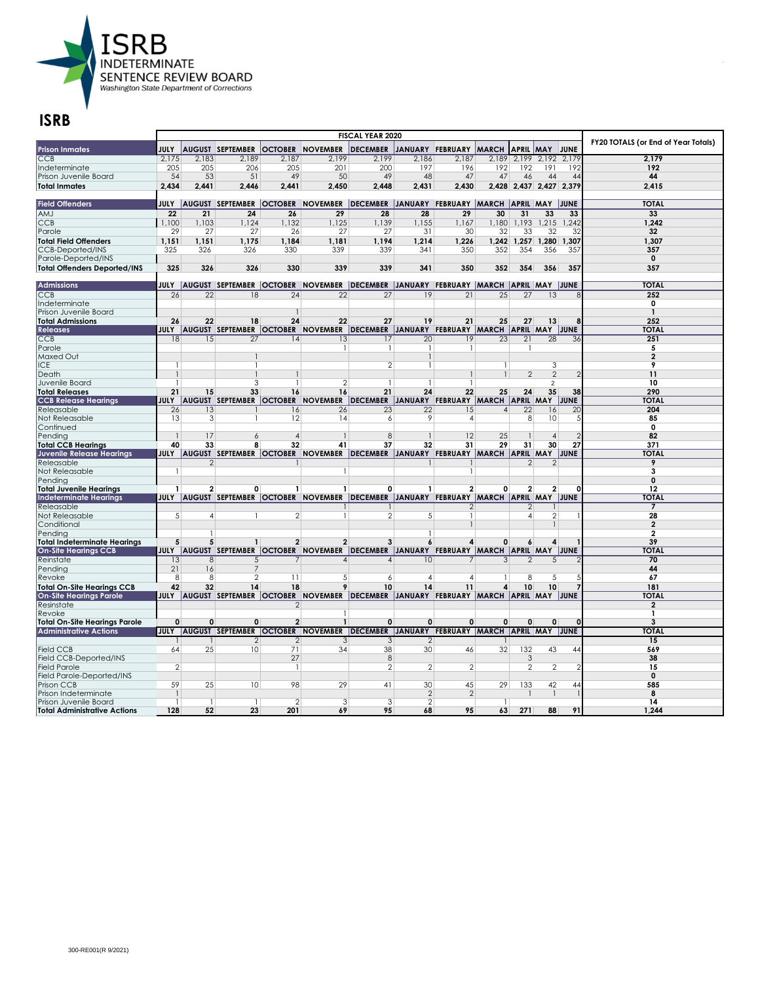

| <b>Prison Inmates</b>                   | <b>JULY</b>     |                 | <b>AUGUST SEPTEMBER</b> |                 | <b>OCTOBER NOVEMBER</b>                                                                          | <b>DECEMBER</b>                                |                  | JANUARY FEBRUARY MARCH APRIL MAY JUNE |                 |                 |                 |                         | FY20 TOTALS (or End of Year Totals) |
|-----------------------------------------|-----------------|-----------------|-------------------------|-----------------|--------------------------------------------------------------------------------------------------|------------------------------------------------|------------------|---------------------------------------|-----------------|-----------------|-----------------|-------------------------|-------------------------------------|
| CCB                                     | 2.175           | 2.183           | 2,189                   | 2.187           | 2,199                                                                                            | 2.199                                          | 2.186            | 2.187                                 |                 | 2,189 2,199     | 2,192           | 2.179                   | 2.179                               |
| Indeterminate                           | 205             | 205             | 206                     | 205             | 201                                                                                              | 200                                            | 197              | 196                                   | 192             | 192             | 191             | 192                     | 192                                 |
| Prison Juvenile Board                   | 54              | 53              | 51                      | 49              | 50                                                                                               | 49                                             | 48               | 47                                    | 47              | 46              | 44              | 44                      | 44                                  |
| <b>Total Inmates</b>                    | 2.434           | 2.441           | 2.446                   | 2.441           | 2.450                                                                                            | 2.448                                          | 2.431            | 2.430                                 |                 |                 |                 | 2.428 2.437 2.427 2.379 | 2,415                               |
|                                         |                 |                 |                         |                 |                                                                                                  |                                                |                  |                                       |                 |                 |                 |                         |                                     |
| <b>Field Offenders</b>                  |                 |                 |                         |                 | JULY  AUGUST SEPTEMBER  OCTOBER  NOVEMBER  DECEMBER  JANUARY FEBRUARY  MARCH  APRIL  MAY  JUNE   |                                                |                  |                                       |                 |                 |                 |                         | <b>TOTAL</b>                        |
| AMJ                                     | 22              | 21              | 24                      | 26              | 29                                                                                               | 28                                             | 28               | 29                                    | 30              | 31              | 33              | 33                      | 33                                  |
| <b>CCB</b>                              | 1,100           | 1,103           | 1,124                   | 1,132           | 1,125                                                                                            | 1,139                                          | 1,155            | 1,167                                 | 1,180           | 1,193           | 1,215           | 1,242                   | 1,242                               |
| Parole                                  | 29              | 27              | 27                      | 26              | 27                                                                                               | 27                                             | 31               | 30                                    | 32              | 33              | 32              | 32                      | 32                                  |
| <b>Total Field Offenders</b>            | 1.151           | 1.151           | 1.175                   | 1.184           | 1.181                                                                                            | 1.194                                          | 1.214            | 1.226                                 | 1,242           | 1.257           | 1.280           | 1.307                   | 1.307                               |
| <b>CCB-Deported/INS</b>                 | 325             | 326             | 326                     | 330             | 339                                                                                              | 339                                            | 341              | 350                                   | 352             | 354             | 356             | 357                     | 357                                 |
| Parole-Deported/INS                     |                 |                 |                         |                 |                                                                                                  |                                                |                  |                                       |                 |                 |                 |                         | 0                                   |
| <b>Total Offenders Deported/INS</b>     | 325             | 326             | 326                     | 330             | 339                                                                                              | 339                                            | 341              | 350                                   | 352             | 354             | 356             | 357                     | 357                                 |
|                                         |                 |                 |                         |                 |                                                                                                  |                                                |                  |                                       |                 |                 |                 |                         |                                     |
| <b>Admissions</b>                       |                 |                 |                         |                 | JULY  AUGUST SEPTEMBER  OCTOBER  NOVEMBER  DECEMBER  JANUARY  FEBRUARY  MARCH  APRIL  MAY  JUNE  |                                                |                  |                                       |                 |                 |                 |                         | <b>TOTAL</b>                        |
| CCB                                     | $\overline{26}$ | $\overline{22}$ | $\overline{18}$         | $\overline{24}$ | $\overline{22}$                                                                                  | $\overline{27}$                                | $\overline{19}$  | $\overline{21}$                       | $\overline{25}$ | $\overline{27}$ | $\overline{13}$ |                         | 252                                 |
| Indeterminate                           |                 |                 |                         |                 |                                                                                                  |                                                |                  |                                       |                 |                 |                 |                         | 0                                   |
| Prison Juvenile Board                   |                 |                 |                         | 1               |                                                                                                  |                                                |                  |                                       |                 |                 |                 |                         | $\mathbf{1}$                        |
| <b>Total Admissions</b>                 | 26              | 22              | 18                      | 24              | 22                                                                                               | 27                                             | 19               | 21                                    | 25              | 27              | 13              | Я                       | 252                                 |
| <b>Releases</b>                         |                 |                 |                         |                 | <b>JULY AUGUST SEPTEMBER OCTOBER NOVEMBER</b>                                                    | DECEMBER JANUARY FEBRUARY MARCH APRIL MAY JUNE |                  |                                       |                 |                 |                 |                         | <b>TOTAL</b>                        |
| CCB                                     | 18              | $\overline{15}$ | $\overline{27}$         | $\overline{14}$ | 13                                                                                               | 17                                             | 20               | 19                                    | $\overline{23}$ | 21              | $\overline{28}$ | 36                      | 251                                 |
| Parole                                  |                 |                 |                         |                 |                                                                                                  | -1                                             |                  | -1                                    |                 |                 |                 |                         | 5                                   |
| Maxed Out                               |                 |                 |                         |                 |                                                                                                  |                                                |                  |                                       |                 |                 |                 |                         | $\mathbf{2}$                        |
| ICE                                     |                 |                 |                         |                 |                                                                                                  | $\overline{2}$                                 | $\mathbf{1}$     |                                       |                 |                 | 3               |                         | 9                                   |
| Death                                   | $\mathbf{1}$    |                 |                         | $\mathbf{1}$    |                                                                                                  |                                                |                  |                                       |                 | $\overline{2}$  | $\overline{2}$  | $\mathcal{P}$           | 11                                  |
| Juvenile Board                          | -1              |                 | 3                       | $\mathbf{1}$    | 2                                                                                                | -1                                             | -1               | -1                                    |                 |                 | $\overline{2}$  |                         | 10                                  |
| <b>Total Releases</b>                   | 21              | 15              | 33                      | 16              | 16                                                                                               | 21                                             | 24               | 22                                    | 25              | 24              | 35              | 38                      | 290                                 |
| <b>CCB Release Hearings</b>             | <b>JULY</b>     |                 |                         |                 | AUGUST SEPTEMBER OCTOBER NOVEMBER                                                                | DECEMBER JANUARY FEBRUARY MARCH APRIL MAY JUNE |                  |                                       |                 |                 |                 |                         | <b>TOTAI</b>                        |
| Releasable                              | 26              | 13              |                         | 16              | 26                                                                                               | 23                                             | $\overline{22}$  | 15                                    | $\overline{4}$  | 22              | 16              | 20                      | 204                                 |
| Not Releasable                          | 13              | 3               |                         | 12              | 14                                                                                               | 6                                              | 9                | 4                                     |                 | 8               | 10              |                         | 85                                  |
| Continued<br>Pendina                    |                 | 17              | $\overline{6}$          | $\overline{4}$  |                                                                                                  | 8                                              |                  | 12                                    | 25              |                 | $\overline{A}$  |                         | 0<br>82                             |
| <b>Total CCB Hearings</b>               | 40              | 33              | 8                       | 32              | 41                                                                                               | 37                                             | 32               | 31                                    | 29              | 31              | 30              | 27                      | 371                                 |
| Juvenile Release Hearings               |                 |                 |                         |                 | JULY  AUGUST SEPTEMBER  OCTOBER  NOVEMBER                                                        | DECEMBER JANUARY FEBRUARY MARCH APRIL MAY JUNE |                  |                                       |                 |                 |                 |                         | <b>TOTAL</b>                        |
| Releasable                              |                 | $\overline{2}$  |                         |                 |                                                                                                  |                                                |                  |                                       |                 |                 | $\mathfrak{D}$  |                         | $\overline{9}$                      |
| Not Releasable                          | $\mathbf{1}$    |                 |                         |                 |                                                                                                  |                                                |                  | 1                                     |                 |                 |                 |                         | 3                                   |
| Pending                                 |                 |                 |                         |                 |                                                                                                  |                                                |                  |                                       |                 |                 |                 |                         | 0                                   |
| <b>Total Juvenile Hearings</b>          |                 | $\mathbf{2}$    | 0                       | 1               |                                                                                                  | 0                                              | $\mathbf{1}$     | $\mathbf{2}$                          | 0               | $\mathbf{2}$    | $\mathbf{2}$    | $\Omega$                | 12                                  |
| <b>Indeterminate Hearings</b>           |                 |                 |                         |                 | JULY  AUGUST SEPTEMBER  OCTOBER  NOVEMBER                                                        | DECEMBER JANUARY FEBRUARY MARCH APRIL MAY JUNE |                  |                                       |                 |                 |                 |                         | <b>TOTAI</b>                        |
| Releasable                              |                 |                 |                         |                 |                                                                                                  |                                                |                  | 2                                     |                 | $\mathfrak{D}$  |                 |                         | 7                                   |
| Not Releasable                          | $\mathbf{5}$    | $\overline{4}$  |                         | 2               |                                                                                                  | $\overline{2}$                                 | 5 <sup>1</sup>   | 1                                     |                 | 4               | 2               |                         | 28                                  |
| Conditional                             |                 |                 |                         |                 |                                                                                                  |                                                |                  |                                       |                 |                 |                 |                         | $\overline{2}$                      |
| Pendina                                 |                 |                 |                         |                 |                                                                                                  |                                                |                  |                                       |                 |                 |                 |                         | $\mathbf{2}$                        |
| <b>Total Indeterminate Hearings</b>     | 5               | 5               | $\mathbf{1}$            | $\overline{2}$  | $\overline{2}$                                                                                   | 3                                              | $\boldsymbol{6}$ | 4                                     | $\mathbf 0$     | 6               | 4               |                         | 39                                  |
| <b>On-Site Hearings CCB</b>             |                 |                 |                         |                 | JULY  AUGUST  SEPTEMBER  OCTOBER  NOVEMBER  DECEMBER  JANUARY  FEBRUARY  MARCH  APRIL  MAY  JUNE |                                                |                  |                                       |                 |                 |                 |                         | <b>TOTAI</b>                        |
| Reinstate                               | 13              | 8               | 5                       | 7               | $\overline{4}$                                                                                   | $\overline{4}$                                 | 10               |                                       | 3               | $\mathfrak{D}$  | 5               |                         | 70                                  |
| Pending                                 | 21              | 16              |                         |                 |                                                                                                  |                                                |                  |                                       |                 |                 |                 |                         | 44                                  |
| Revoke                                  | 8               | 8               | $\mathcal{P}$           | 11              | 5                                                                                                | 6                                              | $\overline{4}$   | 4                                     |                 | 8               | 5               |                         | 67                                  |
| <b>Total On-Site Hearings CCB</b>       | 42              | 32              | 14                      | 18              | 9                                                                                                | 10                                             | 14               | 11                                    | 4               | 10              | 10              |                         | 181                                 |
| <b>On-Site Hearings Parole</b>          | JULY            |                 |                         |                 | AUGUST SEPTEMBER OCTOBER NOVEMBER DECEMBER JANUARY FEBRUARY MARCH APRIL MAY JUNE                 |                                                |                  |                                       |                 |                 |                 |                         | <b>TOTAL</b>                        |
| Resinstate                              |                 |                 |                         | $\overline{2}$  |                                                                                                  |                                                |                  |                                       |                 |                 |                 |                         | $\overline{2}$                      |
| Revoke                                  |                 |                 |                         |                 |                                                                                                  |                                                |                  |                                       |                 |                 |                 |                         | 1                                   |
| <b>Total On-Site Hearings Parole</b>    | $\mathbf{0}$    | $\mathbf{0}$    | 0                       | $\overline{2}$  | $\mathbf{1}$                                                                                     | 0                                              | 0                | 0                                     | $\mathbf{0}$    | $\mathbf{0}$    | 0               | O                       | 3                                   |
| <b>Administrative Actions</b>           | <b>JULY</b>     |                 |                         |                 | AUGUST SEPTEMBER OCTOBER NOVEMBER DECEMBER JANUARY FEBRUARY MARCH APRIL MAY JUNE                 |                                                |                  |                                       |                 |                 |                 |                         | <b>TOTAL</b>                        |
|                                         |                 |                 | $\mathfrak{D}$          | $\mathcal{P}$   | 3                                                                                                | 3                                              | $\mathfrak{D}$   |                                       |                 |                 |                 |                         | 15                                  |
| <b>Field CCB</b>                        | 64              | 25              | 10                      | 71              | 34                                                                                               | 38                                             | 30               | 46                                    | 32              | 132             | 43              | 44                      | 569                                 |
| Field CCB-Deported/INS                  | $\overline{2}$  |                 |                         | 27              |                                                                                                  | 8<br>$\overline{2}$                            | $\overline{2}$   | $\overline{2}$                        |                 | 3<br>2          | $\overline{2}$  |                         | 38<br>15                            |
| <b>Field Parole</b>                     |                 |                 |                         | $\mathbf{1}$    |                                                                                                  |                                                |                  |                                       |                 |                 |                 |                         | $\mathbf 0$                         |
| Field Parole-Deported/INS<br>Prison CCB | 59              | 25              | 10                      | 98              | 29                                                                                               | 41                                             | 30               | 45                                    | 29              | 133             | 42              | 44                      | 585                                 |
| Prison Indeterminate                    |                 |                 |                         |                 |                                                                                                  |                                                | $\overline{2}$   | $\overline{2}$                        |                 |                 |                 |                         | 8                                   |
| Prison Juvenile Board                   | -1              | $\mathbf{1}$    | -1                      | $\overline{2}$  | 3                                                                                                | 3                                              | $\overline{2}$   |                                       | -1              |                 |                 |                         | 14                                  |
| <b>Total Administrative Actions</b>     | 128             | 52              | 23                      | 201             | 69                                                                                               | 95                                             | 68               | 95                                    | 63              | 271             | 88              | 91                      | 1.244                               |
|                                         |                 |                 |                         |                 |                                                                                                  |                                                |                  |                                       |                 |                 |                 |                         |                                     |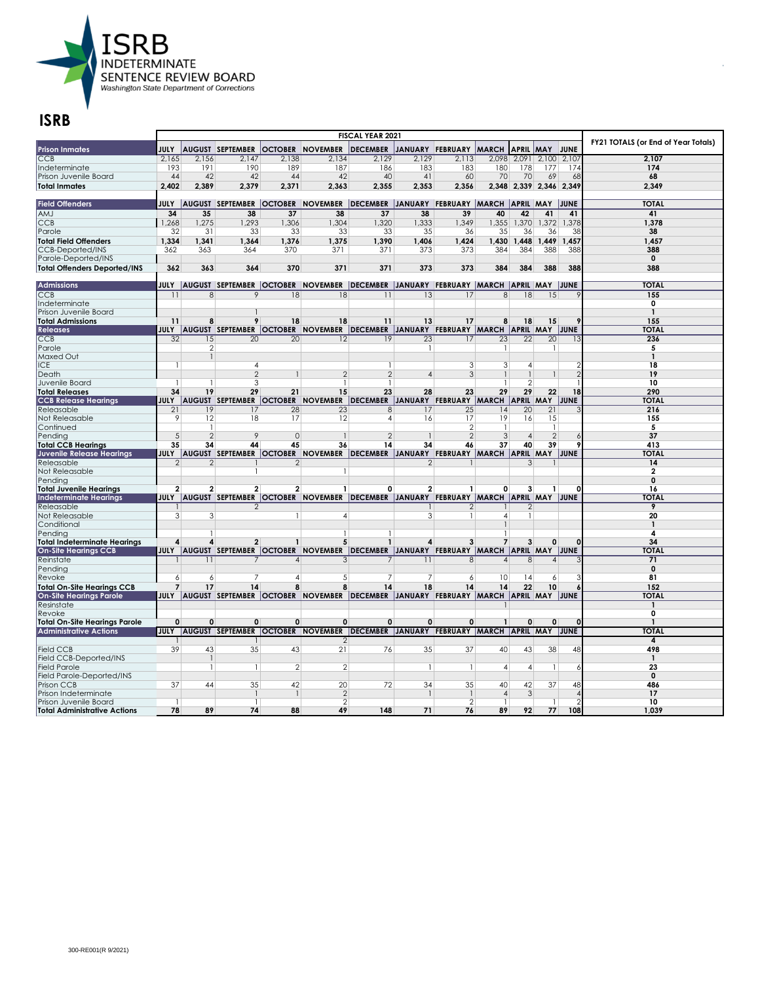

|                                                              |                    |                          |                         | FY21 TOTALS (or End of Year Totals) |                                                                                                       |                                                |                |                                |                                |                  |                          |                          |                |
|--------------------------------------------------------------|--------------------|--------------------------|-------------------------|-------------------------------------|-------------------------------------------------------------------------------------------------------|------------------------------------------------|----------------|--------------------------------|--------------------------------|------------------|--------------------------|--------------------------|----------------|
| <b>Prison Inmates</b>                                        | <b>JULY</b>        |                          | <b>AUGUST SEPTEMBER</b> |                                     | <b>OCTOBER NOVEMBER</b>                                                                               | DECEMBER JANUARY FEBRUARY MARCH                |                |                                |                                | <b>APRIL MAY</b> |                          | JUNE                     |                |
| CCB                                                          | 2.165              | 2.156                    | 2.147                   | 2.138                               | 2.134                                                                                                 | 2.129                                          | 2.129          | 2,113                          |                                | 2.098 2.091      | 2.100                    | 2.107                    | 2.107          |
| Indeterminate                                                | 193                | 191                      | 190                     | 189                                 | 187                                                                                                   | 186                                            | 183            | 183                            | 180                            | 178              | 177                      | 174                      | 174            |
| Prison Juvenile Board                                        | 44                 | 42                       | 42                      | 44                                  | 42                                                                                                    | 40                                             | 41             | 60                             | 70                             | 70               | 69                       | 68                       | 68             |
| <b>Total Inmates</b>                                         | 2.402              | 2,389                    | 2.379                   | 2,371                               | 2.363                                                                                                 | 2.355                                          | 2.353          | 2.356                          |                                | 2,348 2,339      |                          | 2,346 2,349              | 2,349          |
|                                                              |                    |                          |                         |                                     |                                                                                                       |                                                |                |                                |                                |                  |                          |                          |                |
| <b>Field Offenders</b>                                       | JULY               |                          |                         |                                     | AUGUST SEPTEMBER OCTOBER NOVEMBER DECEMBER JANUARY FEBRUARY MARCH APRIL MAY JUNE                      |                                                |                |                                |                                |                  |                          |                          | <b>TOTAL</b>   |
| <b>AMJ</b>                                                   | 34                 | 35                       | 38                      | 37                                  | 38                                                                                                    | 37                                             | 38             | 39                             | 40                             | 42               | 41                       | 41                       | 41             |
| <b>CCB</b>                                                   | 1,268              | 1,275                    | 1,293                   | 1,306                               | 1,304                                                                                                 | 1,320                                          | 1,333          | 1,349                          | 1,355                          | 1,370            | 1,372                    | 1,378                    | 1,378          |
| Parole                                                       | 32                 | 31                       | 33                      | 33                                  | 33                                                                                                    | 33                                             | 35             | 36                             | 35                             | 36               | 36                       | 38                       | 38             |
| <b>Total Field Offenders</b>                                 | 1,334              | 1,341                    | 1,364                   | 1,376                               | 1,375                                                                                                 | 1,390                                          | 1,406          | 1,424                          | 1,430                          | ,448             | 1,449                    | 1,457                    | 1,457          |
| <b>CCB-Deported/INS</b>                                      | 362                | 363                      | 364                     | 370                                 | 371                                                                                                   | 371                                            | 373            | 373                            | 384                            | 384              | 388                      | 388                      | 388            |
| Parole-Deported/INS                                          |                    |                          |                         |                                     |                                                                                                       |                                                |                |                                |                                |                  |                          |                          | $\mathbf 0$    |
| <b>Total Offenders Deported/INS</b>                          | 362                | 363                      | 364                     | 370                                 | 371                                                                                                   | 371                                            | 373            | 373                            | 384                            | 384              | 388                      | 388                      | 388            |
|                                                              |                    |                          |                         |                                     |                                                                                                       |                                                |                |                                |                                |                  |                          |                          |                |
| <b>Admissions</b>                                            |                    |                          |                         |                                     | JULY  AUGUST SEPTEMBER  OCTOBER  NOVEMBER  DECEMBER  JANUARY  FEBRUARY  MARCH  APRIL  MAY  JUNE       |                                                |                |                                |                                |                  |                          |                          | <b>TOTAL</b>   |
| CCB                                                          | $\overline{11}$    | $\overline{\mathcal{S}}$ | 9                       | 18                                  | $\overline{18}$                                                                                       | $\overline{11}$                                | 13             | 17                             | $\overline{8}$                 | $\overline{18}$  | $\overline{15}$          |                          | 155            |
| Indeterminate                                                |                    |                          |                         |                                     |                                                                                                       |                                                |                |                                |                                |                  |                          |                          | $\overline{0}$ |
| Prison Juvenile Board                                        |                    |                          |                         |                                     |                                                                                                       |                                                |                |                                |                                |                  |                          |                          | $\mathbf{1}$   |
| <b>Total Admissions</b>                                      | 11                 | 8                        | 9                       | 18                                  | 18                                                                                                    | 11                                             | 13             | 17                             | 8                              | 18               | 15                       |                          | 155            |
| <b>Releases</b>                                              |                    |                          |                         |                                     | JULY   AUGUST SEPTEMBER   OCTOBER   NOVEMBER   DECEMBER   JANUARY FEBRUARY   MARCH   APRIL MAY   JUNE |                                                |                |                                |                                |                  |                          |                          | TOTAL          |
| <b>CCB</b>                                                   | $\overline{32}$    | 15                       | 20                      | 20                                  | 12                                                                                                    | 19                                             | 23             | 17                             | 23                             | 22               | $\overline{20}$          | 13                       | 236            |
| Parole                                                       |                    | 2                        |                         |                                     |                                                                                                       |                                                |                |                                | -1                             |                  | -1                       |                          | 5              |
| Maxed Out                                                    |                    | $\mathbf{1}$             |                         |                                     |                                                                                                       |                                                |                |                                |                                |                  |                          |                          | $\mathbf{1}$   |
| <b>ICE</b>                                                   | $\mathbf{1}$       |                          | $\overline{4}$          |                                     |                                                                                                       |                                                |                | 3                              | 3                              | $\overline{4}$   |                          |                          | 18             |
| Death                                                        |                    |                          | $\overline{2}$          | $\mathbf{1}$                        | $\overline{2}$                                                                                        | $\overline{2}$                                 | $\overline{4}$ | 3                              | $\mathbf{1}$                   |                  | $\mathbf{1}$             | $\overline{\phantom{a}}$ | 19             |
| Juvenile Board                                               | 1                  |                          | 3                       |                                     |                                                                                                       |                                                |                |                                | $\mathbf{1}$                   | $\overline{2}$   |                          |                          | 10             |
| <b>Total Releases</b>                                        | 34                 | 19                       | 29                      | 21                                  | 15                                                                                                    | 23                                             | 28             | 23                             | 29                             | 29               | 22                       | 18                       | 290            |
| <b>CCB Release Hearings</b>                                  | <b>JULY</b>        |                          |                         |                                     | AUGUST SEPTEMBER OCTOBER NOVEMBER                                                                     | DECEMBER JANUARY FEBRUARY MARCH APRIL MAY JUNE |                |                                |                                |                  |                          |                          | TOTAI          |
| Releasable                                                   | 21                 | 19                       | 17                      | 28                                  | 23                                                                                                    | 8                                              | 17             | 25                             | 14                             | 20               | 21                       |                          | 216            |
| Not Releasable                                               | 9                  | 12<br>$\mathbf{1}$       | 18                      | 17                                  | 12                                                                                                    | 4                                              | 16             | 17                             | 19<br>$\mathbf{1}$             | 16               | 15<br>$\mathbf{1}$       |                          | 155            |
| Continued                                                    | 5                  | $\overline{2}$           | 9                       | $\mathbf 0$                         |                                                                                                       | $\mathcal{P}$                                  |                | $\mathbf{2}$<br>$\overline{2}$ | 3                              | $\overline{4}$   | $\overline{\phantom{0}}$ |                          | 5<br>37        |
| Pending<br><b>Total CCB Hearings</b>                         | 35                 | 34                       | 44                      | 45                                  | 36                                                                                                    | 14                                             | 34             | 46                             | 37                             | 40               | 39                       |                          | 413            |
| Juvenile Release Hearings                                    |                    |                          |                         |                                     | JULY  AUGUST SEPTEMBER  OCTOBER  NOVEMBER                                                             | DECEMBER JANUARY FEBRUARY MARCH APRIL MAY JUNE |                |                                |                                |                  |                          |                          | <b>TOTAL</b>   |
| Releasable                                                   | $\mathcal{P}$      | $\overline{2}$           |                         | $\overline{2}$                      |                                                                                                       |                                                | $\mathfrak{D}$ |                                |                                | $\mathcal{R}$    |                          |                          | 14             |
| Not Releasable                                               |                    |                          |                         |                                     |                                                                                                       |                                                |                |                                |                                |                  |                          |                          | $\mathbf{2}$   |
| Pending                                                      |                    |                          |                         |                                     |                                                                                                       |                                                |                |                                |                                |                  |                          |                          | $\mathbf 0$    |
| <b>Total Juvenile Hearings</b>                               | 2                  | 2                        | $\overline{2}$          | 2                                   | $\mathbf{1}$                                                                                          | 0                                              | $\mathbf{2}$   | 1                              | 0                              | 3                |                          | O                        | 16             |
| <b>Indeterminate Hearings</b>                                |                    |                          |                         |                                     | JULY  AUGUST SEPTEMBER  OCTOBER  NOVEMBER  DECEMBER  JANUARY FEBRUARY  MARCH  APRIL MAY               |                                                |                |                                |                                |                  |                          | JUNE                     | <b>TOTAL</b>   |
| Releasable                                                   |                    |                          | $\mathfrak{D}$          |                                     |                                                                                                       |                                                |                | 2                              |                                | っ                |                          |                          | 9              |
| Not Releasable                                               | 3                  | 3                        |                         | 1                                   | 4                                                                                                     |                                                | 3              | 1                              | $\overline{4}$                 |                  |                          |                          | 20             |
| Conditional                                                  |                    |                          |                         |                                     |                                                                                                       |                                                |                |                                | $\mathbf{1}$                   |                  |                          |                          | $\mathbf{1}$   |
| Pending                                                      |                    |                          |                         |                                     |                                                                                                       |                                                |                |                                |                                |                  |                          |                          | 4              |
| <b>Total Indeterminate Hearings</b>                          | Δ                  | 4                        | 2                       |                                     | 5                                                                                                     | $\mathbf{1}$                                   | 4              | 3                              | $\overline{7}$                 | 3                | $\Omega$                 | $\Omega$                 | 34             |
| <b>On-Site Hearings CCB</b>                                  |                    |                          |                         |                                     | JULY  AUGUST  SEPTEMBER  OCTOBER  NOVEMBER  DECEMBER  JANUARY  FEBRUARY  MARCH  APRIL MAY  JUNE       |                                                |                |                                |                                |                  |                          |                          | <b>TOTAL</b>   |
| Reinstate                                                    |                    | 11                       | 7                       | $\overline{4}$                      | $\overline{3}$                                                                                        | $\overline{7}$                                 | 11             | 8                              | $\vert$                        | 8                | $\overline{4}$           |                          | 71             |
| Pending                                                      |                    |                          |                         |                                     |                                                                                                       |                                                |                |                                |                                |                  |                          |                          | $\mathbf 0$    |
| Revoke                                                       | $\overline{6}$     | 6                        |                         | $\overline{4}$                      | 5                                                                                                     | 7                                              | 7              | 6                              | 10                             | 14               | 6                        |                          | 81             |
| <b>Total On-Site Hearings CCB</b>                            | $\overline{7}$     | 17                       | 14                      | 8                                   | 8                                                                                                     | 14                                             | 18             | 14                             | 14                             | 22               | 10                       |                          | 152            |
| <b>On-Site Hearings Parole</b>                               |                    |                          |                         |                                     | JULY AUGUST SEPTEMBER OCTOBER NOVEMBER DECEMBER JANUARY FEBRUARY MARCH APRIL MAY JUNE                 |                                                |                |                                |                                |                  |                          |                          | <b>TOTAL</b>   |
| Resinstate                                                   |                    |                          |                         |                                     |                                                                                                       |                                                |                |                                |                                |                  |                          |                          |                |
| Revoke                                                       |                    |                          |                         |                                     |                                                                                                       |                                                |                |                                |                                |                  |                          |                          | 0              |
| <b>Total On-Site Hearings Parole</b>                         | $\mathbf{0}$       | $\Omega$                 | 0                       | $\mathbf{0}$                        | $\mathbf{0}$                                                                                          | 0                                              | $\Omega$       | $\mathbf{0}$                   | $\mathbf{1}$                   | $\Omega$         | $\mathbf{0}$             | $\Omega$                 | $\mathbf{1}$   |
| <b>Administrative Actions</b>                                | <b>JULY</b>        |                          |                         |                                     | AUGUST SEPTEMBER OCTOBER NOVEMBER                                                                     | DECEMBER JANUARY FEBRUARY MARCH APRIL MAY JUNE |                |                                |                                |                  |                          |                          | TOTAL          |
|                                                              |                    |                          |                         |                                     | 2                                                                                                     |                                                |                |                                |                                |                  |                          |                          | 4              |
| <b>Field CCB</b>                                             | 39                 | 43                       | 35                      | 43                                  | 21                                                                                                    | 76                                             | 35             | 37                             | 40                             | 43               | 38                       | 48                       | 498            |
| Field CCB-Deported/INS                                       |                    | $\mathbf{1}$             |                         |                                     |                                                                                                       |                                                |                |                                |                                |                  |                          |                          | $\mathbf{1}$   |
| <b>Field Parole</b>                                          |                    | 1                        | $\mathbf{1}$            | $\overline{2}$                      | $\overline{2}$                                                                                        |                                                | 1              | 1                              | $\overline{4}$                 | $\overline{4}$   | -1                       | 6                        | 23             |
| Field Parole-Deported/INS                                    |                    |                          |                         |                                     |                                                                                                       |                                                |                |                                |                                |                  |                          |                          | $\mathbf 0$    |
| Prison CCB                                                   | 37                 | 44                       | 35                      | 42                                  | 20                                                                                                    | 72                                             | 34             | 35                             | 40                             | 42               | 37                       | 48                       | 486            |
| Prison Indeterminate                                         |                    |                          |                         | $\overline{1}$                      | $\overline{2}$                                                                                        |                                                |                | $\mathfrak{D}$                 | $\overline{4}$<br>$\mathbf{1}$ | 3                |                          |                          | 17<br>10       |
| Prison Juvenile Board<br><b>Total Administrative Actions</b> | $\mathbf{1}$<br>78 | 89                       | $\mathbf{1}$<br>74      | 88                                  | $\overline{2}$<br>49                                                                                  | 148                                            | 71             | 76                             | 89                             | 92               | $\mathbf{1}$<br>77       | 108                      | 1,039          |
|                                                              |                    |                          |                         |                                     |                                                                                                       |                                                |                |                                |                                |                  |                          |                          |                |